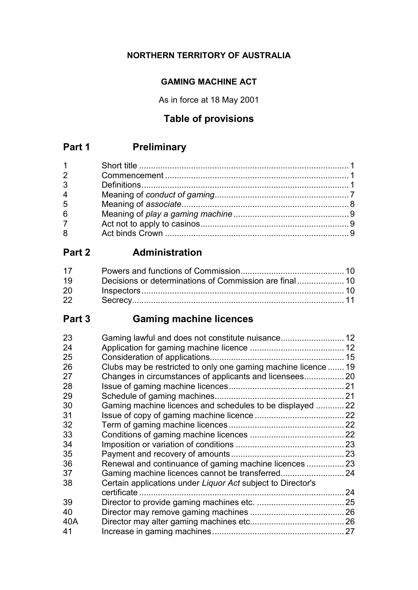## **NORTHERN TERRITORY OF AUSTRALIA**

## **GAMING MACHINE ACT**

As in force at 18 May 2001

## **Table of provisions**

## **Part 1 Preliminary**

| $1 \quad$      |  |
|----------------|--|
| $\overline{2}$ |  |
| 3              |  |
| 4              |  |
| 5              |  |
| 6              |  |
| $\overline{7}$ |  |
| 8              |  |

## **Part 2 Administration**

| 17        |  |
|-----------|--|
| 19        |  |
| <b>20</b> |  |
| 22        |  |

# **Part 3 Gaming machine licences**

| 23  |                                                                |    |
|-----|----------------------------------------------------------------|----|
| 24  |                                                                |    |
| 25  |                                                                |    |
| 26  | Clubs may be restricted to only one gaming machine licence  19 |    |
| 27  |                                                                |    |
| 28  |                                                                |    |
| 29  |                                                                |    |
| 30  | Gaming machine licences and schedules to be displayed 22       |    |
| 31  |                                                                |    |
| 32  |                                                                |    |
| 33  |                                                                |    |
| 34  |                                                                |    |
| 35  |                                                                |    |
| 36  | Renewal and continuance of gaming machine licences  23         |    |
| 37  |                                                                |    |
| 38  | Certain applications under Liquor Act subject to Director's    |    |
|     | certificate.                                                   | 24 |
| 39  |                                                                |    |
| 40  |                                                                |    |
| 40A |                                                                |    |
| 41  |                                                                |    |
|     |                                                                |    |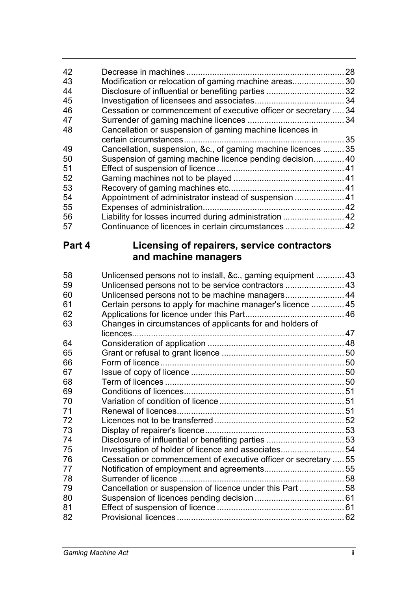| 42 |                                                               | 28 |
|----|---------------------------------------------------------------|----|
| 43 | Modification or relocation of gaming machine areas            | 30 |
| 44 |                                                               |    |
| 45 |                                                               | 34 |
| 46 | Cessation or commencement of executive officer or secretary   | 34 |
| 47 |                                                               | 34 |
| 48 | Cancellation or suspension of gaming machine licences in      |    |
|    |                                                               | 35 |
| 49 | Cancellation, suspension, &c., of gaming machine licences  35 |    |
| 50 | Suspension of gaming machine licence pending decision 40      |    |
| 51 |                                                               |    |
| 52 |                                                               |    |
| 53 |                                                               |    |
| 54 | Appointment of administrator instead of suspension  41        |    |
| 55 |                                                               |    |
| 56 | Liability for losses incurred during administration  42       |    |
| 57 | Continuance of licences in certain circumstances  42          |    |
|    |                                                               |    |

## **Part 4 Licensing of repairers, service contractors and machine managers**

| 58 | Unlicensed persons not to install, &c., gaming equipment  43    |  |
|----|-----------------------------------------------------------------|--|
| 59 | Unlicensed persons not to be service contractors  43            |  |
| 60 | Unlicensed persons not to be machine managers 44                |  |
| 61 | Certain persons to apply for machine manager's licence  45      |  |
| 62 |                                                                 |  |
| 63 | Changes in circumstances of applicants for and holders of       |  |
|    | licences                                                        |  |
| 64 |                                                                 |  |
| 65 |                                                                 |  |
| 66 |                                                                 |  |
| 67 |                                                                 |  |
| 68 |                                                                 |  |
| 69 |                                                                 |  |
| 70 |                                                                 |  |
| 71 |                                                                 |  |
| 72 |                                                                 |  |
| 73 |                                                                 |  |
| 74 | Disclosure of influential or benefiting parties  53             |  |
| 75 | Investigation of holder of licence and associates54             |  |
| 76 | Cessation or commencement of executive officer or secretary  55 |  |
| 77 |                                                                 |  |
| 78 |                                                                 |  |
| 79 | Cancellation or suspension of licence under this Part  58       |  |
| 80 |                                                                 |  |
| 81 |                                                                 |  |
| 82 |                                                                 |  |
|    |                                                                 |  |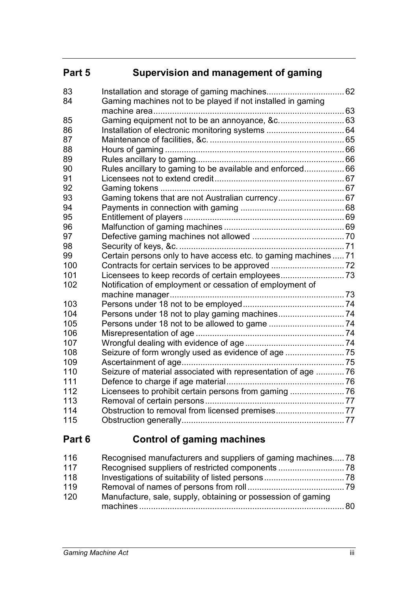# **Part 5 Supervision and management of gaming**

| 83  |                                                                 |  |
|-----|-----------------------------------------------------------------|--|
| 84  | Gaming machines not to be played if not installed in gaming     |  |
|     |                                                                 |  |
| 85  |                                                                 |  |
| 86  |                                                                 |  |
| 87  |                                                                 |  |
| 88  |                                                                 |  |
| 89  |                                                                 |  |
| 90  | Rules ancillary to gaming to be available and enforced 66       |  |
| 91  |                                                                 |  |
| 92  |                                                                 |  |
| 93  | Gaming tokens that are not Australian currency 67               |  |
| 94  |                                                                 |  |
| 95  |                                                                 |  |
| 96  |                                                                 |  |
| 97  |                                                                 |  |
| 98  |                                                                 |  |
| 99  | Certain persons only to have access etc. to gaming machines  71 |  |
| 100 | Contracts for certain services to be approved  72               |  |
| 101 |                                                                 |  |
| 102 | Notification of employment or cessation of employment of        |  |
|     |                                                                 |  |
| 103 |                                                                 |  |
| 104 |                                                                 |  |
| 105 |                                                                 |  |
| 106 |                                                                 |  |
| 107 |                                                                 |  |
| 108 |                                                                 |  |
| 109 |                                                                 |  |
| 110 | Seizure of material associated with representation of age  76   |  |
| 111 |                                                                 |  |
| 112 |                                                                 |  |
| 113 |                                                                 |  |
| 114 |                                                                 |  |
| 115 |                                                                 |  |
|     |                                                                 |  |

## **Part 6 Control of gaming machines**

| 116 | Recognised manufacturers and suppliers of gaming machines78  |      |
|-----|--------------------------------------------------------------|------|
| 117 |                                                              |      |
| 118 |                                                              |      |
| 119 |                                                              |      |
| 120 | Manufacture, sale, supply, obtaining or possession of gaming |      |
|     |                                                              | - 80 |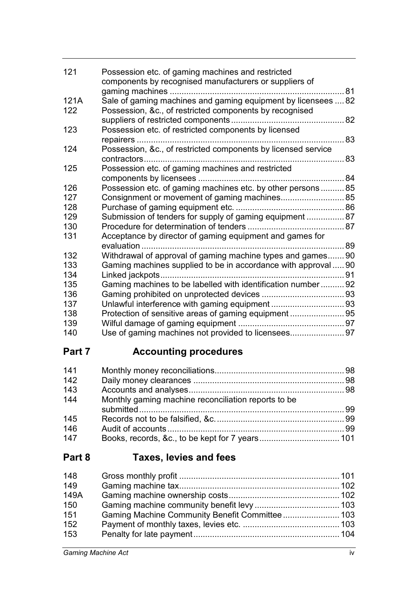| 121  | Possession etc. of gaming machines and restricted<br>components by recognised manufacturers or suppliers of |  |
|------|-------------------------------------------------------------------------------------------------------------|--|
| 121A | Sale of gaming machines and gaming equipment by licensees  82                                               |  |
| 122  | Possession, &c., of restricted components by recognised                                                     |  |
| 123  | Possession etc. of restricted components by licensed                                                        |  |
| 124  | . 83<br>Possession, &c., of restricted components by licensed service                                       |  |
|      |                                                                                                             |  |
| 125  | Possession etc. of gaming machines and restricted                                                           |  |
|      |                                                                                                             |  |
| 126  | Possession etc. of gaming machines etc. by other persons85                                                  |  |
| 127  | Consignment or movement of gaming machines 85                                                               |  |
| 128  |                                                                                                             |  |
| 129  | Submission of tenders for supply of gaming equipment  87                                                    |  |
| 130  |                                                                                                             |  |
| 131  | Acceptance by director of gaming equipment and games for                                                    |  |
|      | evaluation                                                                                                  |  |
| 132  | Withdrawal of approval of gaming machine types and games 90                                                 |  |
| 133  | Gaming machines supplied to be in accordance with approval  90                                              |  |
| 134  | Linked jackpots.                                                                                            |  |
| 135  | Gaming machines to be labelled with identification number 92                                                |  |
| 136  |                                                                                                             |  |
| 137  |                                                                                                             |  |
| 138  | Protection of sensitive areas of gaming equipment 95                                                        |  |
| 139  |                                                                                                             |  |
| 140  |                                                                                                             |  |

# **Part 7 Accounting procedures**

| 141 |                                                     |  |
|-----|-----------------------------------------------------|--|
| 142 |                                                     |  |
| 143 |                                                     |  |
| 144 | Monthly gaming machine reconciliation reports to be |  |
| 145 |                                                     |  |
| 146 |                                                     |  |
| 147 |                                                     |  |

## **Part 8 Taxes, levies and fees**

| 148  |  |
|------|--|
| 149  |  |
| 149A |  |
| 150  |  |
| 151  |  |
| 152  |  |
| 153  |  |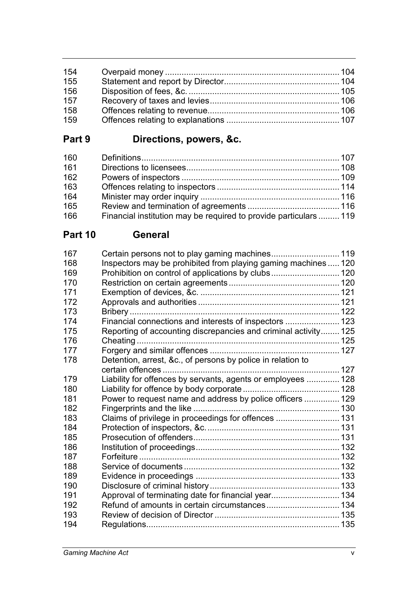| 154 |  |
|-----|--|
| 155 |  |
| 156 |  |
| 157 |  |
| 158 |  |
| 159 |  |

# **Part 9 Directions, powers, &c.**

| 160 |                                                                   |  |
|-----|-------------------------------------------------------------------|--|
| 161 |                                                                   |  |
| 162 |                                                                   |  |
| 163 |                                                                   |  |
| 164 |                                                                   |  |
| 165 |                                                                   |  |
| 166 | Financial institution may be required to provide particulars  119 |  |

## **Part 10 General**

| 167 | Certain persons not to play gaming machines 119                 |  |
|-----|-----------------------------------------------------------------|--|
| 168 | Inspectors may be prohibited from playing gaming machines  120  |  |
| 169 | Prohibition on control of applications by clubs 120             |  |
| 170 |                                                                 |  |
| 171 |                                                                 |  |
| 172 |                                                                 |  |
| 173 |                                                                 |  |
| 174 | Financial connections and interests of inspectors  123          |  |
| 175 | Reporting of accounting discrepancies and criminal activity 125 |  |
| 176 |                                                                 |  |
| 177 |                                                                 |  |
| 178 | Detention, arrest, &c., of persons by police in relation to     |  |
|     |                                                                 |  |
| 179 | Liability for offences by servants, agents or employees  128    |  |
| 180 |                                                                 |  |
| 181 | Power to request name and address by police officers  129       |  |
| 182 |                                                                 |  |
| 183 | Claims of privilege in proceedings for offences  131            |  |
| 184 |                                                                 |  |
| 185 |                                                                 |  |
| 186 |                                                                 |  |
| 187 |                                                                 |  |
| 188 |                                                                 |  |
| 189 |                                                                 |  |
| 190 |                                                                 |  |
| 191 | Approval of terminating date for financial year 134             |  |
| 192 |                                                                 |  |
| 193 |                                                                 |  |
| 194 |                                                                 |  |
|     |                                                                 |  |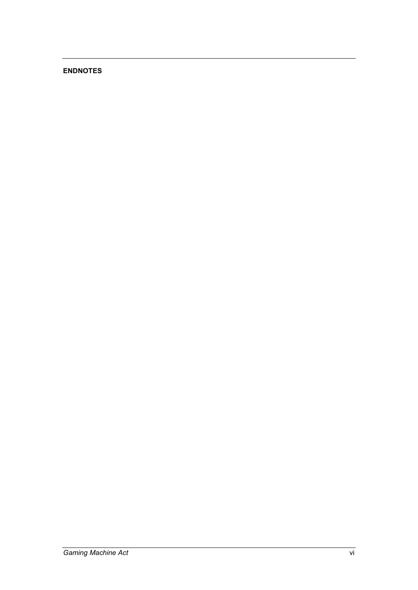#### **ENDNOTES**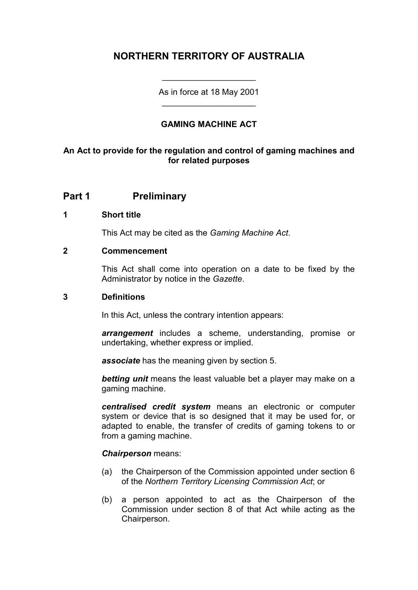## **NORTHERN TERRITORY OF AUSTRALIA**

As in force at 18 May 2001 \_\_\_\_\_\_\_\_\_\_\_\_\_\_\_\_\_\_\_\_

\_\_\_\_\_\_\_\_\_\_\_\_\_\_\_\_\_\_\_\_

#### **GAMING MACHINE ACT**

#### **An Act to provide for the regulation and control of gaming machines and for related purposes**

### **Part 1 Preliminary**

#### **1 Short title**

This Act may be cited as the *Gaming Machine Act*.

#### **2 Commencement**

This Act shall come into operation on a date to be fixed by the Administrator by notice in the *Gazette*.

#### **3 Definitions**

In this Act, unless the contrary intention appears:

*arrangement* includes a scheme, understanding, promise or undertaking, whether express or implied.

*associate* has the meaning given by section 5.

*betting unit* means the least valuable bet a player may make on a gaming machine.

*centralised credit system* means an electronic or computer system or device that is so designed that it may be used for, or adapted to enable, the transfer of credits of gaming tokens to or from a gaming machine.

#### *Chairperson* means:

- (a) the Chairperson of the Commission appointed under section 6 of the *Northern Territory Licensing Commission Act*; or
- (b) a person appointed to act as the Chairperson of the Commission under section 8 of that Act while acting as the Chairperson.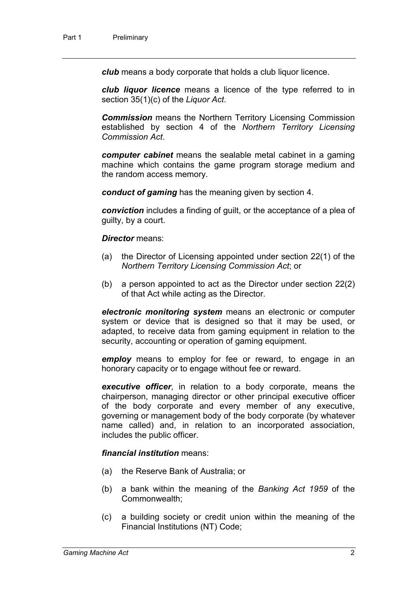*club* means a body corporate that holds a club liquor licence.

*club liquor licence* means a licence of the type referred to in section 35(1)(c) of the *Liquor Act*.

*Commission* means the Northern Territory Licensing Commission established by section 4 of the *Northern Territory Licensing Commission Act*.

*computer cabinet* means the sealable metal cabinet in a gaming machine which contains the game program storage medium and the random access memory.

*conduct of gaming* has the meaning given by section 4.

*conviction* includes a finding of guilt, or the acceptance of a plea of guilty, by a court.

#### *Director* means:

- (a) the Director of Licensing appointed under section 22(1) of the *Northern Territory Licensing Commission Act*; or
- (b) a person appointed to act as the Director under section 22(2) of that Act while acting as the Director.

*electronic monitoring system* means an electronic or computer system or device that is designed so that it may be used, or adapted, to receive data from gaming equipment in relation to the security, accounting or operation of gaming equipment.

*employ* means to employ for fee or reward, to engage in an honorary capacity or to engage without fee or reward.

*executive officer*, in relation to a body corporate, means the chairperson, managing director or other principal executive officer of the body corporate and every member of any executive, governing or management body of the body corporate (by whatever name called) and, in relation to an incorporated association, includes the public officer.

#### *financial institution* means:

- (a) the Reserve Bank of Australia; or
- (b) a bank within the meaning of the *Banking Act 1959* of the Commonwealth;
- (c) a building society or credit union within the meaning of the Financial Institutions (NT) Code;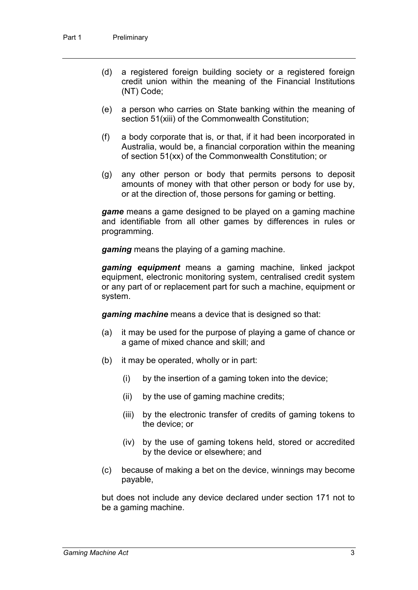- (d) a registered foreign building society or a registered foreign credit union within the meaning of the Financial Institutions (NT) Code;
- (e) a person who carries on State banking within the meaning of section 51(xiii) of the Commonwealth Constitution;
- (f) a body corporate that is, or that, if it had been incorporated in Australia, would be, a financial corporation within the meaning of section 51(xx) of the Commonwealth Constitution; or
- (g) any other person or body that permits persons to deposit amounts of money with that other person or body for use by, or at the direction of, those persons for gaming or betting.

*game* means a game designed to be played on a gaming machine and identifiable from all other games by differences in rules or programming.

*gaming* means the playing of a gaming machine.

*gaming equipment* means a gaming machine, linked jackpot equipment, electronic monitoring system, centralised credit system or any part of or replacement part for such a machine, equipment or system.

*gaming machine* means a device that is designed so that:

- (a) it may be used for the purpose of playing a game of chance or a game of mixed chance and skill; and
- (b) it may be operated, wholly or in part:
	- (i) by the insertion of a gaming token into the device;
	- (ii) by the use of gaming machine credits;
	- (iii) by the electronic transfer of credits of gaming tokens to the device; or
	- (iv) by the use of gaming tokens held, stored or accredited by the device or elsewhere; and
- (c) because of making a bet on the device, winnings may become payable,

but does not include any device declared under section 171 not to be a gaming machine.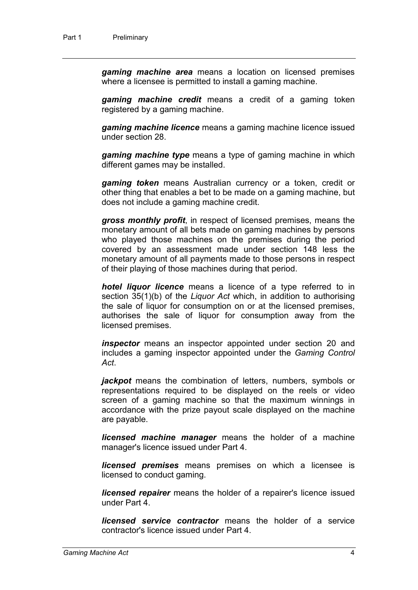*gaming machine area* means a location on licensed premises where a licensee is permitted to install a gaming machine.

*gaming machine credit* means a credit of a gaming token registered by a gaming machine.

*gaming machine licence* means a gaming machine licence issued under section 28.

*gaming machine type* means a type of gaming machine in which different games may be installed.

*gaming token* means Australian currency or a token, credit or other thing that enables a bet to be made on a gaming machine, but does not include a gaming machine credit.

*gross monthly profit*, in respect of licensed premises, means the monetary amount of all bets made on gaming machines by persons who played those machines on the premises during the period covered by an assessment made under section 148 less the monetary amount of all payments made to those persons in respect of their playing of those machines during that period.

*hotel liquor licence* means a licence of a type referred to in section 35(1)(b) of the *Liquor Act* which, in addition to authorising the sale of liquor for consumption on or at the licensed premises, authorises the sale of liquor for consumption away from the licensed premises.

*inspector* means an inspector appointed under section 20 and includes a gaming inspector appointed under the *Gaming Control Act*.

*jackpot* means the combination of letters, numbers, symbols or representations required to be displayed on the reels or video screen of a gaming machine so that the maximum winnings in accordance with the prize payout scale displayed on the machine are payable.

*licensed machine manager* means the holder of a machine manager's licence issued under Part 4.

*licensed premises* means premises on which a licensee is licensed to conduct gaming.

*licensed repairer* means the holder of a repairer's licence issued under Part 4.

*licensed service contractor* means the holder of a service contractor's licence issued under Part 4.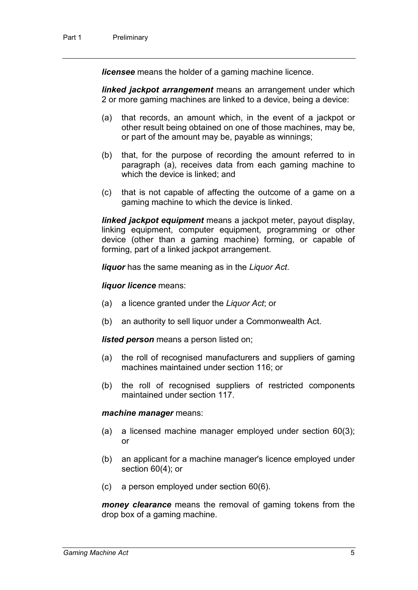*licensee* means the holder of a gaming machine licence.

*linked jackpot arrangement* means an arrangement under which 2 or more gaming machines are linked to a device, being a device:

- (a) that records, an amount which, in the event of a jackpot or other result being obtained on one of those machines, may be, or part of the amount may be, payable as winnings;
- (b) that, for the purpose of recording the amount referred to in paragraph (a), receives data from each gaming machine to which the device is linked; and
- (c) that is not capable of affecting the outcome of a game on a gaming machine to which the device is linked.

*linked jackpot equipment* means a jackpot meter, payout display, linking equipment, computer equipment, programming or other device (other than a gaming machine) forming, or capable of forming, part of a linked jackpot arrangement.

*liquor* has the same meaning as in the *Liquor Act*.

*liquor licence* means:

- (a) a licence granted under the *Liquor Act*; or
- (b) an authority to sell liquor under a Commonwealth Act.

*listed person* means a person listed on;

- (a) the roll of recognised manufacturers and suppliers of gaming machines maintained under section 116; or
- (b) the roll of recognised suppliers of restricted components maintained under section 117.

#### *machine manager* means:

- (a) a licensed machine manager employed under section 60(3); or
- (b) an applicant for a machine manager's licence employed under section 60(4); or
- (c) a person employed under section 60(6).

*money clearance* means the removal of gaming tokens from the drop box of a gaming machine.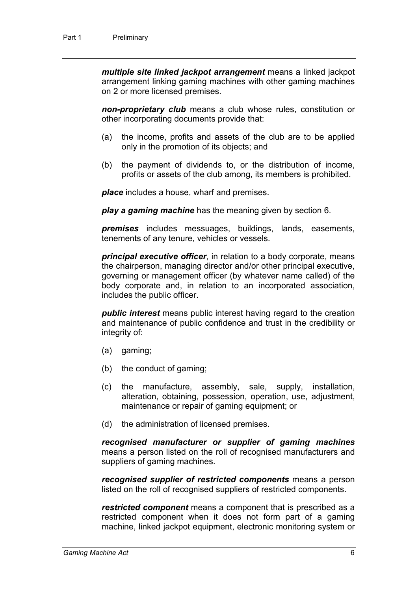*multiple site linked jackpot arrangement* means a linked jackpot arrangement linking gaming machines with other gaming machines on 2 or more licensed premises.

*non-proprietary club* means a club whose rules, constitution or other incorporating documents provide that:

- (a) the income, profits and assets of the club are to be applied only in the promotion of its objects; and
- (b) the payment of dividends to, or the distribution of income, profits or assets of the club among, its members is prohibited.

*place* includes a house, wharf and premises.

*play a gaming machine* has the meaning given by section 6.

*premises* includes messuages, buildings, lands, easements, tenements of any tenure, vehicles or vessels.

*principal executive officer*, in relation to a body corporate, means the chairperson, managing director and/or other principal executive, governing or management officer (by whatever name called) of the body corporate and, in relation to an incorporated association, includes the public officer.

*public interest* means public interest having regard to the creation and maintenance of public confidence and trust in the credibility or integrity of:

- (a) gaming;
- (b) the conduct of gaming;
- (c) the manufacture, assembly, sale, supply, installation, alteration, obtaining, possession, operation, use, adjustment, maintenance or repair of gaming equipment; or
- (d) the administration of licensed premises.

*recognised manufacturer or supplier of gaming machines* means a person listed on the roll of recognised manufacturers and suppliers of gaming machines.

*recognised supplier of restricted components* means a person listed on the roll of recognised suppliers of restricted components.

*restricted component* means a component that is prescribed as a restricted component when it does not form part of a gaming machine, linked jackpot equipment, electronic monitoring system or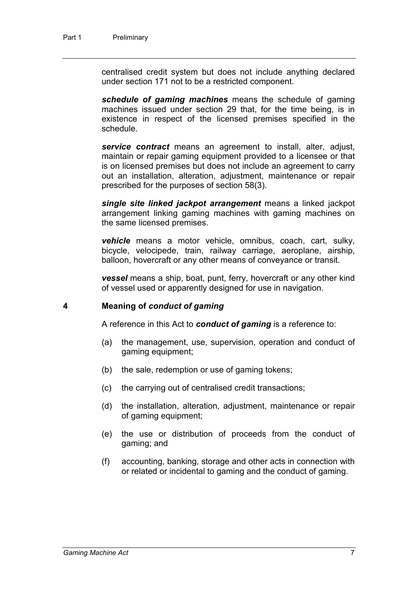centralised credit system but does not include anything declared under section 171 not to be a restricted component.

*schedule of gaming machines* means the schedule of gaming machines issued under section 29 that, for the time being, is in existence in respect of the licensed premises specified in the schedule.

*service contract* means an agreement to install, alter, adjust, maintain or repair gaming equipment provided to a licensee or that is on licensed premises but does not include an agreement to carry out an installation, alteration, adjustment, maintenance or repair prescribed for the purposes of section 58(3).

*single site linked jackpot arrangement* means a linked jackpot arrangement linking gaming machines with gaming machines on the same licensed premises.

*vehicle* means a motor vehicle, omnibus, coach, cart, sulky, bicycle, velocipede, train, railway carriage, aeroplane, airship, balloon, hovercraft or any other means of conveyance or transit.

*vessel* means a ship, boat, punt, ferry, hovercraft or any other kind of vessel used or apparently designed for use in navigation.

#### **4 Meaning of** *conduct of gaming*

A reference in this Act to *conduct of gaming* is a reference to:

- (a) the management, use, supervision, operation and conduct of gaming equipment;
- (b) the sale, redemption or use of gaming tokens;
- (c) the carrying out of centralised credit transactions;
- (d) the installation, alteration, adjustment, maintenance or repair of gaming equipment;
- (e) the use or distribution of proceeds from the conduct of gaming; and
- (f) accounting, banking, storage and other acts in connection with or related or incidental to gaming and the conduct of gaming.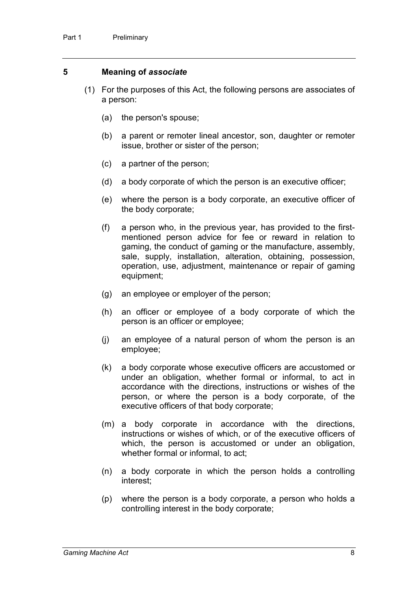#### **5 Meaning of** *associate*

- (1) For the purposes of this Act, the following persons are associates of a person:
	- (a) the person's spouse;
	- (b) a parent or remoter lineal ancestor, son, daughter or remoter issue, brother or sister of the person;
	- (c) a partner of the person;
	- (d) a body corporate of which the person is an executive officer;
	- (e) where the person is a body corporate, an executive officer of the body corporate;
	- (f) a person who, in the previous year, has provided to the firstmentioned person advice for fee or reward in relation to gaming, the conduct of gaming or the manufacture, assembly, sale, supply, installation, alteration, obtaining, possession, operation, use, adjustment, maintenance or repair of gaming equipment;
	- (g) an employee or employer of the person;
	- (h) an officer or employee of a body corporate of which the person is an officer or employee;
	- (j) an employee of a natural person of whom the person is an employee;
	- (k) a body corporate whose executive officers are accustomed or under an obligation, whether formal or informal, to act in accordance with the directions, instructions or wishes of the person, or where the person is a body corporate, of the executive officers of that body corporate;
	- (m) a body corporate in accordance with the directions, instructions or wishes of which, or of the executive officers of which, the person is accustomed or under an obligation, whether formal or informal, to act;
	- (n) a body corporate in which the person holds a controlling interest;
	- (p) where the person is a body corporate, a person who holds a controlling interest in the body corporate;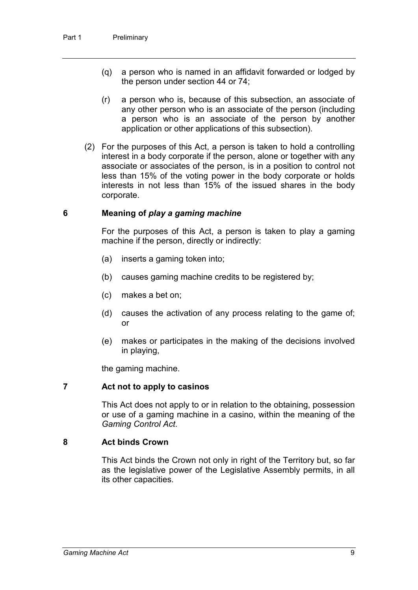- (q) a person who is named in an affidavit forwarded or lodged by the person under section 44 or 74;
- (r) a person who is, because of this subsection, an associate of any other person who is an associate of the person (including a person who is an associate of the person by another application or other applications of this subsection).
- (2) For the purposes of this Act, a person is taken to hold a controlling interest in a body corporate if the person, alone or together with any associate or associates of the person, is in a position to control not less than 15% of the voting power in the body corporate or holds interests in not less than 15% of the issued shares in the body corporate.

#### **6 Meaning of** *play a gaming machine*

For the purposes of this Act, a person is taken to play a gaming machine if the person, directly or indirectly:

- (a) inserts a gaming token into;
- (b) causes gaming machine credits to be registered by;
- (c) makes a bet on;
- (d) causes the activation of any process relating to the game of; or
- (e) makes or participates in the making of the decisions involved in playing,

the gaming machine.

#### **7 Act not to apply to casinos**

This Act does not apply to or in relation to the obtaining, possession or use of a gaming machine in a casino, within the meaning of the *Gaming Control Act*.

#### **8 Act binds Crown**

This Act binds the Crown not only in right of the Territory but, so far as the legislative power of the Legislative Assembly permits, in all its other capacities.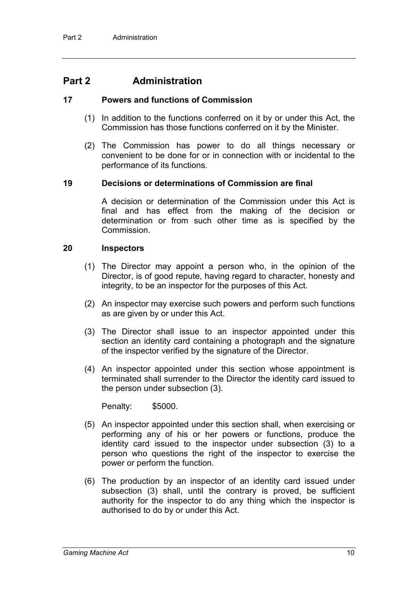## **Part 2 Administration**

#### **17 Powers and functions of Commission**

- (1) In addition to the functions conferred on it by or under this Act, the Commission has those functions conferred on it by the Minister.
- (2) The Commission has power to do all things necessary or convenient to be done for or in connection with or incidental to the performance of its functions.

#### **19 Decisions or determinations of Commission are final**

A decision or determination of the Commission under this Act is final and has effect from the making of the decision or determination or from such other time as is specified by the Commission.

#### **20 Inspectors**

- (1) The Director may appoint a person who, in the opinion of the Director, is of good repute, having regard to character, honesty and integrity, to be an inspector for the purposes of this Act.
- (2) An inspector may exercise such powers and perform such functions as are given by or under this Act.
- (3) The Director shall issue to an inspector appointed under this section an identity card containing a photograph and the signature of the inspector verified by the signature of the Director.
- (4) An inspector appointed under this section whose appointment is terminated shall surrender to the Director the identity card issued to the person under subsection (3).

Penalty: \$5000.

- (5) An inspector appointed under this section shall, when exercising or performing any of his or her powers or functions, produce the identity card issued to the inspector under subsection (3) to a person who questions the right of the inspector to exercise the power or perform the function.
- (6) The production by an inspector of an identity card issued under subsection (3) shall, until the contrary is proved, be sufficient authority for the inspector to do any thing which the inspector is authorised to do by or under this Act.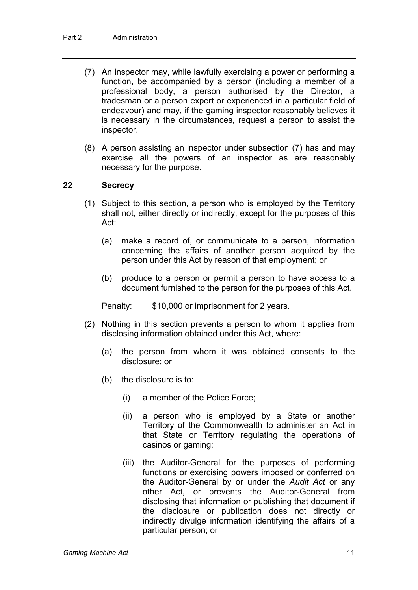- (7) An inspector may, while lawfully exercising a power or performing a function, be accompanied by a person (including a member of a professional body, a person authorised by the Director, a tradesman or a person expert or experienced in a particular field of endeavour) and may, if the gaming inspector reasonably believes it is necessary in the circumstances, request a person to assist the inspector.
- (8) A person assisting an inspector under subsection (7) has and may exercise all the powers of an inspector as are reasonably necessary for the purpose.

#### **22 Secrecy**

- (1) Subject to this section, a person who is employed by the Territory shall not, either directly or indirectly, except for the purposes of this Act:
	- (a) make a record of, or communicate to a person, information concerning the affairs of another person acquired by the person under this Act by reason of that employment; or
	- (b) produce to a person or permit a person to have access to a document furnished to the person for the purposes of this Act.

Penalty: \$10,000 or imprisonment for 2 years.

- (2) Nothing in this section prevents a person to whom it applies from disclosing information obtained under this Act, where:
	- (a) the person from whom it was obtained consents to the disclosure; or
	- (b) the disclosure is to:
		- (i) a member of the Police Force;
		- (ii) a person who is employed by a State or another Territory of the Commonwealth to administer an Act in that State or Territory regulating the operations of casinos or gaming;
		- (iii) the Auditor-General for the purposes of performing functions or exercising powers imposed or conferred on the Auditor-General by or under the *Audit Act* or any other Act, or prevents the Auditor-General from disclosing that information or publishing that document if the disclosure or publication does not directly or indirectly divulge information identifying the affairs of a particular person; or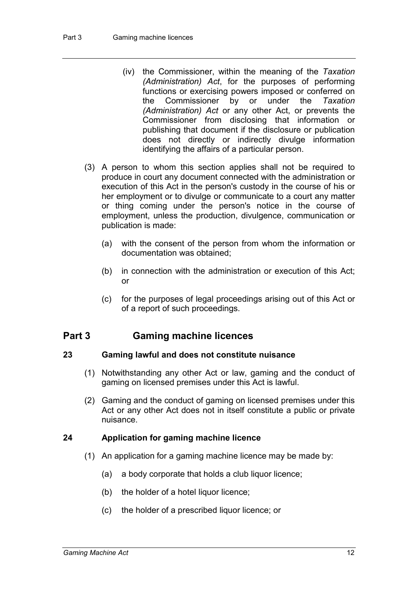- (iv) the Commissioner, within the meaning of the *Taxation (Administration) Act*, for the purposes of performing functions or exercising powers imposed or conferred on the Commissioner by or under the *Taxation (Administration) Act* or any other Act, or prevents the Commissioner from disclosing that information or publishing that document if the disclosure or publication does not directly or indirectly divulge information identifying the affairs of a particular person.
- (3) A person to whom this section applies shall not be required to produce in court any document connected with the administration or execution of this Act in the person's custody in the course of his or her employment or to divulge or communicate to a court any matter or thing coming under the person's notice in the course of employment, unless the production, divulgence, communication or publication is made:
	- (a) with the consent of the person from whom the information or documentation was obtained;
	- (b) in connection with the administration or execution of this Act; or
	- (c) for the purposes of legal proceedings arising out of this Act or of a report of such proceedings.

### **Part 3 Gaming machine licences**

#### **23 Gaming lawful and does not constitute nuisance**

- (1) Notwithstanding any other Act or law, gaming and the conduct of gaming on licensed premises under this Act is lawful.
- (2) Gaming and the conduct of gaming on licensed premises under this Act or any other Act does not in itself constitute a public or private nuisance.

#### **24 Application for gaming machine licence**

- (1) An application for a gaming machine licence may be made by:
	- (a) a body corporate that holds a club liquor licence;
	- (b) the holder of a hotel liquor licence;
	- (c) the holder of a prescribed liquor licence; or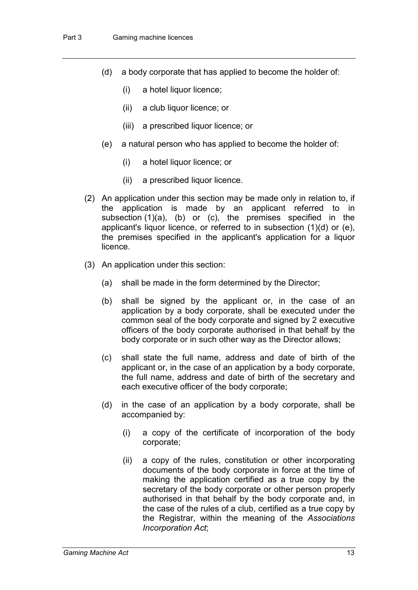- (d) a body corporate that has applied to become the holder of:
	- (i) a hotel liquor licence;
	- (ii) a club liquor licence; or
	- (iii) a prescribed liquor licence; or
- (e) a natural person who has applied to become the holder of:
	- (i) a hotel liquor licence; or
	- (ii) a prescribed liquor licence.
- (2) An application under this section may be made only in relation to, if the application is made by an applicant referred to in subsection (1)(a), (b) or (c), the premises specified in the applicant's liquor licence, or referred to in subsection (1)(d) or (e), the premises specified in the applicant's application for a liquor licence.
- (3) An application under this section:
	- (a) shall be made in the form determined by the Director;
	- (b) shall be signed by the applicant or, in the case of an application by a body corporate, shall be executed under the common seal of the body corporate and signed by 2 executive officers of the body corporate authorised in that behalf by the body corporate or in such other way as the Director allows;
	- (c) shall state the full name, address and date of birth of the applicant or, in the case of an application by a body corporate, the full name, address and date of birth of the secretary and each executive officer of the body corporate;
	- (d) in the case of an application by a body corporate, shall be accompanied by:
		- (i) a copy of the certificate of incorporation of the body corporate;
		- (ii) a copy of the rules, constitution or other incorporating documents of the body corporate in force at the time of making the application certified as a true copy by the secretary of the body corporate or other person properly authorised in that behalf by the body corporate and, in the case of the rules of a club, certified as a true copy by the Registrar, within the meaning of the *Associations Incorporation Act*;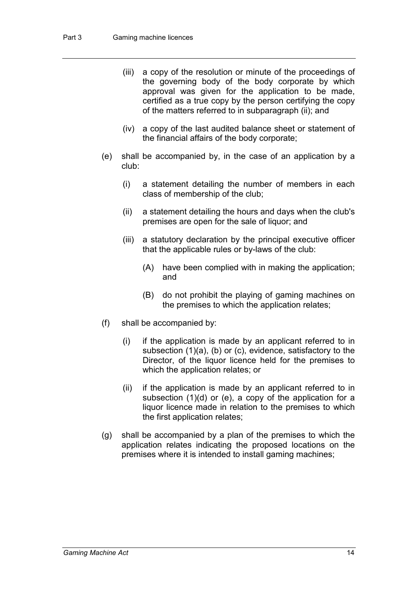- (iii) a copy of the resolution or minute of the proceedings of the governing body of the body corporate by which approval was given for the application to be made, certified as a true copy by the person certifying the copy of the matters referred to in subparagraph (ii); and
- (iv) a copy of the last audited balance sheet or statement of the financial affairs of the body corporate;
- (e) shall be accompanied by, in the case of an application by a club:
	- (i) a statement detailing the number of members in each class of membership of the club;
	- (ii) a statement detailing the hours and days when the club's premises are open for the sale of liquor; and
	- (iii) a statutory declaration by the principal executive officer that the applicable rules or by-laws of the club:
		- (A) have been complied with in making the application; and
		- (B) do not prohibit the playing of gaming machines on the premises to which the application relates;
- (f) shall be accompanied by:
	- (i) if the application is made by an applicant referred to in subsection (1)(a), (b) or (c), evidence, satisfactory to the Director, of the liquor licence held for the premises to which the application relates; or
	- (ii) if the application is made by an applicant referred to in subsection (1)(d) or (e), a copy of the application for a liquor licence made in relation to the premises to which the first application relates;
- (g) shall be accompanied by a plan of the premises to which the application relates indicating the proposed locations on the premises where it is intended to install gaming machines;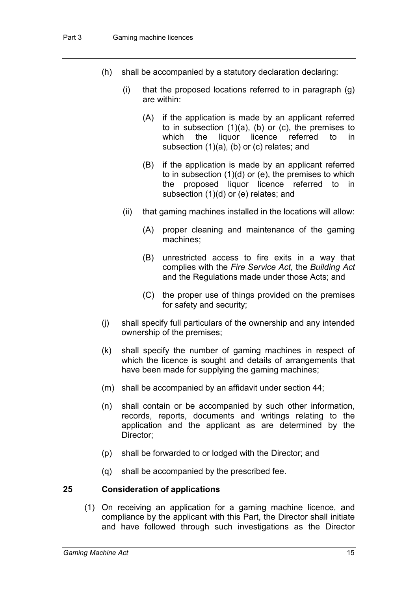- (h) shall be accompanied by a statutory declaration declaring:
	- (i) that the proposed locations referred to in paragraph (g) are within:
		- (A) if the application is made by an applicant referred to in subsection  $(1)(a)$ ,  $(b)$  or  $(c)$ , the premises to which the liquor licence referred to in subsection (1)(a), (b) or (c) relates; and
		- (B) if the application is made by an applicant referred to in subsection (1)(d) or (e), the premises to which the proposed liquor licence referred to in subsection (1)(d) or (e) relates; and
	- (ii) that gaming machines installed in the locations will allow:
		- (A) proper cleaning and maintenance of the gaming machines;
		- (B) unrestricted access to fire exits in a way that complies with the *Fire Service Act*, the *Building Act* and the Regulations made under those Acts; and
		- (C) the proper use of things provided on the premises for safety and security;
- (j) shall specify full particulars of the ownership and any intended ownership of the premises;
- (k) shall specify the number of gaming machines in respect of which the licence is sought and details of arrangements that have been made for supplying the gaming machines;
- (m) shall be accompanied by an affidavit under section 44;
- (n) shall contain or be accompanied by such other information, records, reports, documents and writings relating to the application and the applicant as are determined by the Director;
- (p) shall be forwarded to or lodged with the Director; and
- (q) shall be accompanied by the prescribed fee.

#### **25 Consideration of applications**

(1) On receiving an application for a gaming machine licence, and compliance by the applicant with this Part, the Director shall initiate and have followed through such investigations as the Director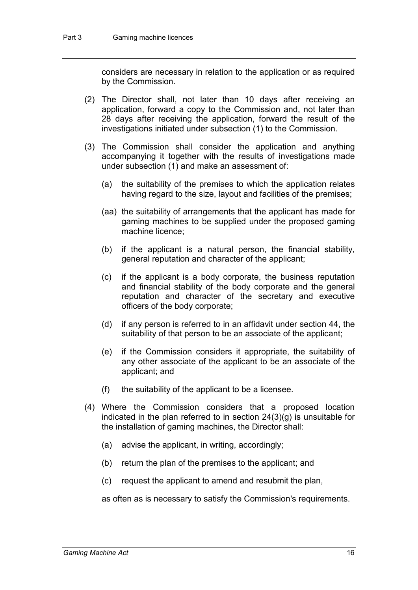considers are necessary in relation to the application or as required by the Commission.

- (2) The Director shall, not later than 10 days after receiving an application, forward a copy to the Commission and, not later than 28 days after receiving the application, forward the result of the investigations initiated under subsection (1) to the Commission.
- (3) The Commission shall consider the application and anything accompanying it together with the results of investigations made under subsection (1) and make an assessment of:
	- (a) the suitability of the premises to which the application relates having regard to the size, layout and facilities of the premises;
	- (aa) the suitability of arrangements that the applicant has made for gaming machines to be supplied under the proposed gaming machine licence;
	- (b) if the applicant is a natural person, the financial stability, general reputation and character of the applicant;
	- (c) if the applicant is a body corporate, the business reputation and financial stability of the body corporate and the general reputation and character of the secretary and executive officers of the body corporate;
	- (d) if any person is referred to in an affidavit under section 44, the suitability of that person to be an associate of the applicant;
	- (e) if the Commission considers it appropriate, the suitability of any other associate of the applicant to be an associate of the applicant; and
	- (f) the suitability of the applicant to be a licensee.
- (4) Where the Commission considers that a proposed location indicated in the plan referred to in section 24(3)(g) is unsuitable for the installation of gaming machines, the Director shall:
	- (a) advise the applicant, in writing, accordingly;
	- (b) return the plan of the premises to the applicant; and
	- (c) request the applicant to amend and resubmit the plan,

as often as is necessary to satisfy the Commission's requirements.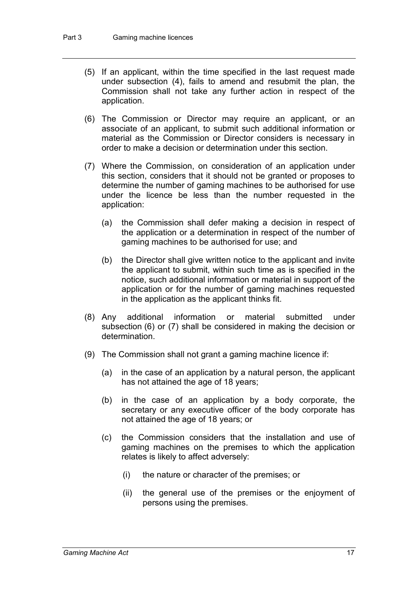- (5) If an applicant, within the time specified in the last request made under subsection (4), fails to amend and resubmit the plan, the Commission shall not take any further action in respect of the application.
- (6) The Commission or Director may require an applicant, or an associate of an applicant, to submit such additional information or material as the Commission or Director considers is necessary in order to make a decision or determination under this section.
- (7) Where the Commission, on consideration of an application under this section, considers that it should not be granted or proposes to determine the number of gaming machines to be authorised for use under the licence be less than the number requested in the application:
	- (a) the Commission shall defer making a decision in respect of the application or a determination in respect of the number of gaming machines to be authorised for use; and
	- (b) the Director shall give written notice to the applicant and invite the applicant to submit, within such time as is specified in the notice, such additional information or material in support of the application or for the number of gaming machines requested in the application as the applicant thinks fit.
- (8) Any additional information or material submitted under subsection (6) or (7) shall be considered in making the decision or determination.
- (9) The Commission shall not grant a gaming machine licence if:
	- (a) in the case of an application by a natural person, the applicant has not attained the age of 18 years;
	- (b) in the case of an application by a body corporate, the secretary or any executive officer of the body corporate has not attained the age of 18 years; or
	- (c) the Commission considers that the installation and use of gaming machines on the premises to which the application relates is likely to affect adversely:
		- (i) the nature or character of the premises; or
		- (ii) the general use of the premises or the enjoyment of persons using the premises.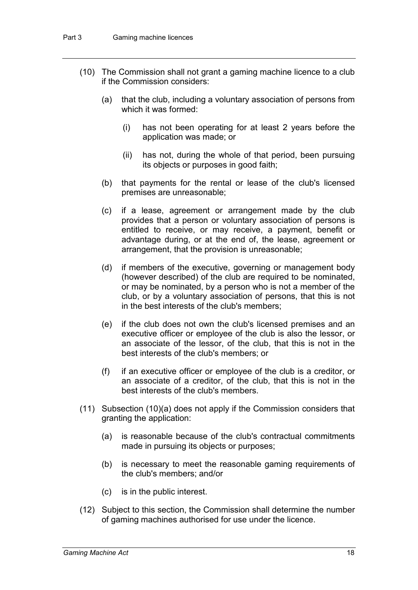- (10) The Commission shall not grant a gaming machine licence to a club if the Commission considers:
	- (a) that the club, including a voluntary association of persons from which it was formed:
		- (i) has not been operating for at least 2 years before the application was made; or
		- (ii) has not, during the whole of that period, been pursuing its objects or purposes in good faith;
	- (b) that payments for the rental or lease of the club's licensed premises are unreasonable;
	- (c) if a lease, agreement or arrangement made by the club provides that a person or voluntary association of persons is entitled to receive, or may receive, a payment, benefit or advantage during, or at the end of, the lease, agreement or arrangement, that the provision is unreasonable;
	- (d) if members of the executive, governing or management body (however described) of the club are required to be nominated, or may be nominated, by a person who is not a member of the club, or by a voluntary association of persons, that this is not in the best interests of the club's members;
	- (e) if the club does not own the club's licensed premises and an executive officer or employee of the club is also the lessor, or an associate of the lessor, of the club, that this is not in the best interests of the club's members; or
	- (f) if an executive officer or employee of the club is a creditor, or an associate of a creditor, of the club, that this is not in the best interests of the club's members.
- (11) Subsection (10)(a) does not apply if the Commission considers that granting the application:
	- (a) is reasonable because of the club's contractual commitments made in pursuing its objects or purposes;
	- (b) is necessary to meet the reasonable gaming requirements of the club's members; and/or
	- (c) is in the public interest.
- (12) Subject to this section, the Commission shall determine the number of gaming machines authorised for use under the licence.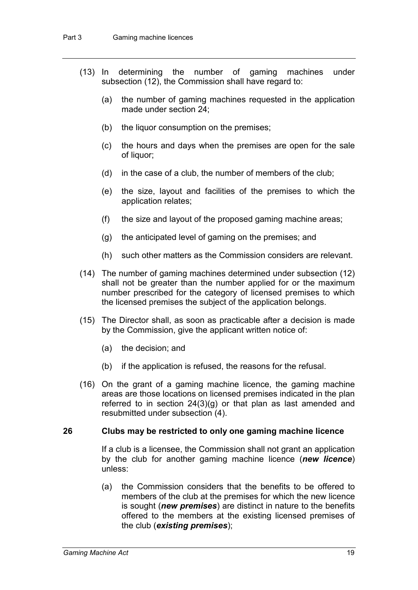- (13) In determining the number of gaming machines under subsection (12), the Commission shall have regard to:
	- (a) the number of gaming machines requested in the application made under section 24;
	- (b) the liquor consumption on the premises;
	- (c) the hours and days when the premises are open for the sale of liquor;
	- (d) in the case of a club, the number of members of the club;
	- (e) the size, layout and facilities of the premises to which the application relates;
	- (f) the size and layout of the proposed gaming machine areas;
	- (g) the anticipated level of gaming on the premises; and
	- (h) such other matters as the Commission considers are relevant.
- (14) The number of gaming machines determined under subsection (12) shall not be greater than the number applied for or the maximum number prescribed for the category of licensed premises to which the licensed premises the subject of the application belongs.
- (15) The Director shall, as soon as practicable after a decision is made by the Commission, give the applicant written notice of:
	- (a) the decision; and
	- (b) if the application is refused, the reasons for the refusal.
- (16) On the grant of a gaming machine licence, the gaming machine areas are those locations on licensed premises indicated in the plan referred to in section 24(3)(g) or that plan as last amended and resubmitted under subsection (4).

#### **26 Clubs may be restricted to only one gaming machine licence**

If a club is a licensee, the Commission shall not grant an application by the club for another gaming machine licence (*new licence*) unless:

(a) the Commission considers that the benefits to be offered to members of the club at the premises for which the new licence is sought (*new premises*) are distinct in nature to the benefits offered to the members at the existing licensed premises of the club (*existing premises*);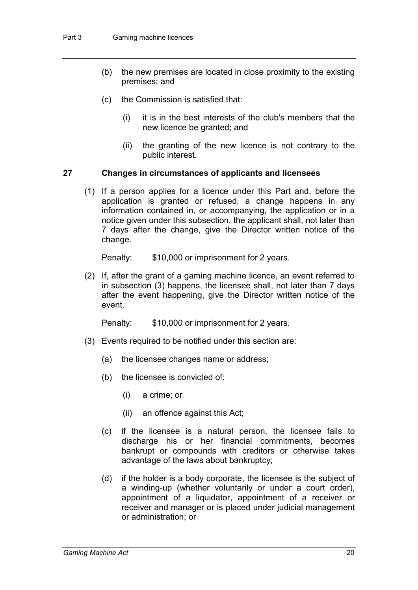- (b) the new premises are located in close proximity to the existing premises; and
- (c) the Commission is satisfied that:
	- (i) it is in the best interests of the club's members that the new licence be granted; and
	- (ii) the granting of the new licence is not contrary to the public interest.

#### **27 Changes in circumstances of applicants and licensees**

(1) If a person applies for a licence under this Part and, before the application is granted or refused, a change happens in any information contained in, or accompanying, the application or in a notice given under this subsection, the applicant shall, not later than 7 days after the change, give the Director written notice of the change.

Penalty: \$10,000 or imprisonment for 2 years.

(2) If, after the grant of a gaming machine licence, an event referred to in subsection (3) happens, the licensee shall, not later than 7 days after the event happening, give the Director written notice of the event.

Penalty: \$10,000 or imprisonment for 2 years.

- (3) Events required to be notified under this section are:
	- (a) the licensee changes name or address;
	- (b) the licensee is convicted of:
		- (i) a crime; or
		- (ii) an offence against this Act;
	- (c) if the licensee is a natural person, the licensee fails to discharge his or her financial commitments, becomes bankrupt or compounds with creditors or otherwise takes advantage of the laws about bankruptcy;
	- (d) if the holder is a body corporate, the licensee is the subject of a winding-up (whether voluntarily or under a court order), appointment of a liquidator, appointment of a receiver or receiver and manager or is placed under judicial management or administration; or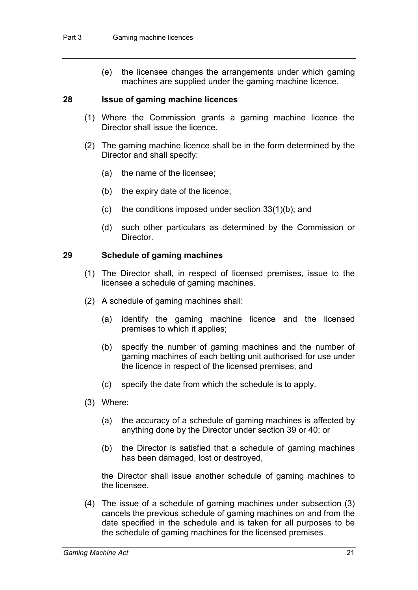(e) the licensee changes the arrangements under which gaming machines are supplied under the gaming machine licence.

#### **28 Issue of gaming machine licences**

- (1) Where the Commission grants a gaming machine licence the Director shall issue the licence.
- (2) The gaming machine licence shall be in the form determined by the Director and shall specify:
	- (a) the name of the licensee;
	- (b) the expiry date of the licence;
	- (c) the conditions imposed under section 33(1)(b); and
	- (d) such other particulars as determined by the Commission or **Director**

#### **29 Schedule of gaming machines**

- (1) The Director shall, in respect of licensed premises, issue to the licensee a schedule of gaming machines.
- (2) A schedule of gaming machines shall:
	- (a) identify the gaming machine licence and the licensed premises to which it applies;
	- (b) specify the number of gaming machines and the number of gaming machines of each betting unit authorised for use under the licence in respect of the licensed premises; and
	- (c) specify the date from which the schedule is to apply.
- (3) Where:
	- (a) the accuracy of a schedule of gaming machines is affected by anything done by the Director under section 39 or 40; or
	- (b) the Director is satisfied that a schedule of gaming machines has been damaged, lost or destroyed,

the Director shall issue another schedule of gaming machines to the licensee.

(4) The issue of a schedule of gaming machines under subsection (3) cancels the previous schedule of gaming machines on and from the date specified in the schedule and is taken for all purposes to be the schedule of gaming machines for the licensed premises.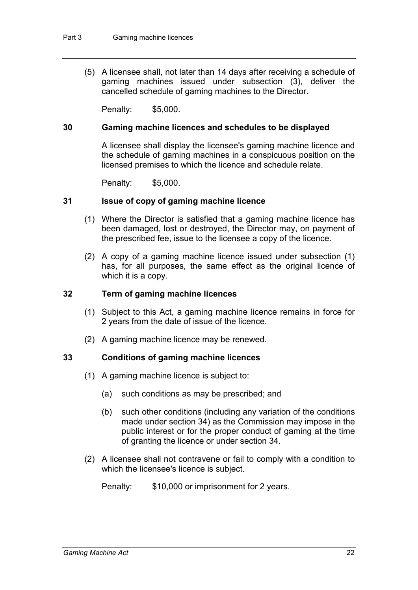(5) A licensee shall, not later than 14 days after receiving a schedule of gaming machines issued under subsection (3), deliver the cancelled schedule of gaming machines to the Director.

Penalty: \$5,000.

#### **30 Gaming machine licences and schedules to be displayed**

A licensee shall display the licensee's gaming machine licence and the schedule of gaming machines in a conspicuous position on the licensed premises to which the licence and schedule relate.

Penalty: \$5,000.

#### **31 Issue of copy of gaming machine licence**

- (1) Where the Director is satisfied that a gaming machine licence has been damaged, lost or destroyed, the Director may, on payment of the prescribed fee, issue to the licensee a copy of the licence.
- (2) A copy of a gaming machine licence issued under subsection (1) has, for all purposes, the same effect as the original licence of which it is a copy.

#### **32 Term of gaming machine licences**

- (1) Subject to this Act, a gaming machine licence remains in force for 2 years from the date of issue of the licence.
- (2) A gaming machine licence may be renewed.

#### **33 Conditions of gaming machine licences**

- (1) A gaming machine licence is subject to:
	- (a) such conditions as may be prescribed; and
	- (b) such other conditions (including any variation of the conditions made under section 34) as the Commission may impose in the public interest or for the proper conduct of gaming at the time of granting the licence or under section 34.
- (2) A licensee shall not contravene or fail to comply with a condition to which the licensee's licence is subject.

Penalty: \$10,000 or imprisonment for 2 years.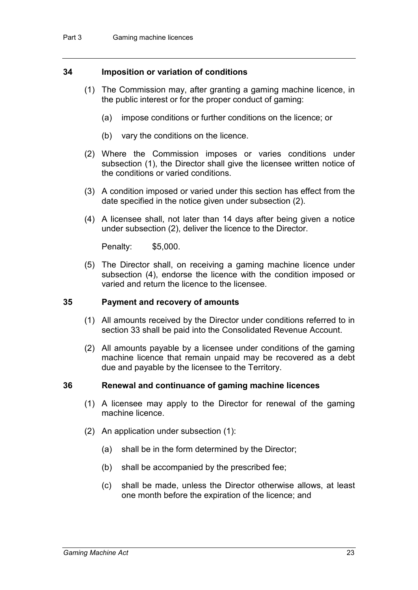#### **34 Imposition or variation of conditions**

- (1) The Commission may, after granting a gaming machine licence, in the public interest or for the proper conduct of gaming:
	- (a) impose conditions or further conditions on the licence; or
	- (b) vary the conditions on the licence.
- (2) Where the Commission imposes or varies conditions under subsection (1), the Director shall give the licensee written notice of the conditions or varied conditions.
- (3) A condition imposed or varied under this section has effect from the date specified in the notice given under subsection (2).
- (4) A licensee shall, not later than 14 days after being given a notice under subsection (2), deliver the licence to the Director.

Penalty: \$5,000.

(5) The Director shall, on receiving a gaming machine licence under subsection (4), endorse the licence with the condition imposed or varied and return the licence to the licensee.

#### **35 Payment and recovery of amounts**

- (1) All amounts received by the Director under conditions referred to in section 33 shall be paid into the Consolidated Revenue Account.
- (2) All amounts payable by a licensee under conditions of the gaming machine licence that remain unpaid may be recovered as a debt due and payable by the licensee to the Territory.

#### **36 Renewal and continuance of gaming machine licences**

- (1) A licensee may apply to the Director for renewal of the gaming machine licence.
- (2) An application under subsection (1):
	- (a) shall be in the form determined by the Director;
	- (b) shall be accompanied by the prescribed fee;
	- (c) shall be made, unless the Director otherwise allows, at least one month before the expiration of the licence; and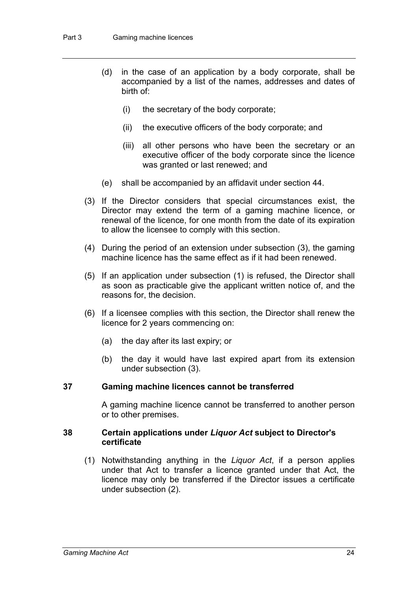- (d) in the case of an application by a body corporate, shall be accompanied by a list of the names, addresses and dates of birth of:
	- (i) the secretary of the body corporate;
	- (ii) the executive officers of the body corporate; and
	- (iii) all other persons who have been the secretary or an executive officer of the body corporate since the licence was granted or last renewed; and
- (e) shall be accompanied by an affidavit under section 44.
- (3) If the Director considers that special circumstances exist, the Director may extend the term of a gaming machine licence, or renewal of the licence, for one month from the date of its expiration to allow the licensee to comply with this section.
- (4) During the period of an extension under subsection (3), the gaming machine licence has the same effect as if it had been renewed.
- (5) If an application under subsection (1) is refused, the Director shall as soon as practicable give the applicant written notice of, and the reasons for, the decision.
- (6) If a licensee complies with this section, the Director shall renew the licence for 2 years commencing on:
	- (a) the day after its last expiry; or
	- (b) the day it would have last expired apart from its extension under subsection (3).

#### **37 Gaming machine licences cannot be transferred**

A gaming machine licence cannot be transferred to another person or to other premises.

#### **38 Certain applications under** *Liquor Act* **subject to Director's certificate**

(1) Notwithstanding anything in the *Liquor Act*, if a person applies under that Act to transfer a licence granted under that Act, the licence may only be transferred if the Director issues a certificate under subsection (2).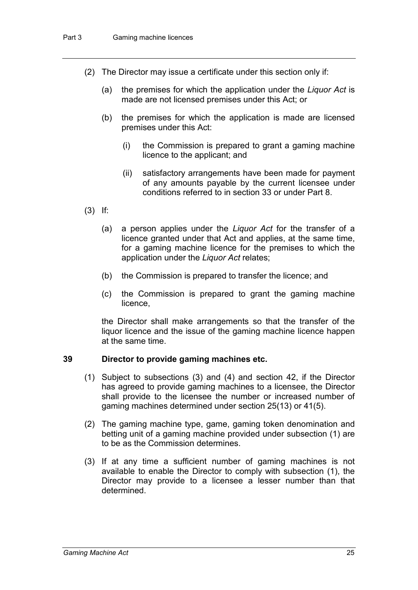- (2) The Director may issue a certificate under this section only if:
	- (a) the premises for which the application under the *Liquor Act* is made are not licensed premises under this Act; or
	- (b) the premises for which the application is made are licensed premises under this Act:
		- (i) the Commission is prepared to grant a gaming machine licence to the applicant; and
		- (ii) satisfactory arrangements have been made for payment of any amounts payable by the current licensee under conditions referred to in section 33 or under Part 8.
- (3) If:
	- (a) a person applies under the *Liquor Act* for the transfer of a licence granted under that Act and applies, at the same time, for a gaming machine licence for the premises to which the application under the *Liquor Act* relates;
	- (b) the Commission is prepared to transfer the licence; and
	- (c) the Commission is prepared to grant the gaming machine licence,

the Director shall make arrangements so that the transfer of the liquor licence and the issue of the gaming machine licence happen at the same time.

#### **39 Director to provide gaming machines etc.**

- (1) Subject to subsections (3) and (4) and section 42, if the Director has agreed to provide gaming machines to a licensee, the Director shall provide to the licensee the number or increased number of gaming machines determined under section 25(13) or 41(5).
- (2) The gaming machine type, game, gaming token denomination and betting unit of a gaming machine provided under subsection (1) are to be as the Commission determines.
- (3) If at any time a sufficient number of gaming machines is not available to enable the Director to comply with subsection (1), the Director may provide to a licensee a lesser number than that determined.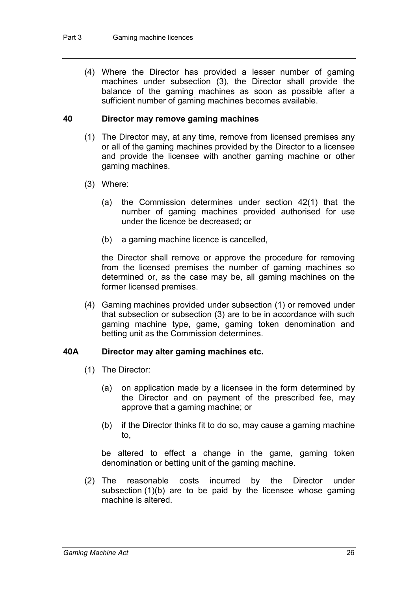(4) Where the Director has provided a lesser number of gaming machines under subsection (3), the Director shall provide the balance of the gaming machines as soon as possible after a sufficient number of gaming machines becomes available.

#### **40 Director may remove gaming machines**

- (1) The Director may, at any time, remove from licensed premises any or all of the gaming machines provided by the Director to a licensee and provide the licensee with another gaming machine or other gaming machines.
- (3) Where:
	- (a) the Commission determines under section 42(1) that the number of gaming machines provided authorised for use under the licence be decreased; or
	- (b) a gaming machine licence is cancelled,

the Director shall remove or approve the procedure for removing from the licensed premises the number of gaming machines so determined or, as the case may be, all gaming machines on the former licensed premises.

(4) Gaming machines provided under subsection (1) or removed under that subsection or subsection (3) are to be in accordance with such gaming machine type, game, gaming token denomination and betting unit as the Commission determines.

#### **40A Director may alter gaming machines etc.**

- (1) The Director:
	- (a) on application made by a licensee in the form determined by the Director and on payment of the prescribed fee, may approve that a gaming machine; or
	- (b) if the Director thinks fit to do so, may cause a gaming machine to,

be altered to effect a change in the game, gaming token denomination or betting unit of the gaming machine.

(2) The reasonable costs incurred by the Director under subsection (1)(b) are to be paid by the licensee whose gaming machine is altered.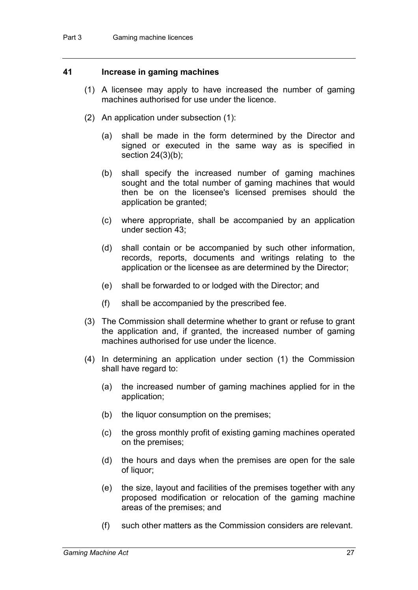#### **41 Increase in gaming machines**

- (1) A licensee may apply to have increased the number of gaming machines authorised for use under the licence.
- (2) An application under subsection (1):
	- (a) shall be made in the form determined by the Director and signed or executed in the same way as is specified in section 24(3)(b);
	- (b) shall specify the increased number of gaming machines sought and the total number of gaming machines that would then be on the licensee's licensed premises should the application be granted;
	- (c) where appropriate, shall be accompanied by an application under section 43;
	- (d) shall contain or be accompanied by such other information, records, reports, documents and writings relating to the application or the licensee as are determined by the Director;
	- (e) shall be forwarded to or lodged with the Director; and
	- (f) shall be accompanied by the prescribed fee.
- (3) The Commission shall determine whether to grant or refuse to grant the application and, if granted, the increased number of gaming machines authorised for use under the licence.
- (4) In determining an application under section (1) the Commission shall have regard to:
	- (a) the increased number of gaming machines applied for in the application;
	- (b) the liquor consumption on the premises;
	- (c) the gross monthly profit of existing gaming machines operated on the premises;
	- (d) the hours and days when the premises are open for the sale of liquor;
	- (e) the size, layout and facilities of the premises together with any proposed modification or relocation of the gaming machine areas of the premises; and
	- (f) such other matters as the Commission considers are relevant.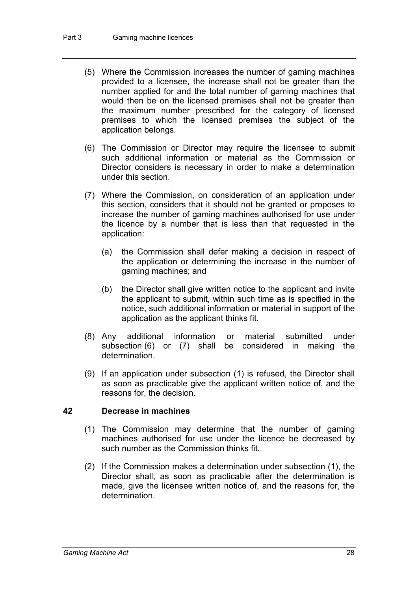- (5) Where the Commission increases the number of gaming machines provided to a licensee, the increase shall not be greater than the number applied for and the total number of gaming machines that would then be on the licensed premises shall not be greater than the maximum number prescribed for the category of licensed premises to which the licensed premises the subject of the application belongs.
- (6) The Commission or Director may require the licensee to submit such additional information or material as the Commission or Director considers is necessary in order to make a determination under this section.
- (7) Where the Commission, on consideration of an application under this section, considers that it should not be granted or proposes to increase the number of gaming machines authorised for use under the licence by a number that is less than that requested in the application:
	- (a) the Commission shall defer making a decision in respect of the application or determining the increase in the number of gaming machines; and
	- (b) the Director shall give written notice to the applicant and invite the applicant to submit, within such time as is specified in the notice, such additional information or material in support of the application as the applicant thinks fit.
- (8) Any additional information or material submitted under subsection (6) or (7) shall be considered in making the determination.
- (9) If an application under subsection (1) is refused, the Director shall as soon as practicable give the applicant written notice of, and the reasons for, the decision.

#### **42 Decrease in machines**

- (1) The Commission may determine that the number of gaming machines authorised for use under the licence be decreased by such number as the Commission thinks fit.
- (2) If the Commission makes a determination under subsection (1), the Director shall, as soon as practicable after the determination is made, give the licensee written notice of, and the reasons for, the determination.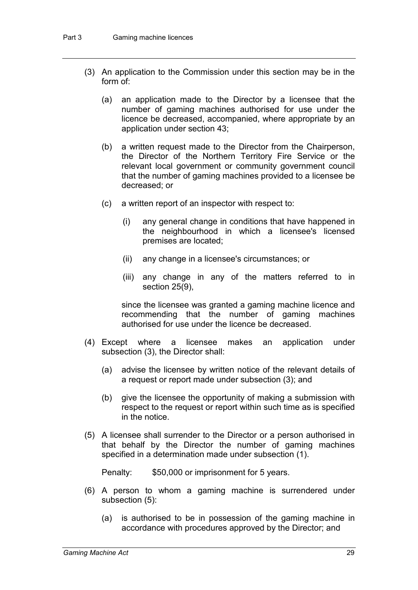- (3) An application to the Commission under this section may be in the form of:
	- (a) an application made to the Director by a licensee that the number of gaming machines authorised for use under the licence be decreased, accompanied, where appropriate by an application under section 43;
	- (b) a written request made to the Director from the Chairperson, the Director of the Northern Territory Fire Service or the relevant local government or community government council that the number of gaming machines provided to a licensee be decreased; or
	- (c) a written report of an inspector with respect to:
		- (i) any general change in conditions that have happened in the neighbourhood in which a licensee's licensed premises are located;
		- (ii) any change in a licensee's circumstances; or
		- (iii) any change in any of the matters referred to in section 25(9),

since the licensee was granted a gaming machine licence and recommending that the number of gaming machines authorised for use under the licence be decreased.

- (4) Except where a licensee makes an application under subsection (3), the Director shall:
	- (a) advise the licensee by written notice of the relevant details of a request or report made under subsection (3); and
	- (b) give the licensee the opportunity of making a submission with respect to the request or report within such time as is specified in the notice.
- (5) A licensee shall surrender to the Director or a person authorised in that behalf by the Director the number of gaming machines specified in a determination made under subsection (1).

Penalty: \$50,000 or imprisonment for 5 years.

- (6) A person to whom a gaming machine is surrendered under subsection (5):
	- (a) is authorised to be in possession of the gaming machine in accordance with procedures approved by the Director; and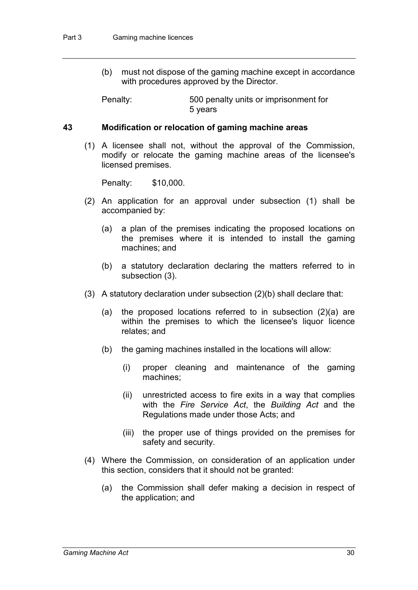(b) must not dispose of the gaming machine except in accordance with procedures approved by the Director.

Penalty: 500 penalty units or imprisonment for 5 years

#### **43 Modification or relocation of gaming machine areas**

(1) A licensee shall not, without the approval of the Commission, modify or relocate the gaming machine areas of the licensee's licensed premises.

Penalty: \$10,000.

- (2) An application for an approval under subsection (1) shall be accompanied by:
	- (a) a plan of the premises indicating the proposed locations on the premises where it is intended to install the gaming machines; and
	- (b) a statutory declaration declaring the matters referred to in subsection (3).
- (3) A statutory declaration under subsection (2)(b) shall declare that:
	- (a) the proposed locations referred to in subsection (2)(a) are within the premises to which the licensee's liquor licence relates; and
	- (b) the gaming machines installed in the locations will allow:
		- (i) proper cleaning and maintenance of the gaming machines;
		- (ii) unrestricted access to fire exits in a way that complies with the *Fire Service Act*, the *Building Act* and the Regulations made under those Acts; and
		- (iii) the proper use of things provided on the premises for safety and security.
- (4) Where the Commission, on consideration of an application under this section, considers that it should not be granted:
	- (a) the Commission shall defer making a decision in respect of the application; and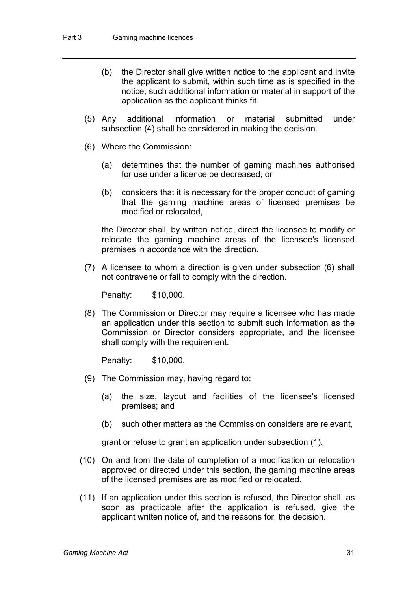- (b) the Director shall give written notice to the applicant and invite the applicant to submit, within such time as is specified in the notice, such additional information or material in support of the application as the applicant thinks fit.
- (5) Any additional information or material submitted under subsection (4) shall be considered in making the decision.
- (6) Where the Commission:
	- (a) determines that the number of gaming machines authorised for use under a licence be decreased; or
	- (b) considers that it is necessary for the proper conduct of gaming that the gaming machine areas of licensed premises be modified or relocated,

the Director shall, by written notice, direct the licensee to modify or relocate the gaming machine areas of the licensee's licensed premises in accordance with the direction.

(7) A licensee to whom a direction is given under subsection (6) shall not contravene or fail to comply with the direction.

Penalty: \$10,000.

(8) The Commission or Director may require a licensee who has made an application under this section to submit such information as the Commission or Director considers appropriate, and the licensee shall comply with the requirement.

Penalty: \$10,000.

- (9) The Commission may, having regard to:
	- (a) the size, layout and facilities of the licensee's licensed premises; and
	- (b) such other matters as the Commission considers are relevant,

grant or refuse to grant an application under subsection (1).

- (10) On and from the date of completion of a modification or relocation approved or directed under this section, the gaming machine areas of the licensed premises are as modified or relocated.
- (11) If an application under this section is refused, the Director shall, as soon as practicable after the application is refused, give the applicant written notice of, and the reasons for, the decision.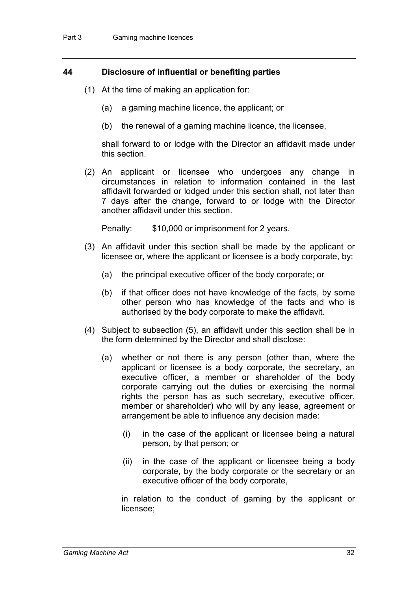# **44 Disclosure of influential or benefiting parties**

- (1) At the time of making an application for:
	- (a) a gaming machine licence, the applicant; or
	- (b) the renewal of a gaming machine licence, the licensee,

shall forward to or lodge with the Director an affidavit made under this section.

(2) An applicant or licensee who undergoes any change in circumstances in relation to information contained in the last affidavit forwarded or lodged under this section shall, not later than 7 days after the change, forward to or lodge with the Director another affidavit under this section.

Penalty: \$10,000 or imprisonment for 2 years.

- (3) An affidavit under this section shall be made by the applicant or licensee or, where the applicant or licensee is a body corporate, by:
	- (a) the principal executive officer of the body corporate; or
	- (b) if that officer does not have knowledge of the facts, by some other person who has knowledge of the facts and who is authorised by the body corporate to make the affidavit.
- (4) Subject to subsection (5), an affidavit under this section shall be in the form determined by the Director and shall disclose:
	- (a) whether or not there is any person (other than, where the applicant or licensee is a body corporate, the secretary, an executive officer, a member or shareholder of the body corporate carrying out the duties or exercising the normal rights the person has as such secretary, executive officer, member or shareholder) who will by any lease, agreement or arrangement be able to influence any decision made:
		- (i) in the case of the applicant or licensee being a natural person, by that person; or
		- (ii) in the case of the applicant or licensee being a body corporate, by the body corporate or the secretary or an executive officer of the body corporate,

in relation to the conduct of gaming by the applicant or licensee;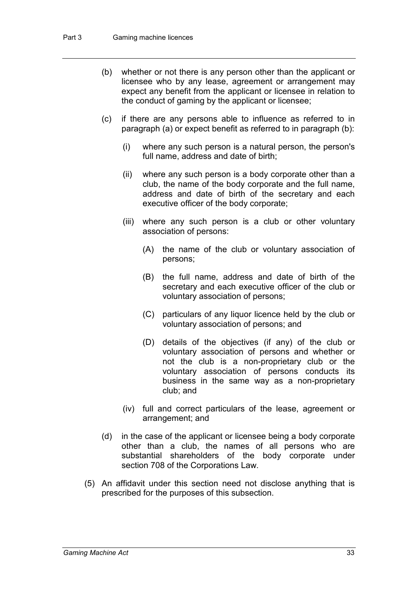- (b) whether or not there is any person other than the applicant or licensee who by any lease, agreement or arrangement may expect any benefit from the applicant or licensee in relation to the conduct of gaming by the applicant or licensee;
- (c) if there are any persons able to influence as referred to in paragraph (a) or expect benefit as referred to in paragraph (b):
	- (i) where any such person is a natural person, the person's full name, address and date of birth;
	- (ii) where any such person is a body corporate other than a club, the name of the body corporate and the full name, address and date of birth of the secretary and each executive officer of the body corporate;
	- (iii) where any such person is a club or other voluntary association of persons:
		- (A) the name of the club or voluntary association of persons;
		- (B) the full name, address and date of birth of the secretary and each executive officer of the club or voluntary association of persons;
		- (C) particulars of any liquor licence held by the club or voluntary association of persons; and
		- (D) details of the objectives (if any) of the club or voluntary association of persons and whether or not the club is a non-proprietary club or the voluntary association of persons conducts its business in the same way as a non-proprietary club; and
	- (iv) full and correct particulars of the lease, agreement or arrangement; and
- (d) in the case of the applicant or licensee being a body corporate other than a club, the names of all persons who are substantial shareholders of the body corporate under section 708 of the Corporations Law.
- (5) An affidavit under this section need not disclose anything that is prescribed for the purposes of this subsection.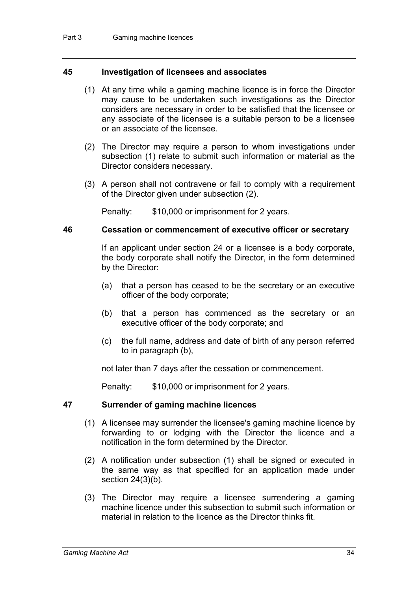# **45 Investigation of licensees and associates**

- (1) At any time while a gaming machine licence is in force the Director may cause to be undertaken such investigations as the Director considers are necessary in order to be satisfied that the licensee or any associate of the licensee is a suitable person to be a licensee or an associate of the licensee.
- (2) The Director may require a person to whom investigations under subsection (1) relate to submit such information or material as the Director considers necessary.
- (3) A person shall not contravene or fail to comply with a requirement of the Director given under subsection (2).

Penalty: \$10,000 or imprisonment for 2 years.

## **46 Cessation or commencement of executive officer or secretary**

If an applicant under section 24 or a licensee is a body corporate, the body corporate shall notify the Director, in the form determined by the Director:

- (a) that a person has ceased to be the secretary or an executive officer of the body corporate;
- (b) that a person has commenced as the secretary or an executive officer of the body corporate; and
- (c) the full name, address and date of birth of any person referred to in paragraph (b),

not later than 7 days after the cessation or commencement.

Penalty: \$10,000 or imprisonment for 2 years.

# **47 Surrender of gaming machine licences**

- (1) A licensee may surrender the licensee's gaming machine licence by forwarding to or lodging with the Director the licence and a notification in the form determined by the Director.
- (2) A notification under subsection (1) shall be signed or executed in the same way as that specified for an application made under section 24(3)(b).
- (3) The Director may require a licensee surrendering a gaming machine licence under this subsection to submit such information or material in relation to the licence as the Director thinks fit.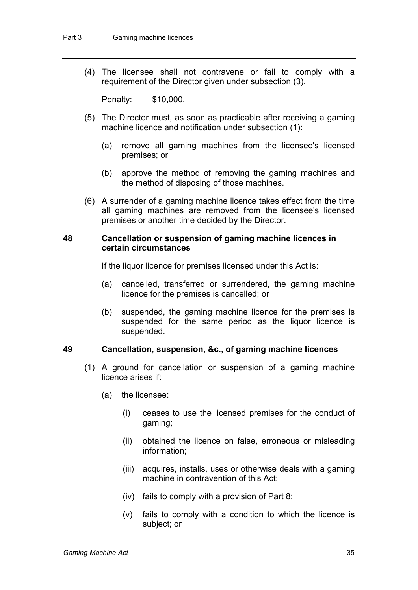(4) The licensee shall not contravene or fail to comply with a requirement of the Director given under subsection (3).

Penalty: \$10,000.

- (5) The Director must, as soon as practicable after receiving a gaming machine licence and notification under subsection (1):
	- (a) remove all gaming machines from the licensee's licensed premises; or
	- (b) approve the method of removing the gaming machines and the method of disposing of those machines.
- (6) A surrender of a gaming machine licence takes effect from the time all gaming machines are removed from the licensee's licensed premises or another time decided by the Director.

### **48 Cancellation or suspension of gaming machine licences in certain circumstances**

If the liquor licence for premises licensed under this Act is:

- (a) cancelled, transferred or surrendered, the gaming machine licence for the premises is cancelled; or
- (b) suspended, the gaming machine licence for the premises is suspended for the same period as the liquor licence is suspended.

# **49 Cancellation, suspension, &c., of gaming machine licences**

- (1) A ground for cancellation or suspension of a gaming machine licence arises if:
	- (a) the licensee:
		- (i) ceases to use the licensed premises for the conduct of gaming;
		- (ii) obtained the licence on false, erroneous or misleading information;
		- (iii) acquires, installs, uses or otherwise deals with a gaming machine in contravention of this Act;
		- (iv) fails to comply with a provision of Part 8;
		- (v) fails to comply with a condition to which the licence is subject; or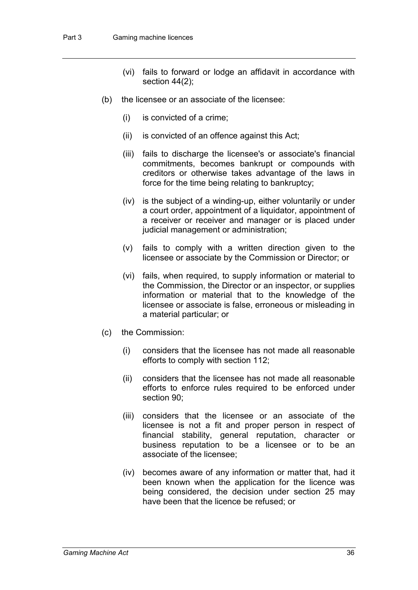- (vi) fails to forward or lodge an affidavit in accordance with section 44(2);
- (b) the licensee or an associate of the licensee:
	- (i) is convicted of a crime;
	- (ii) is convicted of an offence against this Act;
	- (iii) fails to discharge the licensee's or associate's financial commitments, becomes bankrupt or compounds with creditors or otherwise takes advantage of the laws in force for the time being relating to bankruptcy;
	- (iv) is the subject of a winding-up, either voluntarily or under a court order, appointment of a liquidator, appointment of a receiver or receiver and manager or is placed under judicial management or administration;
	- (v) fails to comply with a written direction given to the licensee or associate by the Commission or Director; or
	- (vi) fails, when required, to supply information or material to the Commission, the Director or an inspector, or supplies information or material that to the knowledge of the licensee or associate is false, erroneous or misleading in a material particular; or
- (c) the Commission:
	- (i) considers that the licensee has not made all reasonable efforts to comply with section 112;
	- (ii) considers that the licensee has not made all reasonable efforts to enforce rules required to be enforced under section 90;
	- (iii) considers that the licensee or an associate of the licensee is not a fit and proper person in respect of financial stability, general reputation, character or business reputation to be a licensee or to be an associate of the licensee;
	- (iv) becomes aware of any information or matter that, had it been known when the application for the licence was being considered, the decision under section 25 may have been that the licence be refused; or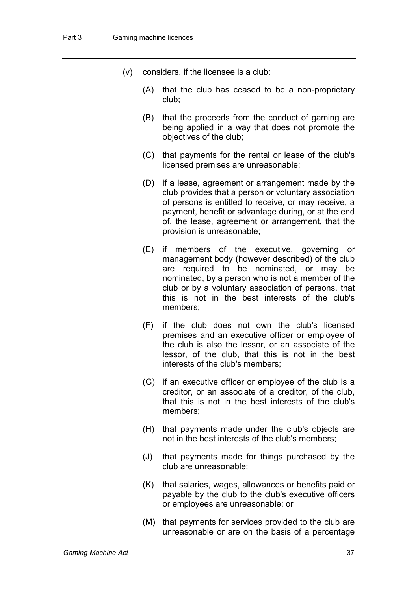- (v) considers, if the licensee is a club:
	- (A) that the club has ceased to be a non-proprietary club;
	- (B) that the proceeds from the conduct of gaming are being applied in a way that does not promote the objectives of the club;
	- (C) that payments for the rental or lease of the club's licensed premises are unreasonable;
	- (D) if a lease, agreement or arrangement made by the club provides that a person or voluntary association of persons is entitled to receive, or may receive, a payment, benefit or advantage during, or at the end of, the lease, agreement or arrangement, that the provision is unreasonable;
	- (E) if members of the executive, governing or management body (however described) of the club are required to be nominated, or may be nominated, by a person who is not a member of the club or by a voluntary association of persons, that this is not in the best interests of the club's members;
	- (F) if the club does not own the club's licensed premises and an executive officer or employee of the club is also the lessor, or an associate of the lessor, of the club, that this is not in the best interests of the club's members;
	- (G) if an executive officer or employee of the club is a creditor, or an associate of a creditor, of the club, that this is not in the best interests of the club's members;
	- (H) that payments made under the club's objects are not in the best interests of the club's members;
	- (J) that payments made for things purchased by the club are unreasonable;
	- (K) that salaries, wages, allowances or benefits paid or payable by the club to the club's executive officers or employees are unreasonable; or
	- (M) that payments for services provided to the club are unreasonable or are on the basis of a percentage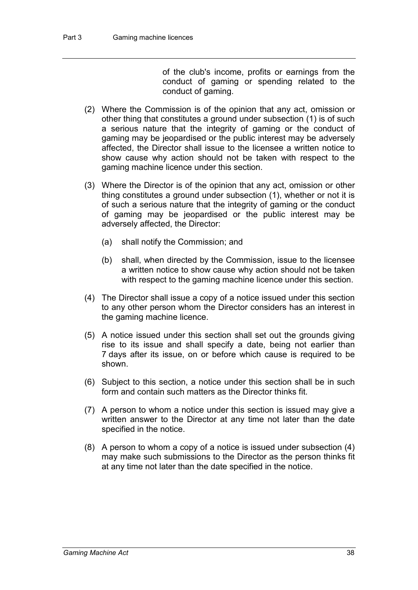of the club's income, profits or earnings from the conduct of gaming or spending related to the conduct of gaming.

- (2) Where the Commission is of the opinion that any act, omission or other thing that constitutes a ground under subsection (1) is of such a serious nature that the integrity of gaming or the conduct of gaming may be jeopardised or the public interest may be adversely affected, the Director shall issue to the licensee a written notice to show cause why action should not be taken with respect to the gaming machine licence under this section.
- (3) Where the Director is of the opinion that any act, omission or other thing constitutes a ground under subsection (1), whether or not it is of such a serious nature that the integrity of gaming or the conduct of gaming may be jeopardised or the public interest may be adversely affected, the Director:
	- (a) shall notify the Commission; and
	- (b) shall, when directed by the Commission, issue to the licensee a written notice to show cause why action should not be taken with respect to the gaming machine licence under this section.
- (4) The Director shall issue a copy of a notice issued under this section to any other person whom the Director considers has an interest in the gaming machine licence.
- (5) A notice issued under this section shall set out the grounds giving rise to its issue and shall specify a date, being not earlier than 7 days after its issue, on or before which cause is required to be shown.
- (6) Subject to this section, a notice under this section shall be in such form and contain such matters as the Director thinks fit.
- (7) A person to whom a notice under this section is issued may give a written answer to the Director at any time not later than the date specified in the notice.
- (8) A person to whom a copy of a notice is issued under subsection (4) may make such submissions to the Director as the person thinks fit at any time not later than the date specified in the notice.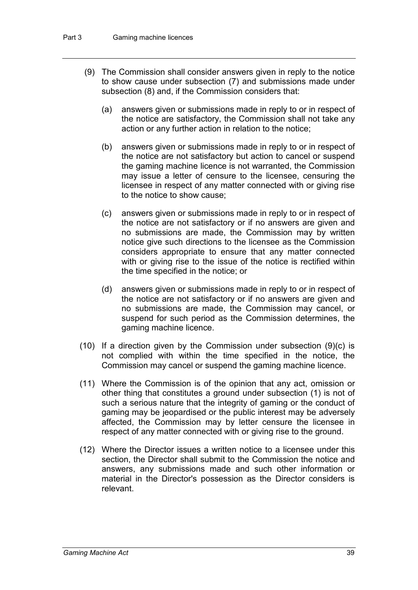- (9) The Commission shall consider answers given in reply to the notice to show cause under subsection (7) and submissions made under subsection (8) and, if the Commission considers that:
	- (a) answers given or submissions made in reply to or in respect of the notice are satisfactory, the Commission shall not take any action or any further action in relation to the notice;
	- (b) answers given or submissions made in reply to or in respect of the notice are not satisfactory but action to cancel or suspend the gaming machine licence is not warranted, the Commission may issue a letter of censure to the licensee, censuring the licensee in respect of any matter connected with or giving rise to the notice to show cause;
	- (c) answers given or submissions made in reply to or in respect of the notice are not satisfactory or if no answers are given and no submissions are made, the Commission may by written notice give such directions to the licensee as the Commission considers appropriate to ensure that any matter connected with or giving rise to the issue of the notice is rectified within the time specified in the notice; or
	- (d) answers given or submissions made in reply to or in respect of the notice are not satisfactory or if no answers are given and no submissions are made, the Commission may cancel, or suspend for such period as the Commission determines, the gaming machine licence.
- (10) If a direction given by the Commission under subsection  $(9)(c)$  is not complied with within the time specified in the notice, the Commission may cancel or suspend the gaming machine licence.
- (11) Where the Commission is of the opinion that any act, omission or other thing that constitutes a ground under subsection (1) is not of such a serious nature that the integrity of gaming or the conduct of gaming may be jeopardised or the public interest may be adversely affected, the Commission may by letter censure the licensee in respect of any matter connected with or giving rise to the ground.
- (12) Where the Director issues a written notice to a licensee under this section, the Director shall submit to the Commission the notice and answers, any submissions made and such other information or material in the Director's possession as the Director considers is relevant.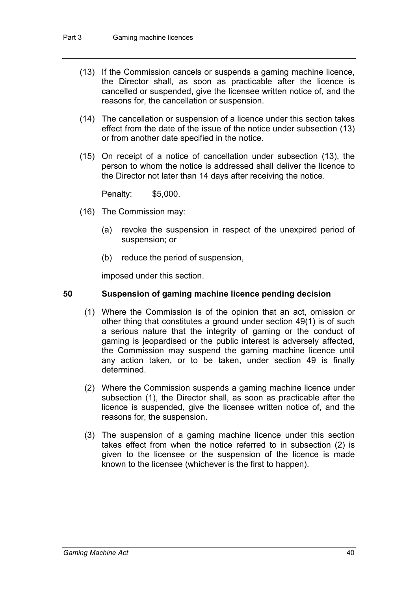- (13) If the Commission cancels or suspends a gaming machine licence, the Director shall, as soon as practicable after the licence is cancelled or suspended, give the licensee written notice of, and the reasons for, the cancellation or suspension.
- (14) The cancellation or suspension of a licence under this section takes effect from the date of the issue of the notice under subsection (13) or from another date specified in the notice.
- (15) On receipt of a notice of cancellation under subsection (13), the person to whom the notice is addressed shall deliver the licence to the Director not later than 14 days after receiving the notice.

Penalty: \$5,000.

- (16) The Commission may:
	- (a) revoke the suspension in respect of the unexpired period of suspension; or
	- (b) reduce the period of suspension,

imposed under this section.

### **50 Suspension of gaming machine licence pending decision**

- (1) Where the Commission is of the opinion that an act, omission or other thing that constitutes a ground under section 49(1) is of such a serious nature that the integrity of gaming or the conduct of gaming is jeopardised or the public interest is adversely affected, the Commission may suspend the gaming machine licence until any action taken, or to be taken, under section 49 is finally determined.
- (2) Where the Commission suspends a gaming machine licence under subsection (1), the Director shall, as soon as practicable after the licence is suspended, give the licensee written notice of, and the reasons for, the suspension.
- (3) The suspension of a gaming machine licence under this section takes effect from when the notice referred to in subsection (2) is given to the licensee or the suspension of the licence is made known to the licensee (whichever is the first to happen).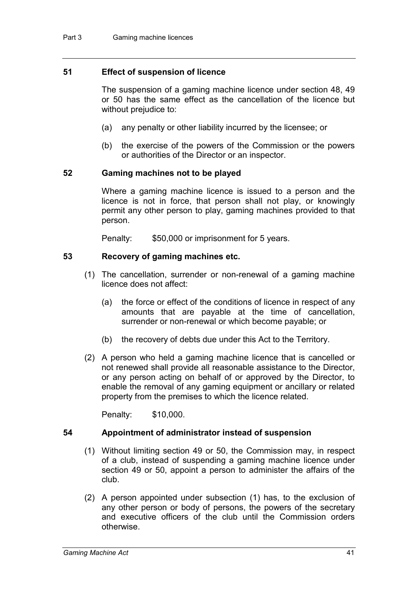# **51 Effect of suspension of licence**

The suspension of a gaming machine licence under section 48, 49 or 50 has the same effect as the cancellation of the licence but without prejudice to:

- (a) any penalty or other liability incurred by the licensee; or
- (b) the exercise of the powers of the Commission or the powers or authorities of the Director or an inspector.

## **52 Gaming machines not to be played**

Where a gaming machine licence is issued to a person and the licence is not in force, that person shall not play, or knowingly permit any other person to play, gaming machines provided to that person.

Penalty: \$50,000 or imprisonment for 5 years.

## **53 Recovery of gaming machines etc.**

- (1) The cancellation, surrender or non-renewal of a gaming machine licence does not affect:
	- (a) the force or effect of the conditions of licence in respect of any amounts that are payable at the time of cancellation, surrender or non-renewal or which become payable; or
	- (b) the recovery of debts due under this Act to the Territory.
- (2) A person who held a gaming machine licence that is cancelled or not renewed shall provide all reasonable assistance to the Director, or any person acting on behalf of or approved by the Director, to enable the removal of any gaming equipment or ancillary or related property from the premises to which the licence related.

Penalty: \$10,000.

#### **54 Appointment of administrator instead of suspension**

- (1) Without limiting section 49 or 50, the Commission may, in respect of a club, instead of suspending a gaming machine licence under section 49 or 50, appoint a person to administer the affairs of the club.
- (2) A person appointed under subsection (1) has, to the exclusion of any other person or body of persons, the powers of the secretary and executive officers of the club until the Commission orders otherwise.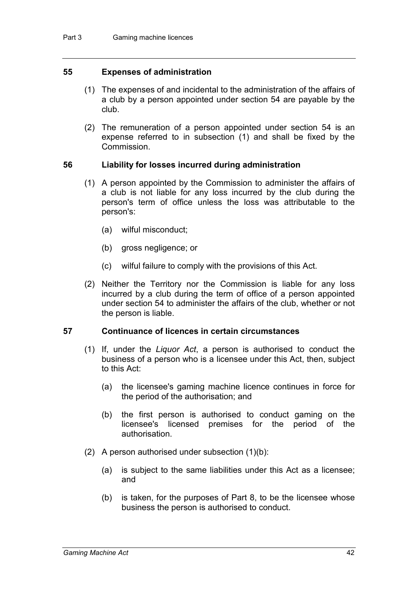# **55 Expenses of administration**

- (1) The expenses of and incidental to the administration of the affairs of a club by a person appointed under section 54 are payable by the club.
- (2) The remuneration of a person appointed under section 54 is an expense referred to in subsection (1) and shall be fixed by the Commission.

## **56 Liability for losses incurred during administration**

- (1) A person appointed by the Commission to administer the affairs of a club is not liable for any loss incurred by the club during the person's term of office unless the loss was attributable to the person's:
	- (a) wilful misconduct;
	- (b) gross negligence; or
	- (c) wilful failure to comply with the provisions of this Act.
- (2) Neither the Territory nor the Commission is liable for any loss incurred by a club during the term of office of a person appointed under section 54 to administer the affairs of the club, whether or not the person is liable.

#### **57 Continuance of licences in certain circumstances**

- (1) If, under the *Liquor Act*, a person is authorised to conduct the business of a person who is a licensee under this Act, then, subject to this Act:
	- (a) the licensee's gaming machine licence continues in force for the period of the authorisation; and
	- (b) the first person is authorised to conduct gaming on the licensee's licensed premises for the period of the authorisation.
- (2) A person authorised under subsection  $(1)(b)$ :
	- (a) is subject to the same liabilities under this Act as a licensee; and
	- (b) is taken, for the purposes of Part 8, to be the licensee whose business the person is authorised to conduct.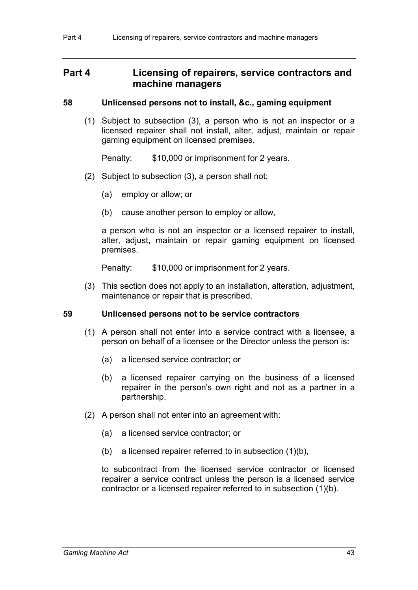# **Part 4 Licensing of repairers, service contractors and machine managers**

# **58 Unlicensed persons not to install, &c., gaming equipment**

(1) Subject to subsection (3), a person who is not an inspector or a licensed repairer shall not install, alter, adjust, maintain or repair gaming equipment on licensed premises.

Penalty: \$10,000 or imprisonment for 2 years.

- (2) Subject to subsection (3), a person shall not:
	- (a) employ or allow; or
	- (b) cause another person to employ or allow,

a person who is not an inspector or a licensed repairer to install, alter, adjust, maintain or repair gaming equipment on licensed premises.

Penalty: \$10,000 or imprisonment for 2 years.

(3) This section does not apply to an installation, alteration, adjustment, maintenance or repair that is prescribed.

# **59 Unlicensed persons not to be service contractors**

- (1) A person shall not enter into a service contract with a licensee, a person on behalf of a licensee or the Director unless the person is:
	- (a) a licensed service contractor; or
	- (b) a licensed repairer carrying on the business of a licensed repairer in the person's own right and not as a partner in a partnership.
- (2) A person shall not enter into an agreement with:
	- (a) a licensed service contractor; or
	- (b) a licensed repairer referred to in subsection (1)(b),

to subcontract from the licensed service contractor or licensed repairer a service contract unless the person is a licensed service contractor or a licensed repairer referred to in subsection (1)(b).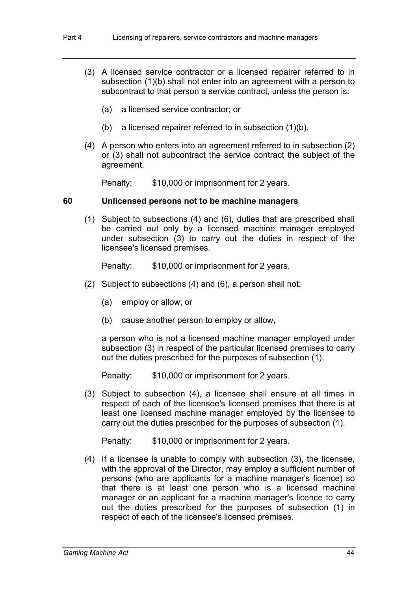- (3) A licensed service contractor or a licensed repairer referred to in subsection (1)(b) shall not enter into an agreement with a person to subcontract to that person a service contract, unless the person is:
	- (a) a licensed service contractor; or
	- (b) a licensed repairer referred to in subsection (1)(b).
- (4) A person who enters into an agreement referred to in subsection (2) or (3) shall not subcontract the service contract the subject of the agreement.

Penalty: \$10,000 or imprisonment for 2 years.

#### **60 Unlicensed persons not to be machine managers**

(1) Subject to subsections (4) and (6), duties that are prescribed shall be carried out only by a licensed machine manager employed under subsection (3) to carry out the duties in respect of the licensee's licensed premises.

Penalty: \$10,000 or imprisonment for 2 years.

- (2) Subject to subsections (4) and (6), a person shall not:
	- (a) employ or allow; or
	- (b) cause another person to employ or allow,

a person who is not a licensed machine manager employed under subsection (3) in respect of the particular licensed premises to carry out the duties prescribed for the purposes of subsection (1).

Penalty: \$10,000 or imprisonment for 2 years.

(3) Subject to subsection (4), a licensee shall ensure at all times in respect of each of the licensee's licensed premises that there is at least one licensed machine manager employed by the licensee to carry out the duties prescribed for the purposes of subsection (1).

Penalty: \$10,000 or imprisonment for 2 years.

(4) If a licensee is unable to comply with subsection (3), the licensee, with the approval of the Director, may employ a sufficient number of persons (who are applicants for a machine manager's licence) so that there is at least one person who is a licensed machine manager or an applicant for a machine manager's licence to carry out the duties prescribed for the purposes of subsection (1) in respect of each of the licensee's licensed premises.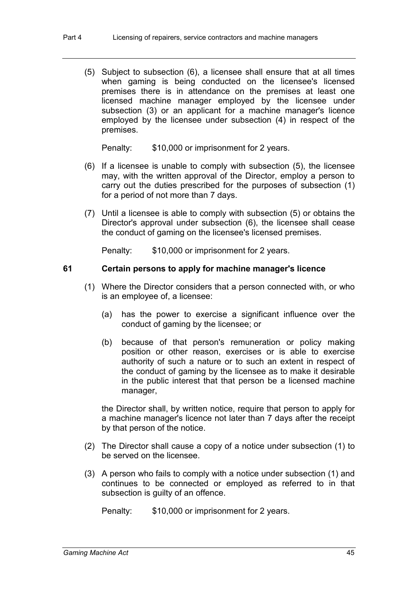(5) Subject to subsection (6), a licensee shall ensure that at all times when gaming is being conducted on the licensee's licensed premises there is in attendance on the premises at least one licensed machine manager employed by the licensee under subsection (3) or an applicant for a machine manager's licence employed by the licensee under subsection (4) in respect of the premises.

Penalty: \$10,000 or imprisonment for 2 years.

- (6) If a licensee is unable to comply with subsection (5), the licensee may, with the written approval of the Director, employ a person to carry out the duties prescribed for the purposes of subsection (1) for a period of not more than 7 days.
- (7) Until a licensee is able to comply with subsection (5) or obtains the Director's approval under subsection (6), the licensee shall cease the conduct of gaming on the licensee's licensed premises.

Penalty: \$10,000 or imprisonment for 2 years.

# **61 Certain persons to apply for machine manager's licence**

- (1) Where the Director considers that a person connected with, or who is an employee of, a licensee:
	- (a) has the power to exercise a significant influence over the conduct of gaming by the licensee; or
	- (b) because of that person's remuneration or policy making position or other reason, exercises or is able to exercise authority of such a nature or to such an extent in respect of the conduct of gaming by the licensee as to make it desirable in the public interest that that person be a licensed machine manager,

the Director shall, by written notice, require that person to apply for a machine manager's licence not later than 7 days after the receipt by that person of the notice.

- (2) The Director shall cause a copy of a notice under subsection (1) to be served on the licensee.
- (3) A person who fails to comply with a notice under subsection (1) and continues to be connected or employed as referred to in that subsection is guilty of an offence.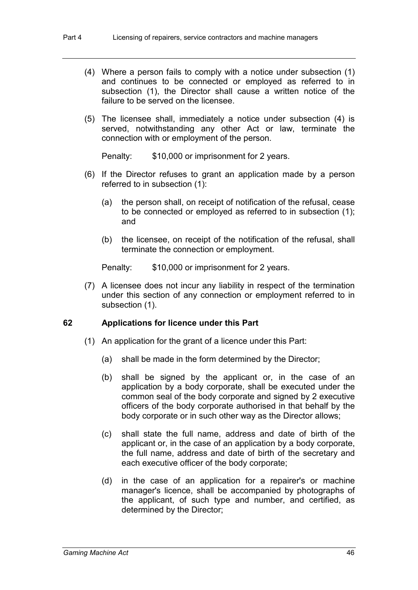- (4) Where a person fails to comply with a notice under subsection (1) and continues to be connected or employed as referred to in subsection (1), the Director shall cause a written notice of the failure to be served on the licensee.
- (5) The licensee shall, immediately a notice under subsection (4) is served, notwithstanding any other Act or law, terminate the connection with or employment of the person.

Penalty: \$10,000 or imprisonment for 2 years.

- (6) If the Director refuses to grant an application made by a person referred to in subsection (1):
	- (a) the person shall, on receipt of notification of the refusal, cease to be connected or employed as referred to in subsection (1); and
	- (b) the licensee, on receipt of the notification of the refusal, shall terminate the connection or employment.

Penalty: \$10,000 or imprisonment for 2 years.

(7) A licensee does not incur any liability in respect of the termination under this section of any connection or employment referred to in subsection (1).

# **62 Applications for licence under this Part**

- (1) An application for the grant of a licence under this Part:
	- (a) shall be made in the form determined by the Director;
	- (b) shall be signed by the applicant or, in the case of an application by a body corporate, shall be executed under the common seal of the body corporate and signed by 2 executive officers of the body corporate authorised in that behalf by the body corporate or in such other way as the Director allows;
	- (c) shall state the full name, address and date of birth of the applicant or, in the case of an application by a body corporate, the full name, address and date of birth of the secretary and each executive officer of the body corporate;
	- (d) in the case of an application for a repairer's or machine manager's licence, shall be accompanied by photographs of the applicant, of such type and number, and certified, as determined by the Director;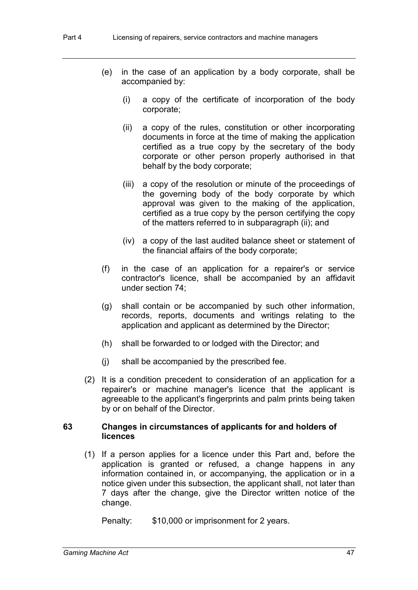- (e) in the case of an application by a body corporate, shall be accompanied by:
	- (i) a copy of the certificate of incorporation of the body corporate;
	- (ii) a copy of the rules, constitution or other incorporating documents in force at the time of making the application certified as a true copy by the secretary of the body corporate or other person properly authorised in that behalf by the body corporate;
	- (iii) a copy of the resolution or minute of the proceedings of the governing body of the body corporate by which approval was given to the making of the application, certified as a true copy by the person certifying the copy of the matters referred to in subparagraph (ii); and
	- (iv) a copy of the last audited balance sheet or statement of the financial affairs of the body corporate;
- (f) in the case of an application for a repairer's or service contractor's licence, shall be accompanied by an affidavit under section 74;
- (g) shall contain or be accompanied by such other information, records, reports, documents and writings relating to the application and applicant as determined by the Director;
- (h) shall be forwarded to or lodged with the Director; and
- (j) shall be accompanied by the prescribed fee.
- (2) It is a condition precedent to consideration of an application for a repairer's or machine manager's licence that the applicant is agreeable to the applicant's fingerprints and palm prints being taken by or on behalf of the Director.

## **63 Changes in circumstances of applicants for and holders of licences**

(1) If a person applies for a licence under this Part and, before the application is granted or refused, a change happens in any information contained in, or accompanying, the application or in a notice given under this subsection, the applicant shall, not later than 7 days after the change, give the Director written notice of the change.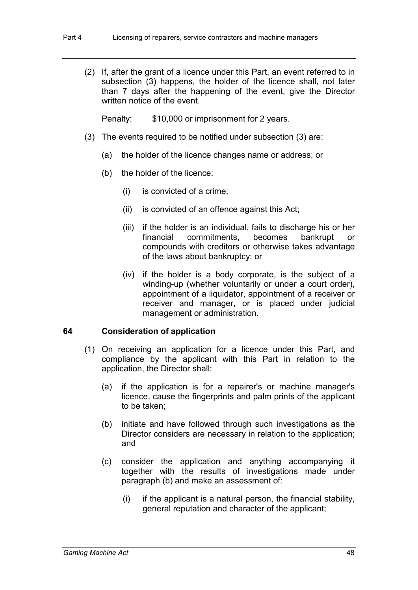(2) If, after the grant of a licence under this Part, an event referred to in subsection (3) happens, the holder of the licence shall, not later than 7 days after the happening of the event, give the Director written notice of the event.

Penalty: \$10,000 or imprisonment for 2 years.

- (3) The events required to be notified under subsection (3) are:
	- (a) the holder of the licence changes name or address; or
	- (b) the holder of the licence:
		- (i) is convicted of a crime;
		- (ii) is convicted of an offence against this Act;
		- (iii) if the holder is an individual, fails to discharge his or her financial commitments, becomes bankrupt or compounds with creditors or otherwise takes advantage of the laws about bankruptcy; or
		- (iv) if the holder is a body corporate, is the subject of a winding-up (whether voluntarily or under a court order), appointment of a liquidator, appointment of a receiver or receiver and manager, or is placed under judicial management or administration.

# **64 Consideration of application**

- (1) On receiving an application for a licence under this Part, and compliance by the applicant with this Part in relation to the application, the Director shall:
	- (a) if the application is for a repairer's or machine manager's licence, cause the fingerprints and palm prints of the applicant to be taken;
	- (b) initiate and have followed through such investigations as the Director considers are necessary in relation to the application; and
	- (c) consider the application and anything accompanying it together with the results of investigations made under paragraph (b) and make an assessment of:
		- (i) if the applicant is a natural person, the financial stability, general reputation and character of the applicant;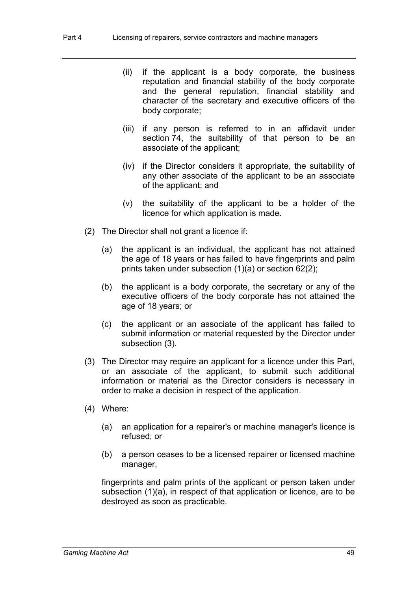- (ii) if the applicant is a body corporate, the business reputation and financial stability of the body corporate and the general reputation, financial stability and character of the secretary and executive officers of the body corporate;
- (iii) if any person is referred to in an affidavit under section 74, the suitability of that person to be an associate of the applicant;
- (iv) if the Director considers it appropriate, the suitability of any other associate of the applicant to be an associate of the applicant; and
- (v) the suitability of the applicant to be a holder of the licence for which application is made.
- (2) The Director shall not grant a licence if:
	- (a) the applicant is an individual, the applicant has not attained the age of 18 years or has failed to have fingerprints and palm prints taken under subsection (1)(a) or section 62(2);
	- (b) the applicant is a body corporate, the secretary or any of the executive officers of the body corporate has not attained the age of 18 years; or
	- (c) the applicant or an associate of the applicant has failed to submit information or material requested by the Director under subsection (3).
- (3) The Director may require an applicant for a licence under this Part, or an associate of the applicant, to submit such additional information or material as the Director considers is necessary in order to make a decision in respect of the application.
- (4) Where:
	- (a) an application for a repairer's or machine manager's licence is refused; or
	- (b) a person ceases to be a licensed repairer or licensed machine manager,

fingerprints and palm prints of the applicant or person taken under subsection (1)(a), in respect of that application or licence, are to be destroyed as soon as practicable.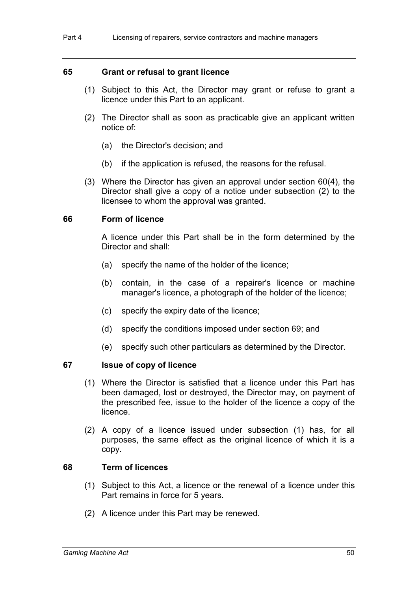### **65 Grant or refusal to grant licence**

- (1) Subject to this Act, the Director may grant or refuse to grant a licence under this Part to an applicant.
- (2) The Director shall as soon as practicable give an applicant written notice of:
	- (a) the Director's decision; and
	- (b) if the application is refused, the reasons for the refusal.
- (3) Where the Director has given an approval under section 60(4), the Director shall give a copy of a notice under subsection (2) to the licensee to whom the approval was granted.

#### **66 Form of licence**

A licence under this Part shall be in the form determined by the Director and shall:

- (a) specify the name of the holder of the licence;
- (b) contain, in the case of a repairer's licence or machine manager's licence, a photograph of the holder of the licence;
- (c) specify the expiry date of the licence;
- (d) specify the conditions imposed under section 69; and
- (e) specify such other particulars as determined by the Director.

#### **67 Issue of copy of licence**

- (1) Where the Director is satisfied that a licence under this Part has been damaged, lost or destroyed, the Director may, on payment of the prescribed fee, issue to the holder of the licence a copy of the licence.
- (2) A copy of a licence issued under subsection (1) has, for all purposes, the same effect as the original licence of which it is a copy.

#### **68 Term of licences**

- (1) Subject to this Act, a licence or the renewal of a licence under this Part remains in force for 5 years.
- (2) A licence under this Part may be renewed.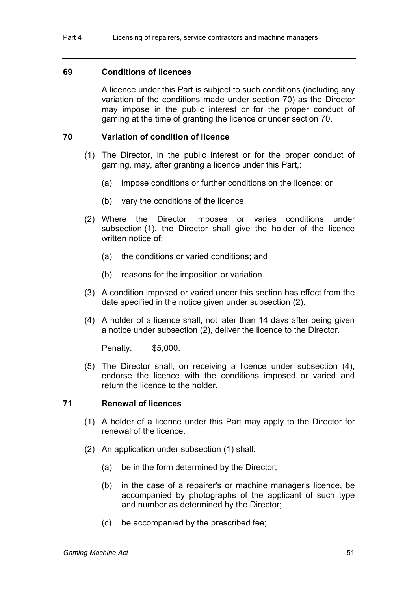#### **69 Conditions of licences**

A licence under this Part is subject to such conditions (including any variation of the conditions made under section 70) as the Director may impose in the public interest or for the proper conduct of gaming at the time of granting the licence or under section 70.

## **70 Variation of condition of licence**

- (1) The Director, in the public interest or for the proper conduct of gaming, may, after granting a licence under this Part,:
	- (a) impose conditions or further conditions on the licence; or
	- (b) vary the conditions of the licence.
- (2) Where the Director imposes or varies conditions under subsection (1), the Director shall give the holder of the licence written notice of:
	- (a) the conditions or varied conditions; and
	- (b) reasons for the imposition or variation.
- (3) A condition imposed or varied under this section has effect from the date specified in the notice given under subsection (2).
- (4) A holder of a licence shall, not later than 14 days after being given a notice under subsection (2), deliver the licence to the Director.

Penalty: \$5,000.

(5) The Director shall, on receiving a licence under subsection (4), endorse the licence with the conditions imposed or varied and return the licence to the holder.

#### **71 Renewal of licences**

- (1) A holder of a licence under this Part may apply to the Director for renewal of the licence.
- (2) An application under subsection (1) shall:
	- (a) be in the form determined by the Director;
	- (b) in the case of a repairer's or machine manager's licence, be accompanied by photographs of the applicant of such type and number as determined by the Director;
	- (c) be accompanied by the prescribed fee;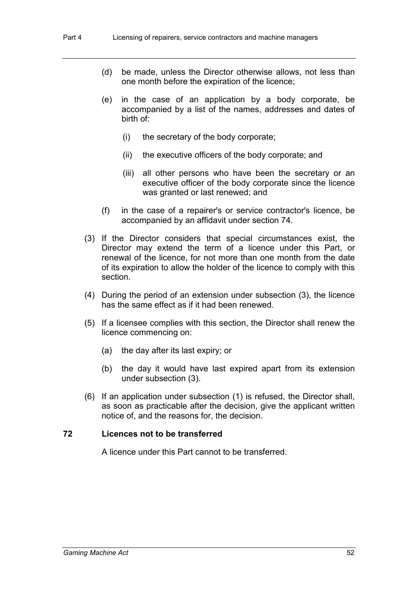- (d) be made, unless the Director otherwise allows, not less than one month before the expiration of the licence;
- (e) in the case of an application by a body corporate, be accompanied by a list of the names, addresses and dates of birth of:
	- (i) the secretary of the body corporate;
	- (ii) the executive officers of the body corporate; and
	- (iii) all other persons who have been the secretary or an executive officer of the body corporate since the licence was granted or last renewed; and
- (f) in the case of a repairer's or service contractor's licence, be accompanied by an affidavit under section 74.
- (3) If the Director considers that special circumstances exist, the Director may extend the term of a licence under this Part, or renewal of the licence, for not more than one month from the date of its expiration to allow the holder of the licence to comply with this section.
- (4) During the period of an extension under subsection (3), the licence has the same effect as if it had been renewed.
- (5) If a licensee complies with this section, the Director shall renew the licence commencing on:
	- (a) the day after its last expiry; or
	- (b) the day it would have last expired apart from its extension under subsection (3).
- (6) If an application under subsection (1) is refused, the Director shall, as soon as practicable after the decision, give the applicant written notice of, and the reasons for, the decision.

# **72 Licences not to be transferred**

A licence under this Part cannot to be transferred.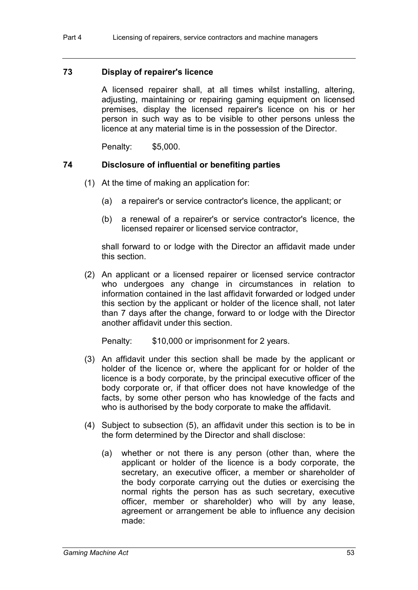#### **73 Display of repairer's licence**

A licensed repairer shall, at all times whilst installing, altering, adjusting, maintaining or repairing gaming equipment on licensed premises, display the licensed repairer's licence on his or her person in such way as to be visible to other persons unless the licence at any material time is in the possession of the Director.

Penalty: \$5,000.

## **74 Disclosure of influential or benefiting parties**

- (1) At the time of making an application for:
	- (a) a repairer's or service contractor's licence, the applicant; or
	- (b) a renewal of a repairer's or service contractor's licence, the licensed repairer or licensed service contractor,

shall forward to or lodge with the Director an affidavit made under this section.

(2) An applicant or a licensed repairer or licensed service contractor who undergoes any change in circumstances in relation to information contained in the last affidavit forwarded or lodged under this section by the applicant or holder of the licence shall, not later than 7 days after the change, forward to or lodge with the Director another affidavit under this section.

- (3) An affidavit under this section shall be made by the applicant or holder of the licence or, where the applicant for or holder of the licence is a body corporate, by the principal executive officer of the body corporate or, if that officer does not have knowledge of the facts, by some other person who has knowledge of the facts and who is authorised by the body corporate to make the affidavit.
- (4) Subject to subsection (5), an affidavit under this section is to be in the form determined by the Director and shall disclose:
	- (a) whether or not there is any person (other than, where the applicant or holder of the licence is a body corporate, the secretary, an executive officer, a member or shareholder of the body corporate carrying out the duties or exercising the normal rights the person has as such secretary, executive officer, member or shareholder) who will by any lease, agreement or arrangement be able to influence any decision made: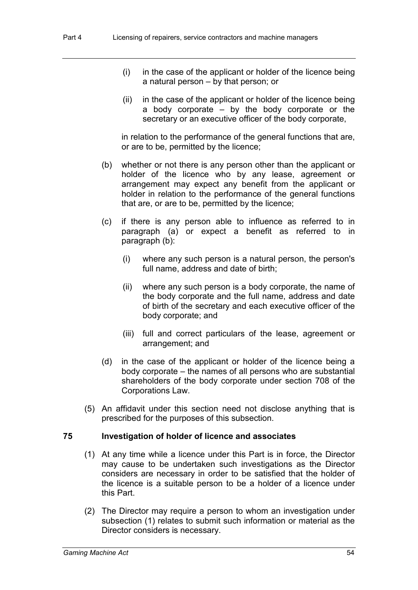- (i) in the case of the applicant or holder of the licence being a natural person – by that person; or
- (ii) in the case of the applicant or holder of the licence being a body corporate – by the body corporate or the secretary or an executive officer of the body corporate,

in relation to the performance of the general functions that are, or are to be, permitted by the licence;

- (b) whether or not there is any person other than the applicant or holder of the licence who by any lease, agreement or arrangement may expect any benefit from the applicant or holder in relation to the performance of the general functions that are, or are to be, permitted by the licence;
- (c) if there is any person able to influence as referred to in paragraph (a) or expect a benefit as referred to in paragraph (b):
	- (i) where any such person is a natural person, the person's full name, address and date of birth;
	- (ii) where any such person is a body corporate, the name of the body corporate and the full name, address and date of birth of the secretary and each executive officer of the body corporate; and
	- (iii) full and correct particulars of the lease, agreement or arrangement; and
- (d) in the case of the applicant or holder of the licence being a body corporate – the names of all persons who are substantial shareholders of the body corporate under section 708 of the Corporations Law.
- (5) An affidavit under this section need not disclose anything that is prescribed for the purposes of this subsection.

#### **75 Investigation of holder of licence and associates**

- (1) At any time while a licence under this Part is in force, the Director may cause to be undertaken such investigations as the Director considers are necessary in order to be satisfied that the holder of the licence is a suitable person to be a holder of a licence under this Part.
- (2) The Director may require a person to whom an investigation under subsection (1) relates to submit such information or material as the Director considers is necessary.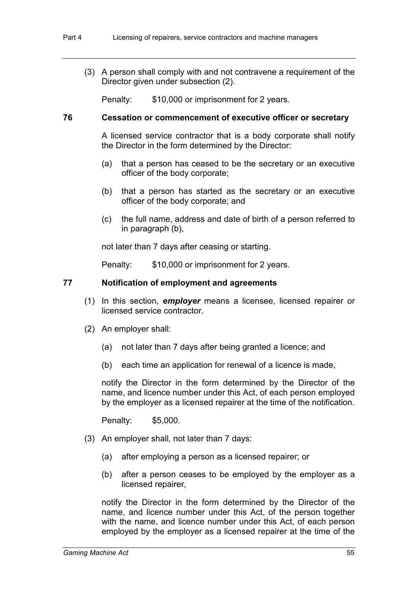(3) A person shall comply with and not contravene a requirement of the Director given under subsection (2).

Penalty: \$10,000 or imprisonment for 2 years.

## **76 Cessation or commencement of executive officer or secretary**

A licensed service contractor that is a body corporate shall notify the Director in the form determined by the Director:

- (a) that a person has ceased to be the secretary or an executive officer of the body corporate;
- (b) that a person has started as the secretary or an executive officer of the body corporate; and
- (c) the full name, address and date of birth of a person referred to in paragraph (b),

not later than 7 days after ceasing or starting.

Penalty: \$10,000 or imprisonment for 2 years.

## **77 Notification of employment and agreements**

- (1) In this section, *employer* means a licensee, licensed repairer or licensed service contractor.
- (2) An employer shall:
	- (a) not later than 7 days after being granted a licence; and
	- (b) each time an application for renewal of a licence is made,

notify the Director in the form determined by the Director of the name, and licence number under this Act, of each person employed by the employer as a licensed repairer at the time of the notification.

Penalty: \$5,000.

- (3) An employer shall, not later than 7 days:
	- (a) after employing a person as a licensed repairer; or
	- (b) after a person ceases to be employed by the employer as a licensed repairer,

notify the Director in the form determined by the Director of the name, and licence number under this Act, of the person together with the name, and licence number under this Act, of each person employed by the employer as a licensed repairer at the time of the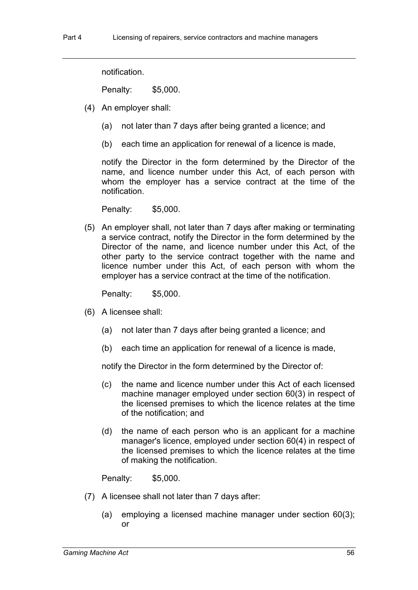Penalty: \$5,000.

(4) An employer shall:

notification.

- (a) not later than 7 days after being granted a licence; and
- (b) each time an application for renewal of a licence is made,

notify the Director in the form determined by the Director of the name, and licence number under this Act, of each person with whom the employer has a service contract at the time of the notification.

Penalty: \$5,000.

(5) An employer shall, not later than 7 days after making or terminating a service contract, notify the Director in the form determined by the Director of the name, and licence number under this Act, of the other party to the service contract together with the name and licence number under this Act, of each person with whom the employer has a service contract at the time of the notification.

Penalty: \$5,000.

- (6) A licensee shall:
	- (a) not later than 7 days after being granted a licence; and
	- (b) each time an application for renewal of a licence is made,

notify the Director in the form determined by the Director of:

- (c) the name and licence number under this Act of each licensed machine manager employed under section 60(3) in respect of the licensed premises to which the licence relates at the time of the notification; and
- (d) the name of each person who is an applicant for a machine manager's licence, employed under section 60(4) in respect of the licensed premises to which the licence relates at the time of making the notification.

Penalty: \$5,000.

- (7) A licensee shall not later than 7 days after:
	- (a) employing a licensed machine manager under section 60(3); or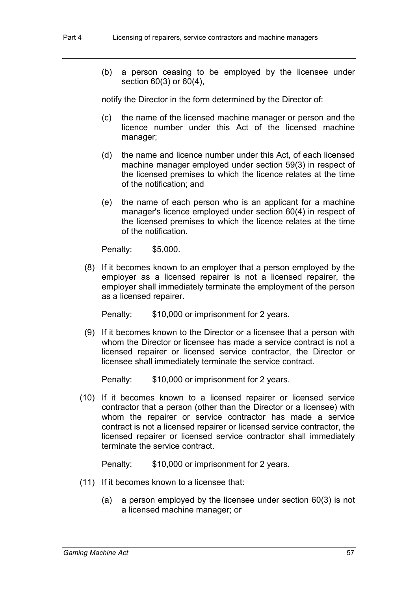(b) a person ceasing to be employed by the licensee under section 60(3) or 60(4),

notify the Director in the form determined by the Director of:

- (c) the name of the licensed machine manager or person and the licence number under this Act of the licensed machine manager;
- (d) the name and licence number under this Act, of each licensed machine manager employed under section 59(3) in respect of the licensed premises to which the licence relates at the time of the notification; and
- (e) the name of each person who is an applicant for a machine manager's licence employed under section 60(4) in respect of the licensed premises to which the licence relates at the time of the notification.

Penalty: \$5,000.

(8) If it becomes known to an employer that a person employed by the employer as a licensed repairer is not a licensed repairer, the employer shall immediately terminate the employment of the person as a licensed repairer.

Penalty: \$10,000 or imprisonment for 2 years.

(9) If it becomes known to the Director or a licensee that a person with whom the Director or licensee has made a service contract is not a licensed repairer or licensed service contractor, the Director or licensee shall immediately terminate the service contract.

Penalty: \$10,000 or imprisonment for 2 years.

(10) If it becomes known to a licensed repairer or licensed service contractor that a person (other than the Director or a licensee) with whom the repairer or service contractor has made a service contract is not a licensed repairer or licensed service contractor, the licensed repairer or licensed service contractor shall immediately terminate the service contract.

- (11) If it becomes known to a licensee that:
	- (a) a person employed by the licensee under section 60(3) is not a licensed machine manager; or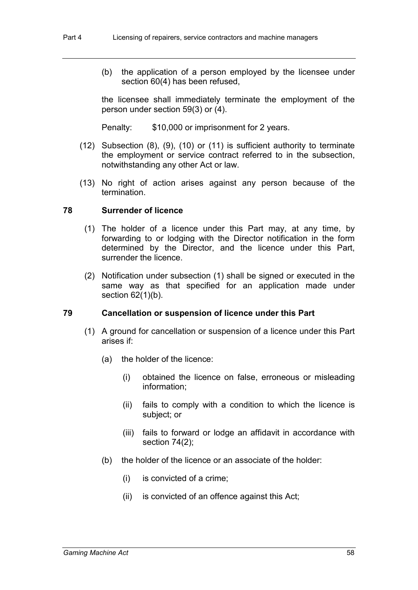(b) the application of a person employed by the licensee under section 60(4) has been refused,

the licensee shall immediately terminate the employment of the person under section 59(3) or (4).

Penalty: \$10,000 or imprisonment for 2 years.

- (12) Subsection (8), (9), (10) or (11) is sufficient authority to terminate the employment or service contract referred to in the subsection, notwithstanding any other Act or law.
- (13) No right of action arises against any person because of the termination.

# **78 Surrender of licence**

- (1) The holder of a licence under this Part may, at any time, by forwarding to or lodging with the Director notification in the form determined by the Director, and the licence under this Part, surrender the licence.
- (2) Notification under subsection (1) shall be signed or executed in the same way as that specified for an application made under section  $62(1)(b)$ .

# **79 Cancellation or suspension of licence under this Part**

- (1) A ground for cancellation or suspension of a licence under this Part arises if:
	- (a) the holder of the licence:
		- (i) obtained the licence on false, erroneous or misleading information;
		- (ii) fails to comply with a condition to which the licence is subject; or
		- (iii) fails to forward or lodge an affidavit in accordance with section 74(2);
	- (b) the holder of the licence or an associate of the holder:
		- (i) is convicted of a crime;
		- (ii) is convicted of an offence against this Act;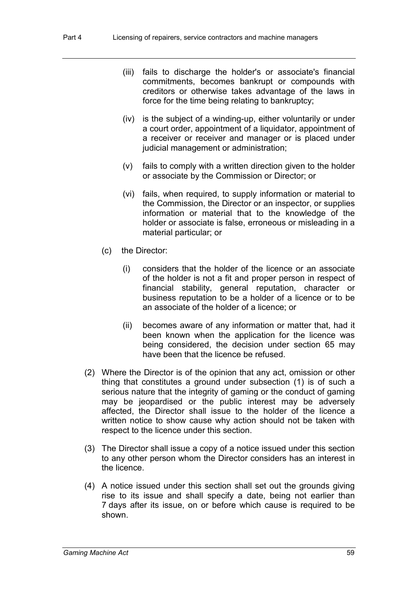- (iii) fails to discharge the holder's or associate's financial commitments, becomes bankrupt or compounds with creditors or otherwise takes advantage of the laws in force for the time being relating to bankruptcy;
- (iv) is the subject of a winding-up, either voluntarily or under a court order, appointment of a liquidator, appointment of a receiver or receiver and manager or is placed under judicial management or administration;
- (v) fails to comply with a written direction given to the holder or associate by the Commission or Director; or
- (vi) fails, when required, to supply information or material to the Commission, the Director or an inspector, or supplies information or material that to the knowledge of the holder or associate is false, erroneous or misleading in a material particular; or
- (c) the Director:
	- (i) considers that the holder of the licence or an associate of the holder is not a fit and proper person in respect of financial stability, general reputation, character or business reputation to be a holder of a licence or to be an associate of the holder of a licence; or
	- (ii) becomes aware of any information or matter that, had it been known when the application for the licence was being considered, the decision under section 65 may have been that the licence be refused.
- (2) Where the Director is of the opinion that any act, omission or other thing that constitutes a ground under subsection (1) is of such a serious nature that the integrity of gaming or the conduct of gaming may be jeopardised or the public interest may be adversely affected, the Director shall issue to the holder of the licence a written notice to show cause why action should not be taken with respect to the licence under this section.
- (3) The Director shall issue a copy of a notice issued under this section to any other person whom the Director considers has an interest in the licence.
- (4) A notice issued under this section shall set out the grounds giving rise to its issue and shall specify a date, being not earlier than 7 days after its issue, on or before which cause is required to be shown.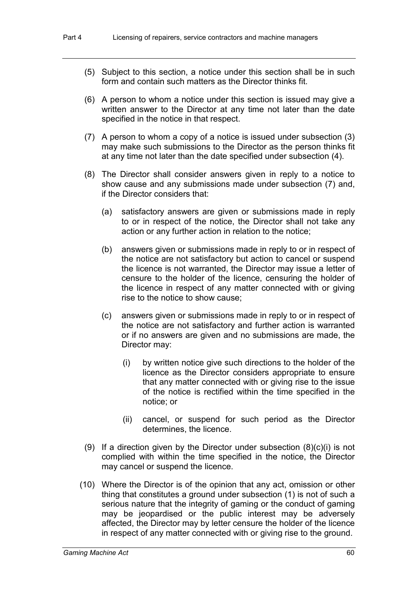- (5) Subject to this section, a notice under this section shall be in such form and contain such matters as the Director thinks fit.
- (6) A person to whom a notice under this section is issued may give a written answer to the Director at any time not later than the date specified in the notice in that respect.
- (7) A person to whom a copy of a notice is issued under subsection (3) may make such submissions to the Director as the person thinks fit at any time not later than the date specified under subsection (4).
- (8) The Director shall consider answers given in reply to a notice to show cause and any submissions made under subsection (7) and, if the Director considers that:
	- (a) satisfactory answers are given or submissions made in reply to or in respect of the notice, the Director shall not take any action or any further action in relation to the notice;
	- (b) answers given or submissions made in reply to or in respect of the notice are not satisfactory but action to cancel or suspend the licence is not warranted, the Director may issue a letter of censure to the holder of the licence, censuring the holder of the licence in respect of any matter connected with or giving rise to the notice to show cause;
	- (c) answers given or submissions made in reply to or in respect of the notice are not satisfactory and further action is warranted or if no answers are given and no submissions are made, the Director may:
		- (i) by written notice give such directions to the holder of the licence as the Director considers appropriate to ensure that any matter connected with or giving rise to the issue of the notice is rectified within the time specified in the notice; or
		- (ii) cancel, or suspend for such period as the Director determines, the licence.
- (9) If a direction given by the Director under subsection  $(8)(c)(i)$  is not complied with within the time specified in the notice, the Director may cancel or suspend the licence.
- (10) Where the Director is of the opinion that any act, omission or other thing that constitutes a ground under subsection (1) is not of such a serious nature that the integrity of gaming or the conduct of gaming may be jeopardised or the public interest may be adversely affected, the Director may by letter censure the holder of the licence in respect of any matter connected with or giving rise to the ground.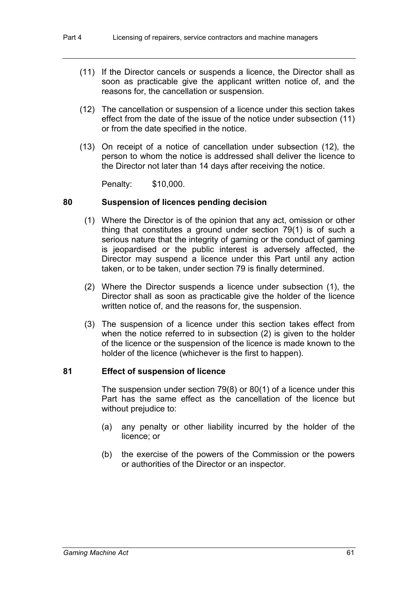- (11) If the Director cancels or suspends a licence, the Director shall as soon as practicable give the applicant written notice of, and the reasons for, the cancellation or suspension.
- (12) The cancellation or suspension of a licence under this section takes effect from the date of the issue of the notice under subsection (11) or from the date specified in the notice.
- (13) On receipt of a notice of cancellation under subsection (12), the person to whom the notice is addressed shall deliver the licence to the Director not later than 14 days after receiving the notice.

Penalty: \$10,000.

## **80 Suspension of licences pending decision**

- (1) Where the Director is of the opinion that any act, omission or other thing that constitutes a ground under section 79(1) is of such a serious nature that the integrity of gaming or the conduct of gaming is jeopardised or the public interest is adversely affected, the Director may suspend a licence under this Part until any action taken, or to be taken, under section 79 is finally determined.
- (2) Where the Director suspends a licence under subsection (1), the Director shall as soon as practicable give the holder of the licence written notice of, and the reasons for, the suspension.
- (3) The suspension of a licence under this section takes effect from when the notice referred to in subsection (2) is given to the holder of the licence or the suspension of the licence is made known to the holder of the licence (whichever is the first to happen).

#### **81 Effect of suspension of licence**

The suspension under section 79(8) or 80(1) of a licence under this Part has the same effect as the cancellation of the licence but without prejudice to:

- (a) any penalty or other liability incurred by the holder of the licence; or
- (b) the exercise of the powers of the Commission or the powers or authorities of the Director or an inspector.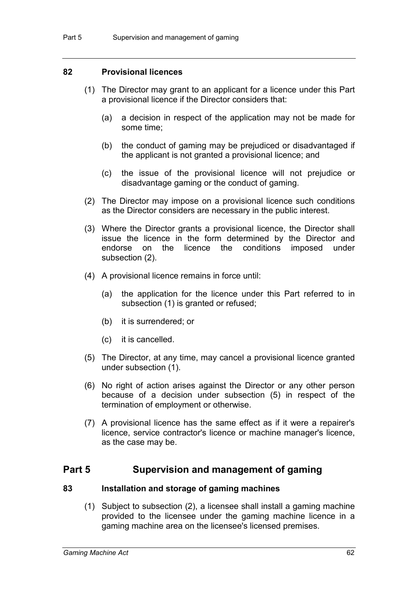# **82 Provisional licences**

- (1) The Director may grant to an applicant for a licence under this Part a provisional licence if the Director considers that:
	- (a) a decision in respect of the application may not be made for some time;
	- (b) the conduct of gaming may be prejudiced or disadvantaged if the applicant is not granted a provisional licence; and
	- (c) the issue of the provisional licence will not prejudice or disadvantage gaming or the conduct of gaming.
- (2) The Director may impose on a provisional licence such conditions as the Director considers are necessary in the public interest.
- (3) Where the Director grants a provisional licence, the Director shall issue the licence in the form determined by the Director and endorse on the licence the conditions imposed under subsection (2).
- (4) A provisional licence remains in force until:
	- (a) the application for the licence under this Part referred to in subsection (1) is granted or refused;
	- (b) it is surrendered; or
	- (c) it is cancelled.
- (5) The Director, at any time, may cancel a provisional licence granted under subsection (1).
- (6) No right of action arises against the Director or any other person because of a decision under subsection (5) in respect of the termination of employment or otherwise.
- (7) A provisional licence has the same effect as if it were a repairer's licence, service contractor's licence or machine manager's licence, as the case may be.

# **Part 5 Supervision and management of gaming**

#### **83 Installation and storage of gaming machines**

(1) Subject to subsection (2), a licensee shall install a gaming machine provided to the licensee under the gaming machine licence in a gaming machine area on the licensee's licensed premises.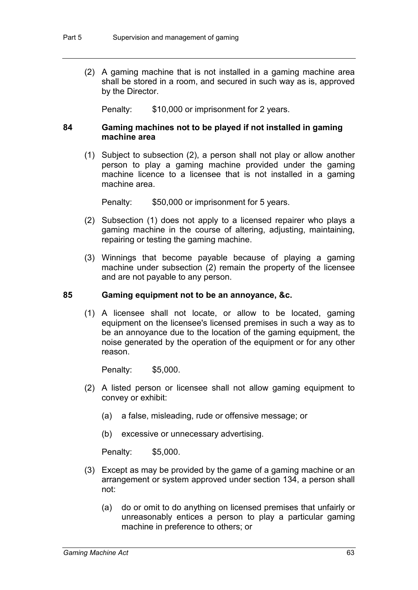(2) A gaming machine that is not installed in a gaming machine area shall be stored in a room, and secured in such way as is, approved by the Director.

Penalty: \$10,000 or imprisonment for 2 years.

# **84 Gaming machines not to be played if not installed in gaming machine area**

(1) Subject to subsection (2), a person shall not play or allow another person to play a gaming machine provided under the gaming machine licence to a licensee that is not installed in a gaming machine area.

Penalty: \$50,000 or imprisonment for 5 years.

- (2) Subsection (1) does not apply to a licensed repairer who plays a gaming machine in the course of altering, adjusting, maintaining, repairing or testing the gaming machine.
- (3) Winnings that become payable because of playing a gaming machine under subsection (2) remain the property of the licensee and are not payable to any person.

## **85 Gaming equipment not to be an annoyance, &c.**

(1) A licensee shall not locate, or allow to be located, gaming equipment on the licensee's licensed premises in such a way as to be an annoyance due to the location of the gaming equipment, the noise generated by the operation of the equipment or for any other reason.

Penalty: \$5,000.

- (2) A listed person or licensee shall not allow gaming equipment to convey or exhibit:
	- (a) a false, misleading, rude or offensive message; or
	- (b) excessive or unnecessary advertising.

Penalty: \$5,000.

- (3) Except as may be provided by the game of a gaming machine or an arrangement or system approved under section 134, a person shall not:
	- (a) do or omit to do anything on licensed premises that unfairly or unreasonably entices a person to play a particular gaming machine in preference to others; or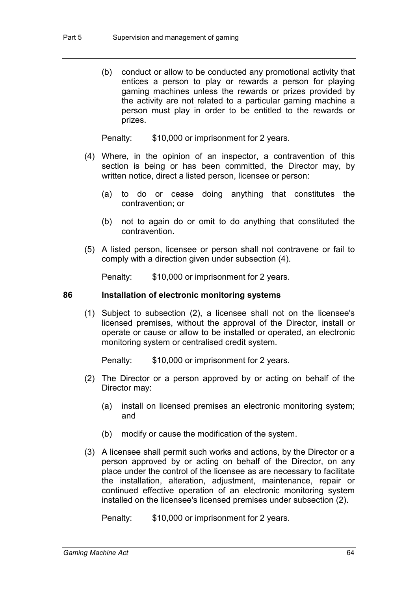(b) conduct or allow to be conducted any promotional activity that entices a person to play or rewards a person for playing gaming machines unless the rewards or prizes provided by the activity are not related to a particular gaming machine a person must play in order to be entitled to the rewards or prizes.

Penalty: \$10,000 or imprisonment for 2 years.

- (4) Where, in the opinion of an inspector, a contravention of this section is being or has been committed, the Director may, by written notice, direct a listed person, licensee or person:
	- (a) to do or cease doing anything that constitutes the contravention; or
	- (b) not to again do or omit to do anything that constituted the contravention.
- (5) A listed person, licensee or person shall not contravene or fail to comply with a direction given under subsection (4).

Penalty: \$10,000 or imprisonment for 2 years.

#### **86 Installation of electronic monitoring systems**

(1) Subject to subsection (2), a licensee shall not on the licensee's licensed premises, without the approval of the Director, install or operate or cause or allow to be installed or operated, an electronic monitoring system or centralised credit system.

Penalty: \$10,000 or imprisonment for 2 years.

- (2) The Director or a person approved by or acting on behalf of the Director may:
	- (a) install on licensed premises an electronic monitoring system; and
	- (b) modify or cause the modification of the system.
- (3) A licensee shall permit such works and actions, by the Director or a person approved by or acting on behalf of the Director, on any place under the control of the licensee as are necessary to facilitate the installation, alteration, adjustment, maintenance, repair or continued effective operation of an electronic monitoring system installed on the licensee's licensed premises under subsection (2).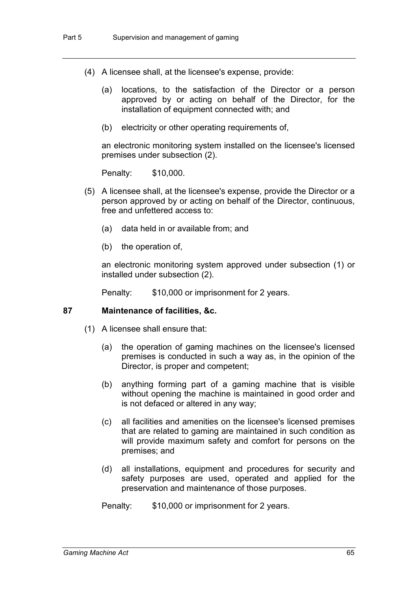- (4) A licensee shall, at the licensee's expense, provide:
	- (a) locations, to the satisfaction of the Director or a person approved by or acting on behalf of the Director, for the installation of equipment connected with; and
	- (b) electricity or other operating requirements of,

an electronic monitoring system installed on the licensee's licensed premises under subsection (2).

Penalty: \$10,000.

- (5) A licensee shall, at the licensee's expense, provide the Director or a person approved by or acting on behalf of the Director, continuous, free and unfettered access to:
	- (a) data held in or available from; and
	- (b) the operation of,

an electronic monitoring system approved under subsection (1) or installed under subsection (2).

Penalty: \$10,000 or imprisonment for 2 years.

# **87 Maintenance of facilities, &c.**

- (1) A licensee shall ensure that:
	- (a) the operation of gaming machines on the licensee's licensed premises is conducted in such a way as, in the opinion of the Director, is proper and competent;
	- (b) anything forming part of a gaming machine that is visible without opening the machine is maintained in good order and is not defaced or altered in any way;
	- (c) all facilities and amenities on the licensee's licensed premises that are related to gaming are maintained in such condition as will provide maximum safety and comfort for persons on the premises; and
	- (d) all installations, equipment and procedures for security and safety purposes are used, operated and applied for the preservation and maintenance of those purposes.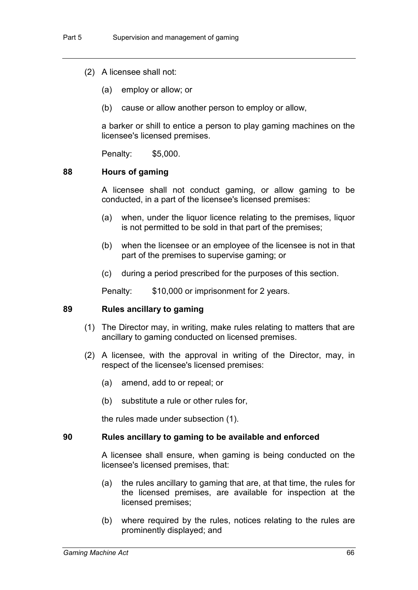- (2) A licensee shall not:
	- (a) employ or allow; or
	- (b) cause or allow another person to employ or allow,

a barker or shill to entice a person to play gaming machines on the licensee's licensed premises.

Penalty: \$5,000.

# **88 Hours of gaming**

A licensee shall not conduct gaming, or allow gaming to be conducted, in a part of the licensee's licensed premises:

- (a) when, under the liquor licence relating to the premises, liquor is not permitted to be sold in that part of the premises;
- (b) when the licensee or an employee of the licensee is not in that part of the premises to supervise gaming; or
- (c) during a period prescribed for the purposes of this section.

Penalty: \$10,000 or imprisonment for 2 years.

#### **89 Rules ancillary to gaming**

- (1) The Director may, in writing, make rules relating to matters that are ancillary to gaming conducted on licensed premises.
- (2) A licensee, with the approval in writing of the Director, may, in respect of the licensee's licensed premises:
	- (a) amend, add to or repeal; or
	- (b) substitute a rule or other rules for,

the rules made under subsection (1).

#### **90 Rules ancillary to gaming to be available and enforced**

A licensee shall ensure, when gaming is being conducted on the licensee's licensed premises, that:

- (a) the rules ancillary to gaming that are, at that time, the rules for the licensed premises, are available for inspection at the licensed premises;
- (b) where required by the rules, notices relating to the rules are prominently displayed; and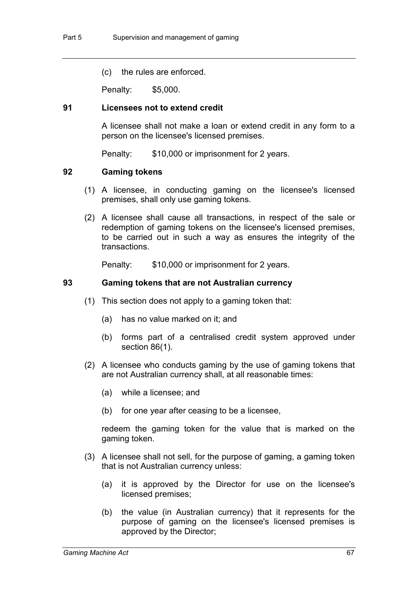(c) the rules are enforced.

Penalty: \$5,000.

### **91 Licensees not to extend credit**

A licensee shall not make a loan or extend credit in any form to a person on the licensee's licensed premises.

Penalty: \$10,000 or imprisonment for 2 years.

#### **92 Gaming tokens**

- (1) A licensee, in conducting gaming on the licensee's licensed premises, shall only use gaming tokens.
- (2) A licensee shall cause all transactions, in respect of the sale or redemption of gaming tokens on the licensee's licensed premises, to be carried out in such a way as ensures the integrity of the transactions.

Penalty: \$10,000 or imprisonment for 2 years.

#### **93 Gaming tokens that are not Australian currency**

- (1) This section does not apply to a gaming token that:
	- (a) has no value marked on it; and
	- (b) forms part of a centralised credit system approved under section 86(1).
- (2) A licensee who conducts gaming by the use of gaming tokens that are not Australian currency shall, at all reasonable times:
	- (a) while a licensee; and
	- (b) for one year after ceasing to be a licensee,

redeem the gaming token for the value that is marked on the gaming token.

- (3) A licensee shall not sell, for the purpose of gaming, a gaming token that is not Australian currency unless:
	- (a) it is approved by the Director for use on the licensee's licensed premises;
	- (b) the value (in Australian currency) that it represents for the purpose of gaming on the licensee's licensed premises is approved by the Director;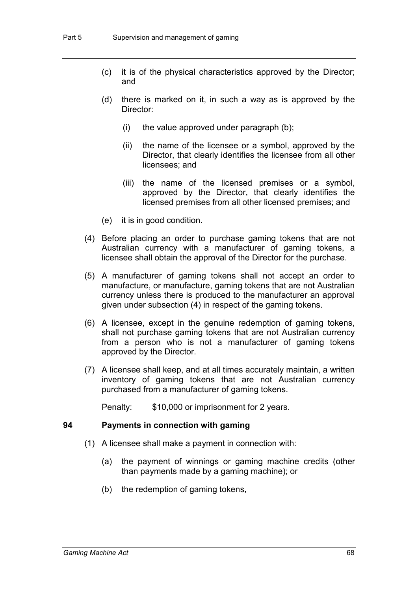- (c) it is of the physical characteristics approved by the Director; and
- (d) there is marked on it, in such a way as is approved by the Director:
	- $(i)$  the value approved under paragraph  $(b)$ ;
	- (ii) the name of the licensee or a symbol, approved by the Director, that clearly identifies the licensee from all other licensees; and
	- (iii) the name of the licensed premises or a symbol, approved by the Director, that clearly identifies the licensed premises from all other licensed premises; and
- (e) it is in good condition.
- (4) Before placing an order to purchase gaming tokens that are not Australian currency with a manufacturer of gaming tokens, a licensee shall obtain the approval of the Director for the purchase.
- (5) A manufacturer of gaming tokens shall not accept an order to manufacture, or manufacture, gaming tokens that are not Australian currency unless there is produced to the manufacturer an approval given under subsection (4) in respect of the gaming tokens.
- (6) A licensee, except in the genuine redemption of gaming tokens, shall not purchase gaming tokens that are not Australian currency from a person who is not a manufacturer of gaming tokens approved by the Director.
- (7) A licensee shall keep, and at all times accurately maintain, a written inventory of gaming tokens that are not Australian currency purchased from a manufacturer of gaming tokens.

Penalty: \$10,000 or imprisonment for 2 years.

#### **94 Payments in connection with gaming**

- (1) A licensee shall make a payment in connection with:
	- (a) the payment of winnings or gaming machine credits (other than payments made by a gaming machine); or
	- (b) the redemption of gaming tokens,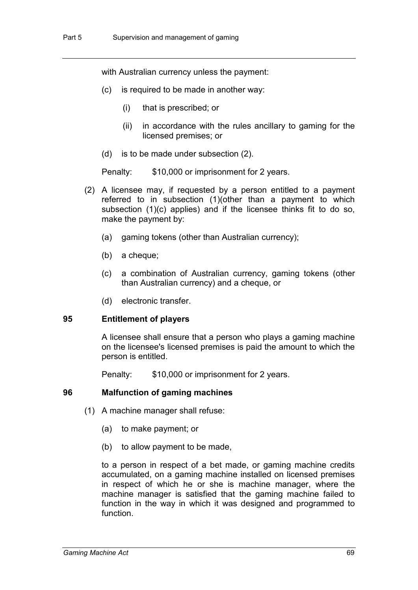with Australian currency unless the payment:

- (c) is required to be made in another way:
	- (i) that is prescribed; or
	- (ii) in accordance with the rules ancillary to gaming for the licensed premises; or
- (d) is to be made under subsection (2).

Penalty: \$10,000 or imprisonment for 2 years.

- (2) A licensee may, if requested by a person entitled to a payment referred to in subsection (1)(other than a payment to which subsection (1)(c) applies) and if the licensee thinks fit to do so, make the payment by:
	- (a) gaming tokens (other than Australian currency);
	- (b) a cheque;
	- (c) a combination of Australian currency, gaming tokens (other than Australian currency) and a cheque, or
	- (d) electronic transfer.

#### **95 Entitlement of players**

A licensee shall ensure that a person who plays a gaming machine on the licensee's licensed premises is paid the amount to which the person is entitled.

Penalty: \$10,000 or imprisonment for 2 years.

# **96 Malfunction of gaming machines**

- (1) A machine manager shall refuse:
	- (a) to make payment; or
	- (b) to allow payment to be made,

to a person in respect of a bet made, or gaming machine credits accumulated, on a gaming machine installed on licensed premises in respect of which he or she is machine manager, where the machine manager is satisfied that the gaming machine failed to function in the way in which it was designed and programmed to function.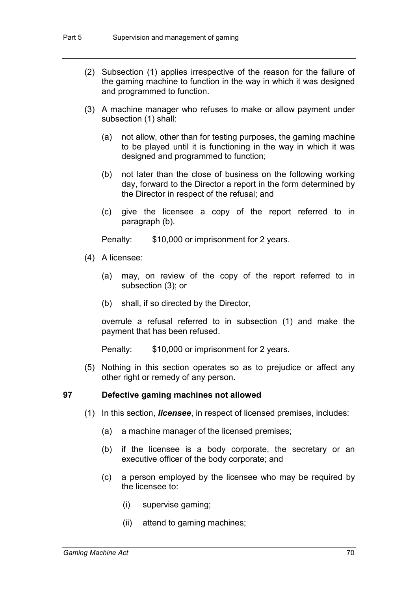- (2) Subsection (1) applies irrespective of the reason for the failure of the gaming machine to function in the way in which it was designed and programmed to function.
- (3) A machine manager who refuses to make or allow payment under subsection (1) shall:
	- (a) not allow, other than for testing purposes, the gaming machine to be played until it is functioning in the way in which it was designed and programmed to function;
	- (b) not later than the close of business on the following working day, forward to the Director a report in the form determined by the Director in respect of the refusal; and
	- (c) give the licensee a copy of the report referred to in paragraph (b).

Penalty: \$10,000 or imprisonment for 2 years.

- (4) A licensee:
	- (a) may, on review of the copy of the report referred to in subsection (3); or
	- (b) shall, if so directed by the Director,

overrule a refusal referred to in subsection (1) and make the payment that has been refused.

Penalty: \$10,000 or imprisonment for 2 years.

(5) Nothing in this section operates so as to prejudice or affect any other right or remedy of any person.

#### **97 Defective gaming machines not allowed**

- (1) In this section, *licensee*, in respect of licensed premises, includes:
	- (a) a machine manager of the licensed premises;
	- (b) if the licensee is a body corporate, the secretary or an executive officer of the body corporate; and
	- (c) a person employed by the licensee who may be required by the licensee to:
		- (i) supervise gaming;
		- (ii) attend to gaming machines;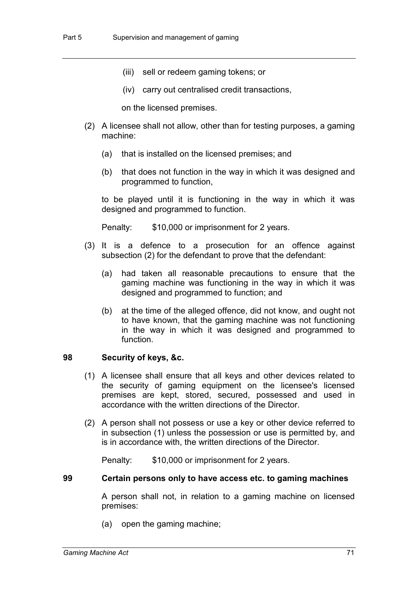- (iii) sell or redeem gaming tokens; or
- (iv) carry out centralised credit transactions,

on the licensed premises.

- (2) A licensee shall not allow, other than for testing purposes, a gaming machine:
	- (a) that is installed on the licensed premises; and
	- (b) that does not function in the way in which it was designed and programmed to function,

to be played until it is functioning in the way in which it was designed and programmed to function.

Penalty: \$10,000 or imprisonment for 2 years.

- (3) It is a defence to a prosecution for an offence against subsection (2) for the defendant to prove that the defendant:
	- (a) had taken all reasonable precautions to ensure that the gaming machine was functioning in the way in which it was designed and programmed to function; and
	- (b) at the time of the alleged offence, did not know, and ought not to have known, that the gaming machine was not functioning in the way in which it was designed and programmed to function.

### **98 Security of keys, &c.**

- (1) A licensee shall ensure that all keys and other devices related to the security of gaming equipment on the licensee's licensed premises are kept, stored, secured, possessed and used in accordance with the written directions of the Director.
- (2) A person shall not possess or use a key or other device referred to in subsection (1) unless the possession or use is permitted by, and is in accordance with, the written directions of the Director.

Penalty: \$10,000 or imprisonment for 2 years.

#### **99 Certain persons only to have access etc. to gaming machines**

A person shall not, in relation to a gaming machine on licensed premises:

(a) open the gaming machine;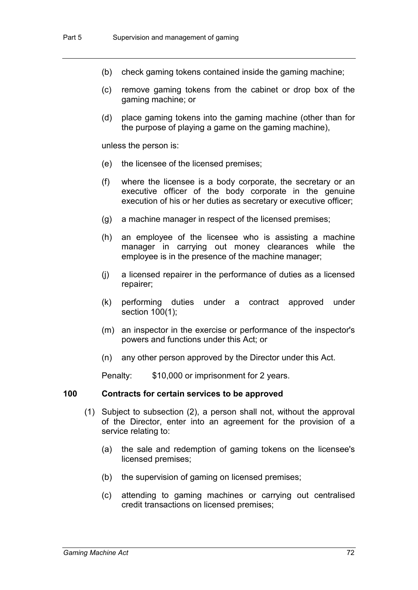- (b) check gaming tokens contained inside the gaming machine;
- (c) remove gaming tokens from the cabinet or drop box of the gaming machine; or
- (d) place gaming tokens into the gaming machine (other than for the purpose of playing a game on the gaming machine),

unless the person is:

- (e) the licensee of the licensed premises;
- (f) where the licensee is a body corporate, the secretary or an executive officer of the body corporate in the genuine execution of his or her duties as secretary or executive officer;
- (g) a machine manager in respect of the licensed premises;
- (h) an employee of the licensee who is assisting a machine manager in carrying out money clearances while the employee is in the presence of the machine manager;
- (j) a licensed repairer in the performance of duties as a licensed repairer;
- (k) performing duties under a contract approved under section 100(1);
- (m) an inspector in the exercise or performance of the inspector's powers and functions under this Act; or
- (n) any other person approved by the Director under this Act.

Penalty: \$10,000 or imprisonment for 2 years.

#### **100 Contracts for certain services to be approved**

- (1) Subject to subsection (2), a person shall not, without the approval of the Director, enter into an agreement for the provision of a service relating to:
	- (a) the sale and redemption of gaming tokens on the licensee's licensed premises;
	- (b) the supervision of gaming on licensed premises;
	- (c) attending to gaming machines or carrying out centralised credit transactions on licensed premises;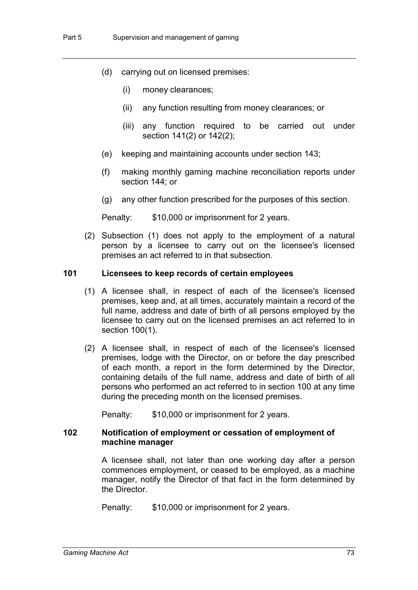- (d) carrying out on licensed premises:
	- (i) money clearances;
	- (ii) any function resulting from money clearances; or
	- (iii) any function required to be carried out under section 141(2) or 142(2);
- (e) keeping and maintaining accounts under section 143;
- (f) making monthly gaming machine reconciliation reports under section 144; or
- (g) any other function prescribed for the purposes of this section.

Penalty: \$10,000 or imprisonment for 2 years.

(2) Subsection (1) does not apply to the employment of a natural person by a licensee to carry out on the licensee's licensed premises an act referred to in that subsection.

# **101 Licensees to keep records of certain employees**

- (1) A licensee shall, in respect of each of the licensee's licensed premises, keep and, at all times, accurately maintain a record of the full name, address and date of birth of all persons employed by the licensee to carry out on the licensed premises an act referred to in section 100(1).
- (2) A licensee shall, in respect of each of the licensee's licensed premises, lodge with the Director, on or before the day prescribed of each month, a report in the form determined by the Director, containing details of the full name, address and date of birth of all persons who performed an act referred to in section 100 at any time during the preceding month on the licensed premises.

Penalty: \$10,000 or imprisonment for 2 years.

#### **102 Notification of employment or cessation of employment of machine manager**

A licensee shall, not later than one working day after a person commences employment, or ceased to be employed, as a machine manager, notify the Director of that fact in the form determined by the Director.

Penalty: \$10,000 or imprisonment for 2 years.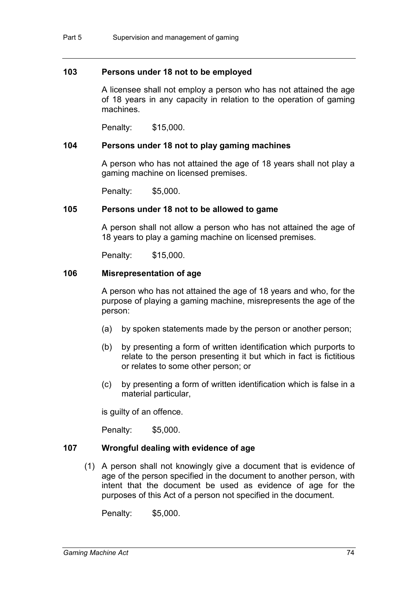### **103 Persons under 18 not to be employed**

A licensee shall not employ a person who has not attained the age of 18 years in any capacity in relation to the operation of gaming machines.

Penalty: \$15,000.

### **104 Persons under 18 not to play gaming machines**

A person who has not attained the age of 18 years shall not play a gaming machine on licensed premises.

Penalty: \$5,000.

#### **105 Persons under 18 not to be allowed to game**

A person shall not allow a person who has not attained the age of 18 years to play a gaming machine on licensed premises.

Penalty: \$15,000.

# **106 Misrepresentation of age**

A person who has not attained the age of 18 years and who, for the purpose of playing a gaming machine, misrepresents the age of the person:

- (a) by spoken statements made by the person or another person;
- (b) by presenting a form of written identification which purports to relate to the person presenting it but which in fact is fictitious or relates to some other person; or
- (c) by presenting a form of written identification which is false in a material particular,

is guilty of an offence.

Penalty: \$5,000.

### **107 Wrongful dealing with evidence of age**

(1) A person shall not knowingly give a document that is evidence of age of the person specified in the document to another person, with intent that the document be used as evidence of age for the purposes of this Act of a person not specified in the document.

Penalty: \$5,000.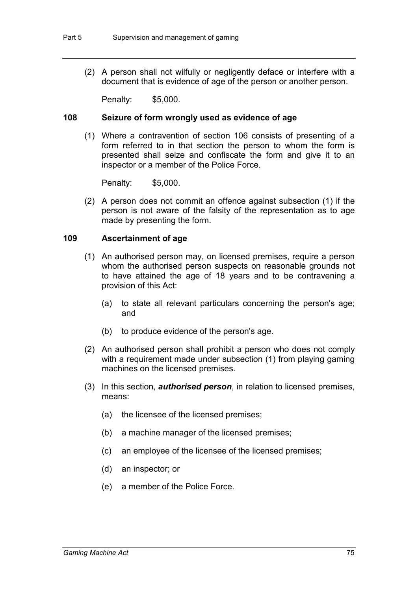(2) A person shall not wilfully or negligently deface or interfere with a document that is evidence of age of the person or another person.

Penalty: \$5,000.

#### **108 Seizure of form wrongly used as evidence of age**

(1) Where a contravention of section 106 consists of presenting of a form referred to in that section the person to whom the form is presented shall seize and confiscate the form and give it to an inspector or a member of the Police Force.

Penalty: \$5,000.

(2) A person does not commit an offence against subsection (1) if the person is not aware of the falsity of the representation as to age made by presenting the form.

#### **109 Ascertainment of age**

- (1) An authorised person may, on licensed premises, require a person whom the authorised person suspects on reasonable grounds not to have attained the age of 18 years and to be contravening a provision of this Act:
	- (a) to state all relevant particulars concerning the person's age; and
	- (b) to produce evidence of the person's age.
- (2) An authorised person shall prohibit a person who does not comply with a requirement made under subsection (1) from playing gaming machines on the licensed premises.
- (3) In this section, *authorised person*, in relation to licensed premises, means:
	- (a) the licensee of the licensed premises;
	- (b) a machine manager of the licensed premises;
	- (c) an employee of the licensee of the licensed premises;
	- (d) an inspector; or
	- (e) a member of the Police Force.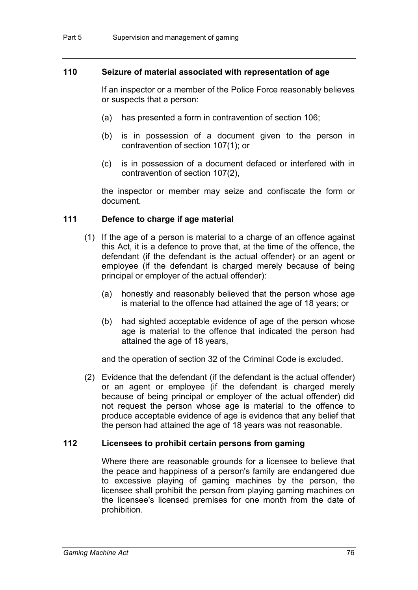### **110 Seizure of material associated with representation of age**

If an inspector or a member of the Police Force reasonably believes or suspects that a person:

- (a) has presented a form in contravention of section 106;
- (b) is in possession of a document given to the person in contravention of section 107(1); or
- (c) is in possession of a document defaced or interfered with in contravention of section 107(2),

the inspector or member may seize and confiscate the form or document.

# **111 Defence to charge if age material**

- (1) If the age of a person is material to a charge of an offence against this Act, it is a defence to prove that, at the time of the offence, the defendant (if the defendant is the actual offender) or an agent or employee (if the defendant is charged merely because of being principal or employer of the actual offender):
	- (a) honestly and reasonably believed that the person whose age is material to the offence had attained the age of 18 years; or
	- (b) had sighted acceptable evidence of age of the person whose age is material to the offence that indicated the person had attained the age of 18 years,

and the operation of section 32 of the Criminal Code is excluded.

(2) Evidence that the defendant (if the defendant is the actual offender) or an agent or employee (if the defendant is charged merely because of being principal or employer of the actual offender) did not request the person whose age is material to the offence to produce acceptable evidence of age is evidence that any belief that the person had attained the age of 18 years was not reasonable.

### **112 Licensees to prohibit certain persons from gaming**

Where there are reasonable grounds for a licensee to believe that the peace and happiness of a person's family are endangered due to excessive playing of gaming machines by the person, the licensee shall prohibit the person from playing gaming machines on the licensee's licensed premises for one month from the date of prohibition.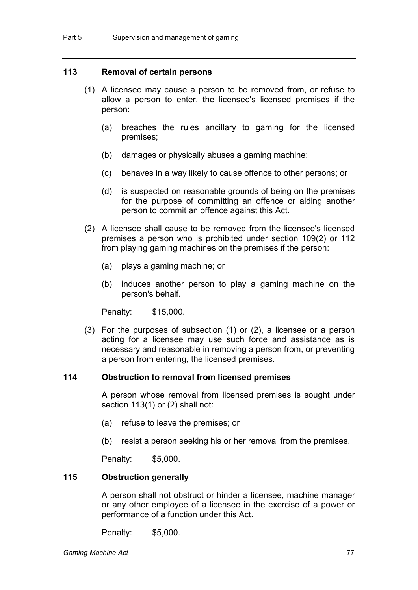#### **113 Removal of certain persons**

- (1) A licensee may cause a person to be removed from, or refuse to allow a person to enter, the licensee's licensed premises if the person:
	- (a) breaches the rules ancillary to gaming for the licensed premises;
	- (b) damages or physically abuses a gaming machine;
	- (c) behaves in a way likely to cause offence to other persons; or
	- (d) is suspected on reasonable grounds of being on the premises for the purpose of committing an offence or aiding another person to commit an offence against this Act.
- (2) A licensee shall cause to be removed from the licensee's licensed premises a person who is prohibited under section 109(2) or 112 from playing gaming machines on the premises if the person:
	- (a) plays a gaming machine; or
	- (b) induces another person to play a gaming machine on the person's behalf.

Penalty: \$15,000.

(3) For the purposes of subsection (1) or (2), a licensee or a person acting for a licensee may use such force and assistance as is necessary and reasonable in removing a person from, or preventing a person from entering, the licensed premises.

# **114 Obstruction to removal from licensed premises**

A person whose removal from licensed premises is sought under section 113(1) or (2) shall not:

- (a) refuse to leave the premises; or
- (b) resist a person seeking his or her removal from the premises.

Penalty: \$5,000.

#### **115 Obstruction generally**

A person shall not obstruct or hinder a licensee, machine manager or any other employee of a licensee in the exercise of a power or performance of a function under this Act.

Penalty: \$5,000.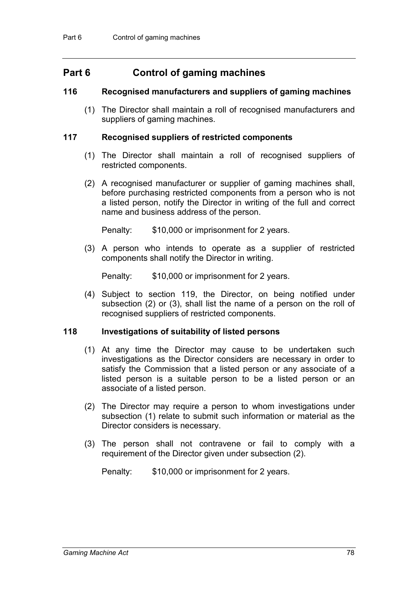# **Part 6 Control of gaming machines**

# **116 Recognised manufacturers and suppliers of gaming machines**

(1) The Director shall maintain a roll of recognised manufacturers and suppliers of gaming machines.

# **117 Recognised suppliers of restricted components**

- (1) The Director shall maintain a roll of recognised suppliers of restricted components.
- (2) A recognised manufacturer or supplier of gaming machines shall, before purchasing restricted components from a person who is not a listed person, notify the Director in writing of the full and correct name and business address of the person.

Penalty: \$10,000 or imprisonment for 2 years.

(3) A person who intends to operate as a supplier of restricted components shall notify the Director in writing.

Penalty: \$10,000 or imprisonment for 2 years.

(4) Subject to section 119, the Director, on being notified under subsection (2) or (3), shall list the name of a person on the roll of recognised suppliers of restricted components.

# **118 Investigations of suitability of listed persons**

- (1) At any time the Director may cause to be undertaken such investigations as the Director considers are necessary in order to satisfy the Commission that a listed person or any associate of a listed person is a suitable person to be a listed person or an associate of a listed person.
- (2) The Director may require a person to whom investigations under subsection (1) relate to submit such information or material as the Director considers is necessary.
- (3) The person shall not contravene or fail to comply with a requirement of the Director given under subsection (2).

Penalty: \$10,000 or imprisonment for 2 years.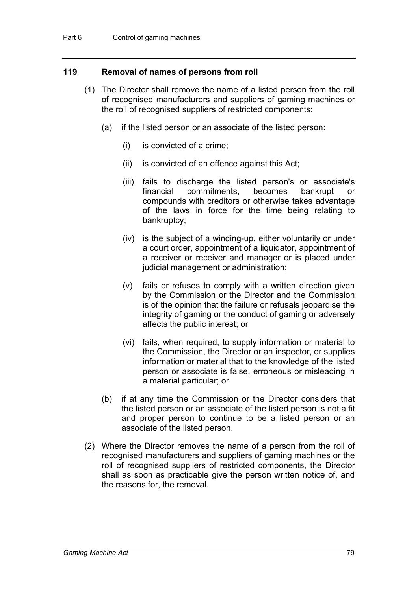### **119 Removal of names of persons from roll**

- (1) The Director shall remove the name of a listed person from the roll of recognised manufacturers and suppliers of gaming machines or the roll of recognised suppliers of restricted components:
	- (a) if the listed person or an associate of the listed person:
		- (i) is convicted of a crime;
		- (ii) is convicted of an offence against this Act;
		- (iii) fails to discharge the listed person's or associate's financial commitments, becomes bankrupt or compounds with creditors or otherwise takes advantage of the laws in force for the time being relating to bankruptcy;
		- (iv) is the subject of a winding-up, either voluntarily or under a court order, appointment of a liquidator, appointment of a receiver or receiver and manager or is placed under judicial management or administration;
		- (v) fails or refuses to comply with a written direction given by the Commission or the Director and the Commission is of the opinion that the failure or refusals jeopardise the integrity of gaming or the conduct of gaming or adversely affects the public interest; or
		- (vi) fails, when required, to supply information or material to the Commission, the Director or an inspector, or supplies information or material that to the knowledge of the listed person or associate is false, erroneous or misleading in a material particular; or
	- (b) if at any time the Commission or the Director considers that the listed person or an associate of the listed person is not a fit and proper person to continue to be a listed person or an associate of the listed person.
- (2) Where the Director removes the name of a person from the roll of recognised manufacturers and suppliers of gaming machines or the roll of recognised suppliers of restricted components, the Director shall as soon as practicable give the person written notice of, and the reasons for, the removal.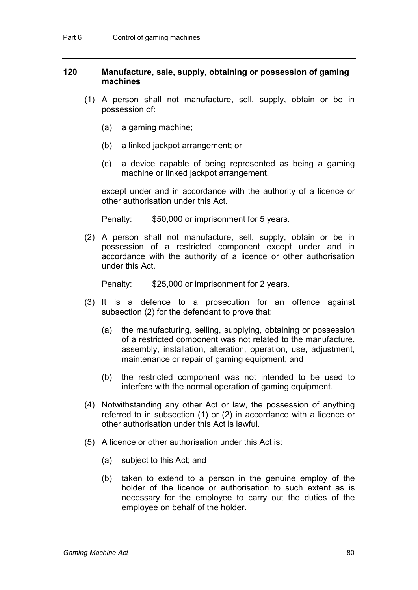### **120 Manufacture, sale, supply, obtaining or possession of gaming machines**

- (1) A person shall not manufacture, sell, supply, obtain or be in possession of:
	- (a) a gaming machine;
	- (b) a linked jackpot arrangement; or
	- (c) a device capable of being represented as being a gaming machine or linked jackpot arrangement,

except under and in accordance with the authority of a licence or other authorisation under this Act.

Penalty: \$50,000 or imprisonment for 5 years.

(2) A person shall not manufacture, sell, supply, obtain or be in possession of a restricted component except under and in accordance with the authority of a licence or other authorisation under this Act.

Penalty: \$25,000 or imprisonment for 2 years.

- (3) It is a defence to a prosecution for an offence against subsection (2) for the defendant to prove that:
	- (a) the manufacturing, selling, supplying, obtaining or possession of a restricted component was not related to the manufacture, assembly, installation, alteration, operation, use, adjustment, maintenance or repair of gaming equipment; and
	- (b) the restricted component was not intended to be used to interfere with the normal operation of gaming equipment.
- (4) Notwithstanding any other Act or law, the possession of anything referred to in subsection (1) or (2) in accordance with a licence or other authorisation under this Act is lawful.
- (5) A licence or other authorisation under this Act is:
	- (a) subject to this Act; and
	- (b) taken to extend to a person in the genuine employ of the holder of the licence or authorisation to such extent as is necessary for the employee to carry out the duties of the employee on behalf of the holder.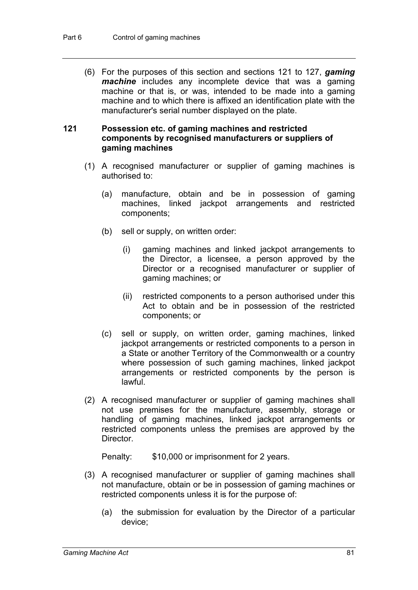(6) For the purposes of this section and sections 121 to 127, *gaming machine* includes any incomplete device that was a gaming machine or that is, or was, intended to be made into a gaming machine and to which there is affixed an identification plate with the manufacturer's serial number displayed on the plate.

## **121 Possession etc. of gaming machines and restricted components by recognised manufacturers or suppliers of gaming machines**

- (1) A recognised manufacturer or supplier of gaming machines is authorised to:
	- (a) manufacture, obtain and be in possession of gaming machines, linked jackpot arrangements and restricted components;
	- (b) sell or supply, on written order:
		- (i) gaming machines and linked jackpot arrangements to the Director, a licensee, a person approved by the Director or a recognised manufacturer or supplier of gaming machines; or
		- (ii) restricted components to a person authorised under this Act to obtain and be in possession of the restricted components; or
	- (c) sell or supply, on written order, gaming machines, linked jackpot arrangements or restricted components to a person in a State or another Territory of the Commonwealth or a country where possession of such gaming machines, linked jackpot arrangements or restricted components by the person is lawful.
- (2) A recognised manufacturer or supplier of gaming machines shall not use premises for the manufacture, assembly, storage or handling of gaming machines, linked jackpot arrangements or restricted components unless the premises are approved by the Director.

Penalty: \$10,000 or imprisonment for 2 years.

- (3) A recognised manufacturer or supplier of gaming machines shall not manufacture, obtain or be in possession of gaming machines or restricted components unless it is for the purpose of:
	- (a) the submission for evaluation by the Director of a particular device;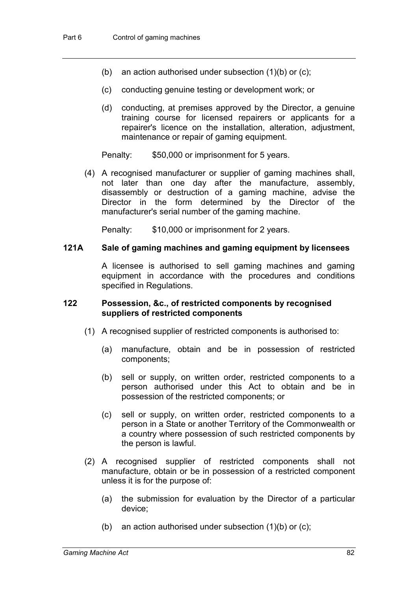- (b) an action authorised under subsection  $(1)(b)$  or  $(c)$ ;
- (c) conducting genuine testing or development work; or
- (d) conducting, at premises approved by the Director, a genuine training course for licensed repairers or applicants for a repairer's licence on the installation, alteration, adjustment, maintenance or repair of gaming equipment.

Penalty: \$50,000 or imprisonment for 5 years.

(4) A recognised manufacturer or supplier of gaming machines shall, not later than one day after the manufacture, assembly, disassembly or destruction of a gaming machine, advise the Director in the form determined by the Director of the manufacturer's serial number of the gaming machine.

Penalty: \$10,000 or imprisonment for 2 years.

### **121A Sale of gaming machines and gaming equipment by licensees**

A licensee is authorised to sell gaming machines and gaming equipment in accordance with the procedures and conditions specified in Regulations.

# **122 Possession, &c., of restricted components by recognised suppliers of restricted components**

- (1) A recognised supplier of restricted components is authorised to:
	- (a) manufacture, obtain and be in possession of restricted components;
	- (b) sell or supply, on written order, restricted components to a person authorised under this Act to obtain and be in possession of the restricted components; or
	- (c) sell or supply, on written order, restricted components to a person in a State or another Territory of the Commonwealth or a country where possession of such restricted components by the person is lawful.
- (2) A recognised supplier of restricted components shall not manufacture, obtain or be in possession of a restricted component unless it is for the purpose of:
	- (a) the submission for evaluation by the Director of a particular device;
	- (b) an action authorised under subsection  $(1)(b)$  or  $(c)$ ;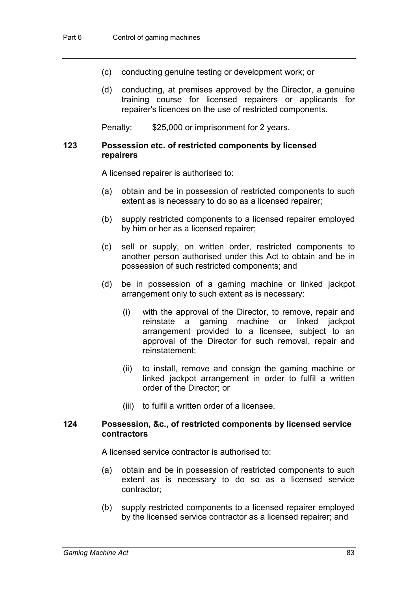- (c) conducting genuine testing or development work; or
- (d) conducting, at premises approved by the Director, a genuine training course for licensed repairers or applicants for repairer's licences on the use of restricted components.

Penalty: \$25,000 or imprisonment for 2 years.

## **123 Possession etc. of restricted components by licensed repairers**

A licensed repairer is authorised to:

- (a) obtain and be in possession of restricted components to such extent as is necessary to do so as a licensed repairer;
- (b) supply restricted components to a licensed repairer employed by him or her as a licensed repairer;
- (c) sell or supply, on written order, restricted components to another person authorised under this Act to obtain and be in possession of such restricted components; and
- (d) be in possession of a gaming machine or linked jackpot arrangement only to such extent as is necessary:
	- (i) with the approval of the Director, to remove, repair and reinstate a gaming machine or linked jackpot arrangement provided to a licensee, subject to an approval of the Director for such removal, repair and reinstatement;
	- (ii) to install, remove and consign the gaming machine or linked jackpot arrangement in order to fulfil a written order of the Director; or
	- (iii) to fulfil a written order of a licensee.

#### **124 Possession, &c., of restricted components by licensed service contractors**

A licensed service contractor is authorised to:

- (a) obtain and be in possession of restricted components to such extent as is necessary to do so as a licensed service contractor;
- (b) supply restricted components to a licensed repairer employed by the licensed service contractor as a licensed repairer; and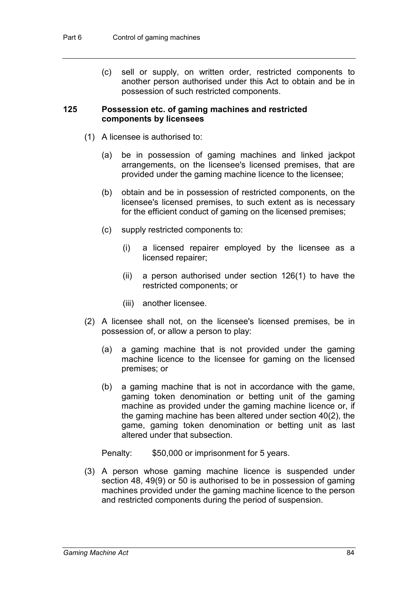(c) sell or supply, on written order, restricted components to another person authorised under this Act to obtain and be in possession of such restricted components.

### **125 Possession etc. of gaming machines and restricted components by licensees**

- (1) A licensee is authorised to:
	- (a) be in possession of gaming machines and linked jackpot arrangements, on the licensee's licensed premises, that are provided under the gaming machine licence to the licensee;
	- (b) obtain and be in possession of restricted components, on the licensee's licensed premises, to such extent as is necessary for the efficient conduct of gaming on the licensed premises;
	- (c) supply restricted components to:
		- (i) a licensed repairer employed by the licensee as a licensed repairer;
		- (ii) a person authorised under section 126(1) to have the restricted components; or
		- (iii) another licensee.
- (2) A licensee shall not, on the licensee's licensed premises, be in possession of, or allow a person to play:
	- (a) a gaming machine that is not provided under the gaming machine licence to the licensee for gaming on the licensed premises; or
	- (b) a gaming machine that is not in accordance with the game, gaming token denomination or betting unit of the gaming machine as provided under the gaming machine licence or, if the gaming machine has been altered under section 40(2), the game, gaming token denomination or betting unit as last altered under that subsection.

Penalty: \$50,000 or imprisonment for 5 years.

(3) A person whose gaming machine licence is suspended under section 48, 49(9) or 50 is authorised to be in possession of gaming machines provided under the gaming machine licence to the person and restricted components during the period of suspension.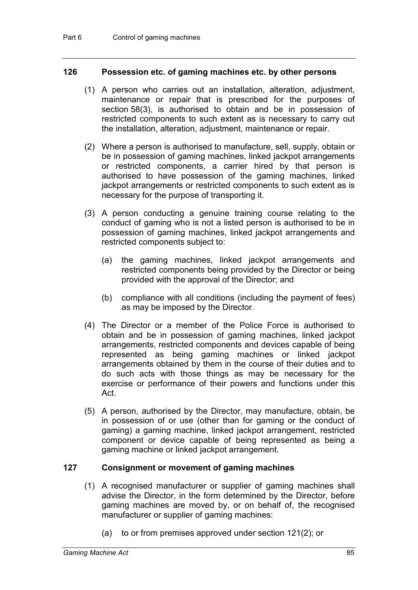### **126 Possession etc. of gaming machines etc. by other persons**

- (1) A person who carries out an installation, alteration, adjustment, maintenance or repair that is prescribed for the purposes of section 58(3), is authorised to obtain and be in possession of restricted components to such extent as is necessary to carry out the installation, alteration, adjustment, maintenance or repair.
- (2) Where a person is authorised to manufacture, sell, supply, obtain or be in possession of gaming machines, linked jackpot arrangements or restricted components, a carrier hired by that person is authorised to have possession of the gaming machines, linked jackpot arrangements or restricted components to such extent as is necessary for the purpose of transporting it.
- (3) A person conducting a genuine training course relating to the conduct of gaming who is not a listed person is authorised to be in possession of gaming machines, linked jackpot arrangements and restricted components subject to:
	- (a) the gaming machines, linked jackpot arrangements and restricted components being provided by the Director or being provided with the approval of the Director; and
	- (b) compliance with all conditions (including the payment of fees) as may be imposed by the Director.
- (4) The Director or a member of the Police Force is authorised to obtain and be in possession of gaming machines, linked jackpot arrangements, restricted components and devices capable of being represented as being gaming machines or linked jackpot arrangements obtained by them in the course of their duties and to do such acts with those things as may be necessary for the exercise or performance of their powers and functions under this Act.
- (5) A person, authorised by the Director, may manufacture, obtain, be in possession of or use (other than for gaming or the conduct of gaming) a gaming machine, linked jackpot arrangement, restricted component or device capable of being represented as being a gaming machine or linked jackpot arrangement.

# **127 Consignment or movement of gaming machines**

- (1) A recognised manufacturer or supplier of gaming machines shall advise the Director, in the form determined by the Director, before gaming machines are moved by, or on behalf of, the recognised manufacturer or supplier of gaming machines:
	- (a) to or from premises approved under section 121(2); or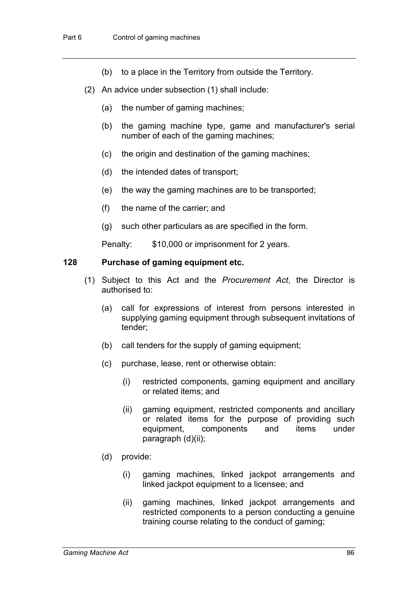- (b) to a place in the Territory from outside the Territory.
- (2) An advice under subsection (1) shall include:
	- (a) the number of gaming machines;
	- (b) the gaming machine type, game and manufacturer's serial number of each of the gaming machines;
	- (c) the origin and destination of the gaming machines;
	- (d) the intended dates of transport;
	- (e) the way the gaming machines are to be transported;
	- (f) the name of the carrier; and
	- (g) such other particulars as are specified in the form.

Penalty: \$10,000 or imprisonment for 2 years.

#### **128 Purchase of gaming equipment etc.**

- (1) Subject to this Act and the *Procurement Act*, the Director is authorised to:
	- (a) call for expressions of interest from persons interested in supplying gaming equipment through subsequent invitations of tender;
	- (b) call tenders for the supply of gaming equipment;
	- (c) purchase, lease, rent or otherwise obtain:
		- (i) restricted components, gaming equipment and ancillary or related items; and
		- (ii) gaming equipment, restricted components and ancillary or related items for the purpose of providing such equipment, components and items under paragraph (d)(ii);
	- (d) provide:
		- (i) gaming machines, linked jackpot arrangements and linked jackpot equipment to a licensee; and
		- (ii) gaming machines, linked jackpot arrangements and restricted components to a person conducting a genuine training course relating to the conduct of gaming;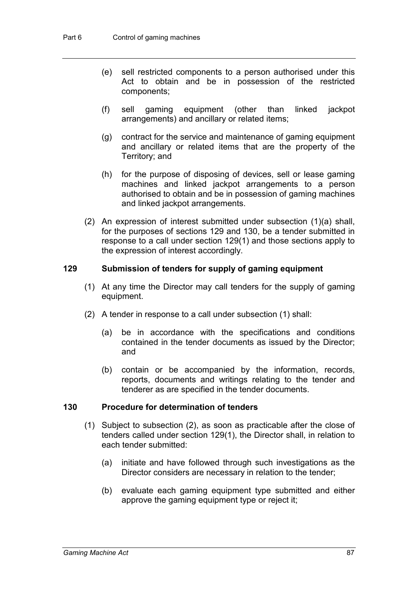- (e) sell restricted components to a person authorised under this Act to obtain and be in possession of the restricted components;
- (f) sell gaming equipment (other than linked jackpot arrangements) and ancillary or related items;
- (g) contract for the service and maintenance of gaming equipment and ancillary or related items that are the property of the Territory; and
- (h) for the purpose of disposing of devices, sell or lease gaming machines and linked jackpot arrangements to a person authorised to obtain and be in possession of gaming machines and linked jackpot arrangements.
- (2) An expression of interest submitted under subsection (1)(a) shall, for the purposes of sections 129 and 130, be a tender submitted in response to a call under section 129(1) and those sections apply to the expression of interest accordingly.

### **129 Submission of tenders for supply of gaming equipment**

- (1) At any time the Director may call tenders for the supply of gaming equipment.
- (2) A tender in response to a call under subsection (1) shall:
	- (a) be in accordance with the specifications and conditions contained in the tender documents as issued by the Director; and
	- (b) contain or be accompanied by the information, records, reports, documents and writings relating to the tender and tenderer as are specified in the tender documents.

#### **130 Procedure for determination of tenders**

- (1) Subject to subsection (2), as soon as practicable after the close of tenders called under section 129(1), the Director shall, in relation to each tender submitted:
	- (a) initiate and have followed through such investigations as the Director considers are necessary in relation to the tender;
	- (b) evaluate each gaming equipment type submitted and either approve the gaming equipment type or reject it;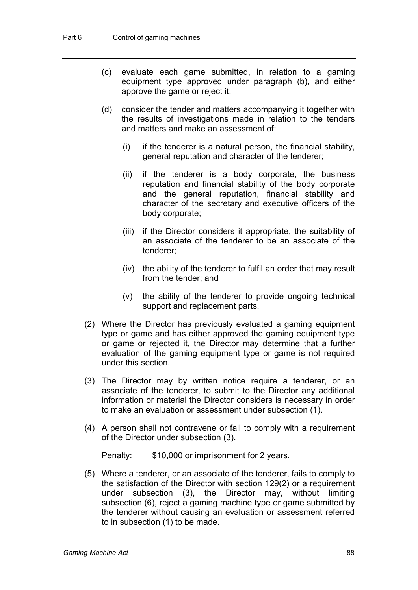- (c) evaluate each game submitted, in relation to a gaming equipment type approved under paragraph (b), and either approve the game or reject it;
- (d) consider the tender and matters accompanying it together with the results of investigations made in relation to the tenders and matters and make an assessment of:
	- (i) if the tenderer is a natural person, the financial stability, general reputation and character of the tenderer;
	- (ii) if the tenderer is a body corporate, the business reputation and financial stability of the body corporate and the general reputation, financial stability and character of the secretary and executive officers of the body corporate;
	- (iii) if the Director considers it appropriate, the suitability of an associate of the tenderer to be an associate of the tenderer;
	- (iv) the ability of the tenderer to fulfil an order that may result from the tender; and
	- (v) the ability of the tenderer to provide ongoing technical support and replacement parts.
- (2) Where the Director has previously evaluated a gaming equipment type or game and has either approved the gaming equipment type or game or rejected it, the Director may determine that a further evaluation of the gaming equipment type or game is not required under this section.
- (3) The Director may by written notice require a tenderer, or an associate of the tenderer, to submit to the Director any additional information or material the Director considers is necessary in order to make an evaluation or assessment under subsection (1).
- (4) A person shall not contravene or fail to comply with a requirement of the Director under subsection (3).

Penalty: \$10,000 or imprisonment for 2 years.

(5) Where a tenderer, or an associate of the tenderer, fails to comply to the satisfaction of the Director with section 129(2) or a requirement under subsection (3), the Director may, without limiting subsection (6), reject a gaming machine type or game submitted by the tenderer without causing an evaluation or assessment referred to in subsection (1) to be made.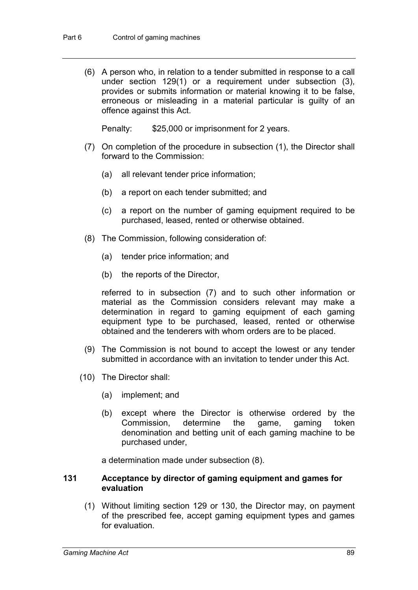(6) A person who, in relation to a tender submitted in response to a call under section 129(1) or a requirement under subsection (3), provides or submits information or material knowing it to be false, erroneous or misleading in a material particular is guilty of an offence against this Act.

Penalty: \$25,000 or imprisonment for 2 years.

- (7) On completion of the procedure in subsection (1), the Director shall forward to the Commission:
	- (a) all relevant tender price information;
	- (b) a report on each tender submitted; and
	- (c) a report on the number of gaming equipment required to be purchased, leased, rented or otherwise obtained.
- (8) The Commission, following consideration of:
	- (a) tender price information; and
	- (b) the reports of the Director,

referred to in subsection (7) and to such other information or material as the Commission considers relevant may make a determination in regard to gaming equipment of each gaming equipment type to be purchased, leased, rented or otherwise obtained and the tenderers with whom orders are to be placed.

- (9) The Commission is not bound to accept the lowest or any tender submitted in accordance with an invitation to tender under this Act.
- (10) The Director shall:
	- (a) implement; and
	- (b) except where the Director is otherwise ordered by the Commission, determine the game, gaming token denomination and betting unit of each gaming machine to be purchased under,

a determination made under subsection (8).

### **131 Acceptance by director of gaming equipment and games for evaluation**

(1) Without limiting section 129 or 130, the Director may, on payment of the prescribed fee, accept gaming equipment types and games for evaluation.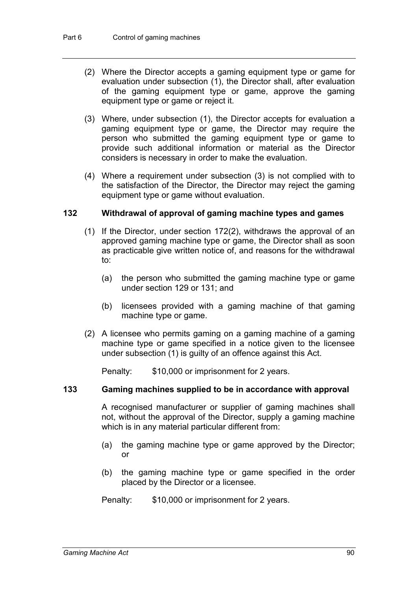- (2) Where the Director accepts a gaming equipment type or game for evaluation under subsection (1), the Director shall, after evaluation of the gaming equipment type or game, approve the gaming equipment type or game or reject it.
- (3) Where, under subsection (1), the Director accepts for evaluation a gaming equipment type or game, the Director may require the person who submitted the gaming equipment type or game to provide such additional information or material as the Director considers is necessary in order to make the evaluation.
- (4) Where a requirement under subsection (3) is not complied with to the satisfaction of the Director, the Director may reject the gaming equipment type or game without evaluation.

# **132 Withdrawal of approval of gaming machine types and games**

- (1) If the Director, under section 172(2), withdraws the approval of an approved gaming machine type or game, the Director shall as soon as practicable give written notice of, and reasons for the withdrawal to:
	- (a) the person who submitted the gaming machine type or game under section 129 or 131; and
	- (b) licensees provided with a gaming machine of that gaming machine type or game.
- (2) A licensee who permits gaming on a gaming machine of a gaming machine type or game specified in a notice given to the licensee under subsection (1) is guilty of an offence against this Act.

Penalty: \$10,000 or imprisonment for 2 years.

## **133 Gaming machines supplied to be in accordance with approval**

A recognised manufacturer or supplier of gaming machines shall not, without the approval of the Director, supply a gaming machine which is in any material particular different from:

- (a) the gaming machine type or game approved by the Director; or
- (b) the gaming machine type or game specified in the order placed by the Director or a licensee.
- Penalty: \$10,000 or imprisonment for 2 years.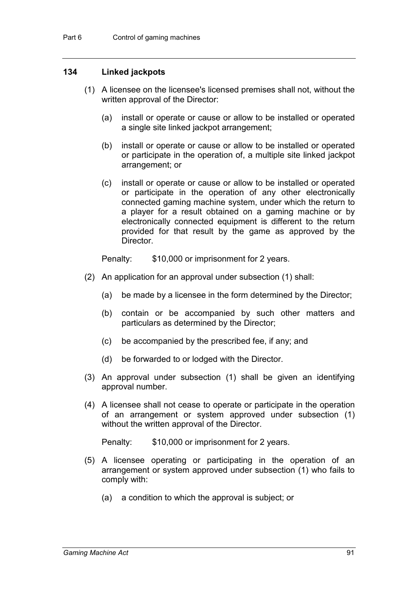### **134 Linked jackpots**

- (1) A licensee on the licensee's licensed premises shall not, without the written approval of the Director:
	- (a) install or operate or cause or allow to be installed or operated a single site linked jackpot arrangement;
	- (b) install or operate or cause or allow to be installed or operated or participate in the operation of, a multiple site linked jackpot arrangement; or
	- (c) install or operate or cause or allow to be installed or operated or participate in the operation of any other electronically connected gaming machine system, under which the return to a player for a result obtained on a gaming machine or by electronically connected equipment is different to the return provided for that result by the game as approved by the Director.

Penalty: \$10,000 or imprisonment for 2 years.

- (2) An application for an approval under subsection (1) shall:
	- (a) be made by a licensee in the form determined by the Director;
	- (b) contain or be accompanied by such other matters and particulars as determined by the Director;
	- (c) be accompanied by the prescribed fee, if any; and
	- (d) be forwarded to or lodged with the Director.
- (3) An approval under subsection (1) shall be given an identifying approval number.
- (4) A licensee shall not cease to operate or participate in the operation of an arrangement or system approved under subsection (1) without the written approval of the Director.

Penalty: \$10,000 or imprisonment for 2 years.

- (5) A licensee operating or participating in the operation of an arrangement or system approved under subsection (1) who fails to comply with:
	- (a) a condition to which the approval is subject; or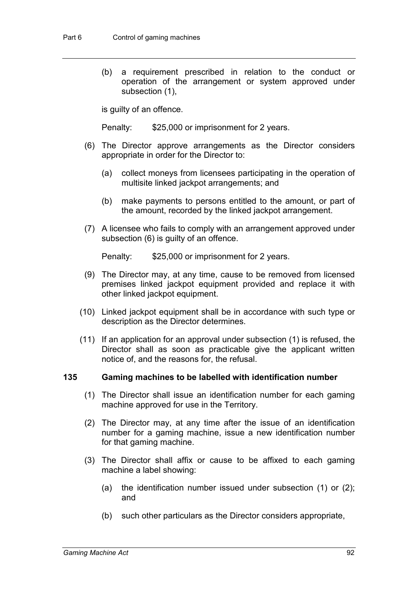(b) a requirement prescribed in relation to the conduct or operation of the arrangement or system approved under subsection (1),

is guilty of an offence.

Penalty: \$25,000 or imprisonment for 2 years.

- (6) The Director approve arrangements as the Director considers appropriate in order for the Director to:
	- (a) collect moneys from licensees participating in the operation of multisite linked jackpot arrangements; and
	- (b) make payments to persons entitled to the amount, or part of the amount, recorded by the linked jackpot arrangement.
- (7) A licensee who fails to comply with an arrangement approved under subsection (6) is guilty of an offence.

Penalty: \$25,000 or imprisonment for 2 years.

- (9) The Director may, at any time, cause to be removed from licensed premises linked jackpot equipment provided and replace it with other linked jackpot equipment.
- (10) Linked jackpot equipment shall be in accordance with such type or description as the Director determines.
- (11) If an application for an approval under subsection (1) is refused, the Director shall as soon as practicable give the applicant written notice of, and the reasons for, the refusal.

#### **135 Gaming machines to be labelled with identification number**

- (1) The Director shall issue an identification number for each gaming machine approved for use in the Territory.
- (2) The Director may, at any time after the issue of an identification number for a gaming machine, issue a new identification number for that gaming machine.
- (3) The Director shall affix or cause to be affixed to each gaming machine a label showing:
	- (a) the identification number issued under subsection (1) or (2); and
	- (b) such other particulars as the Director considers appropriate,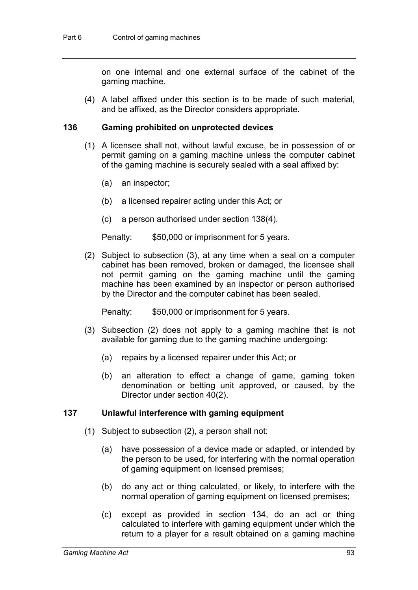on one internal and one external surface of the cabinet of the gaming machine.

(4) A label affixed under this section is to be made of such material, and be affixed, as the Director considers appropriate.

#### **136 Gaming prohibited on unprotected devices**

- (1) A licensee shall not, without lawful excuse, be in possession of or permit gaming on a gaming machine unless the computer cabinet of the gaming machine is securely sealed with a seal affixed by:
	- (a) an inspector;
	- (b) a licensed repairer acting under this Act; or
	- (c) a person authorised under section 138(4).

Penalty: \$50,000 or imprisonment for 5 years.

(2) Subject to subsection (3), at any time when a seal on a computer cabinet has been removed, broken or damaged, the licensee shall not permit gaming on the gaming machine until the gaming machine has been examined by an inspector or person authorised by the Director and the computer cabinet has been sealed.

Penalty: \$50,000 or imprisonment for 5 years.

- (3) Subsection (2) does not apply to a gaming machine that is not available for gaming due to the gaming machine undergoing:
	- (a) repairs by a licensed repairer under this Act; or
	- (b) an alteration to effect a change of game, gaming token denomination or betting unit approved, or caused, by the Director under section 40(2).

#### **137 Unlawful interference with gaming equipment**

- (1) Subject to subsection (2), a person shall not:
	- (a) have possession of a device made or adapted, or intended by the person to be used, for interfering with the normal operation of gaming equipment on licensed premises;
	- (b) do any act or thing calculated, or likely, to interfere with the normal operation of gaming equipment on licensed premises;
	- (c) except as provided in section 134, do an act or thing calculated to interfere with gaming equipment under which the return to a player for a result obtained on a gaming machine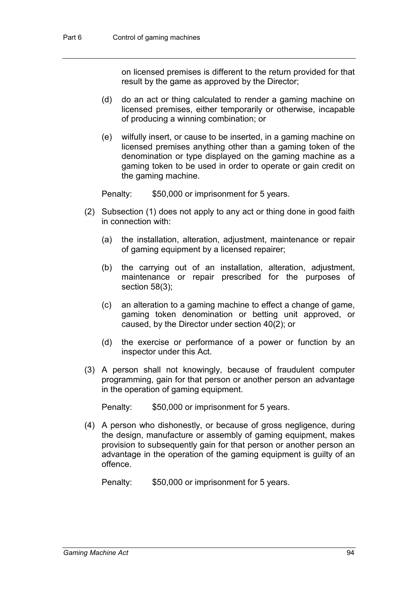on licensed premises is different to the return provided for that result by the game as approved by the Director;

- (d) do an act or thing calculated to render a gaming machine on licensed premises, either temporarily or otherwise, incapable of producing a winning combination; or
- (e) wilfully insert, or cause to be inserted, in a gaming machine on licensed premises anything other than a gaming token of the denomination or type displayed on the gaming machine as a gaming token to be used in order to operate or gain credit on the gaming machine.

Penalty: \$50,000 or imprisonment for 5 years.

- (2) Subsection (1) does not apply to any act or thing done in good faith in connection with:
	- (a) the installation, alteration, adjustment, maintenance or repair of gaming equipment by a licensed repairer;
	- (b) the carrying out of an installation, alteration, adjustment, maintenance or repair prescribed for the purposes of section 58(3);
	- (c) an alteration to a gaming machine to effect a change of game, gaming token denomination or betting unit approved, or caused, by the Director under section 40(2); or
	- (d) the exercise or performance of a power or function by an inspector under this Act.
- (3) A person shall not knowingly, because of fraudulent computer programming, gain for that person or another person an advantage in the operation of gaming equipment.

Penalty: \$50,000 or imprisonment for 5 years.

(4) A person who dishonestly, or because of gross negligence, during the design, manufacture or assembly of gaming equipment, makes provision to subsequently gain for that person or another person an advantage in the operation of the gaming equipment is guilty of an offence.

Penalty: \$50,000 or imprisonment for 5 years.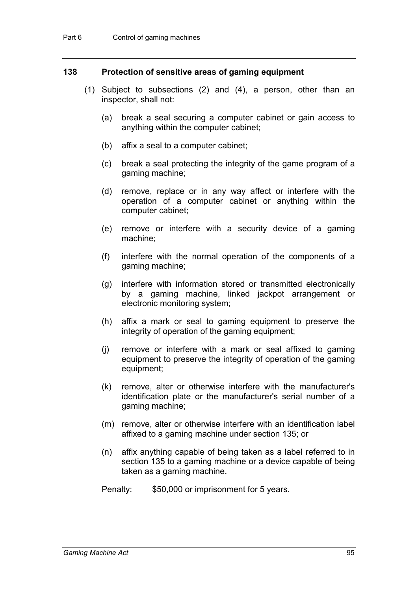### **138 Protection of sensitive areas of gaming equipment**

- (1) Subject to subsections (2) and (4), a person, other than an inspector, shall not:
	- (a) break a seal securing a computer cabinet or gain access to anything within the computer cabinet;
	- (b) affix a seal to a computer cabinet;
	- (c) break a seal protecting the integrity of the game program of a gaming machine;
	- (d) remove, replace or in any way affect or interfere with the operation of a computer cabinet or anything within the computer cabinet;
	- (e) remove or interfere with a security device of a gaming machine;
	- (f) interfere with the normal operation of the components of a gaming machine;
	- (g) interfere with information stored or transmitted electronically by a gaming machine, linked jackpot arrangement or electronic monitoring system;
	- (h) affix a mark or seal to gaming equipment to preserve the integrity of operation of the gaming equipment;
	- (j) remove or interfere with a mark or seal affixed to gaming equipment to preserve the integrity of operation of the gaming equipment;
	- (k) remove, alter or otherwise interfere with the manufacturer's identification plate or the manufacturer's serial number of a gaming machine;
	- (m) remove, alter or otherwise interfere with an identification label affixed to a gaming machine under section 135; or
	- (n) affix anything capable of being taken as a label referred to in section 135 to a gaming machine or a device capable of being taken as a gaming machine.
	- Penalty: \$50,000 or imprisonment for 5 years.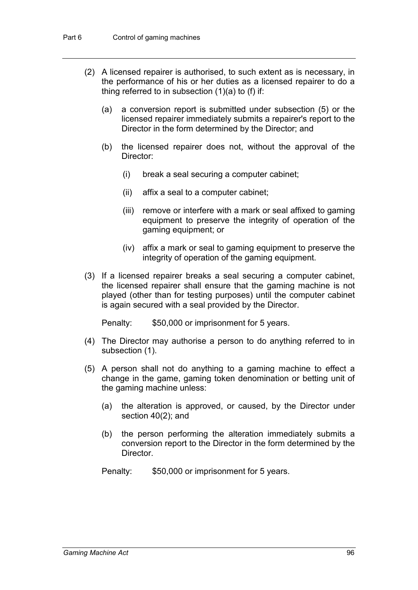- (2) A licensed repairer is authorised, to such extent as is necessary, in the performance of his or her duties as a licensed repairer to do a thing referred to in subsection  $(1)(a)$  to  $(f)$  if:
	- (a) a conversion report is submitted under subsection (5) or the licensed repairer immediately submits a repairer's report to the Director in the form determined by the Director; and
	- (b) the licensed repairer does not, without the approval of the Director:
		- (i) break a seal securing a computer cabinet;
		- (ii) affix a seal to a computer cabinet;
		- (iii) remove or interfere with a mark or seal affixed to gaming equipment to preserve the integrity of operation of the gaming equipment; or
		- (iv) affix a mark or seal to gaming equipment to preserve the integrity of operation of the gaming equipment.
- (3) If a licensed repairer breaks a seal securing a computer cabinet, the licensed repairer shall ensure that the gaming machine is not played (other than for testing purposes) until the computer cabinet is again secured with a seal provided by the Director.

Penalty: \$50,000 or imprisonment for 5 years.

- (4) The Director may authorise a person to do anything referred to in subsection (1).
- (5) A person shall not do anything to a gaming machine to effect a change in the game, gaming token denomination or betting unit of the gaming machine unless:
	- (a) the alteration is approved, or caused, by the Director under section 40(2); and
	- (b) the person performing the alteration immediately submits a conversion report to the Director in the form determined by the Director.
	- Penalty: \$50,000 or imprisonment for 5 years.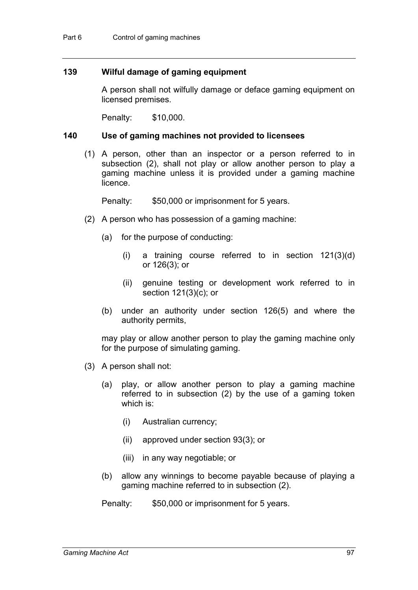## **139 Wilful damage of gaming equipment**

A person shall not wilfully damage or deface gaming equipment on licensed premises.

Penalty: \$10,000.

#### **140 Use of gaming machines not provided to licensees**

(1) A person, other than an inspector or a person referred to in subsection (2), shall not play or allow another person to play a gaming machine unless it is provided under a gaming machine licence.

Penalty: \$50,000 or imprisonment for 5 years.

- (2) A person who has possession of a gaming machine:
	- (a) for the purpose of conducting:
		- (i) a training course referred to in section 121(3)(d) or 126(3); or
		- (ii) genuine testing or development work referred to in section 121(3)(c); or
	- (b) under an authority under section 126(5) and where the authority permits,

may play or allow another person to play the gaming machine only for the purpose of simulating gaming.

- (3) A person shall not:
	- (a) play, or allow another person to play a gaming machine referred to in subsection (2) by the use of a gaming token which is:
		- (i) Australian currency;
		- (ii) approved under section 93(3); or
		- (iii) in any way negotiable; or
	- (b) allow any winnings to become payable because of playing a gaming machine referred to in subsection (2).

Penalty: \$50,000 or imprisonment for 5 years.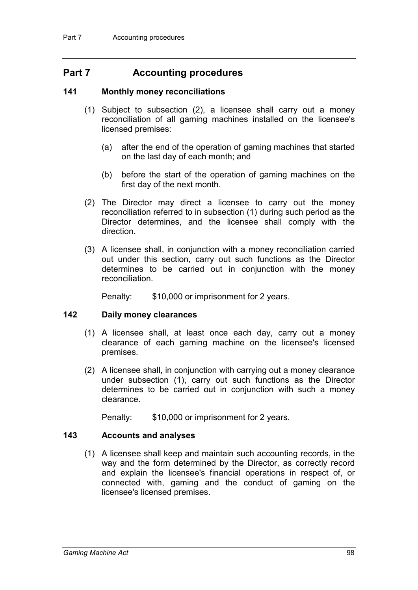# **Part 7 Accounting procedures**

### **141 Monthly money reconciliations**

- (1) Subject to subsection (2), a licensee shall carry out a money reconciliation of all gaming machines installed on the licensee's licensed premises:
	- (a) after the end of the operation of gaming machines that started on the last day of each month; and
	- (b) before the start of the operation of gaming machines on the first day of the next month.
- (2) The Director may direct a licensee to carry out the money reconciliation referred to in subsection (1) during such period as the Director determines, and the licensee shall comply with the direction.
- (3) A licensee shall, in conjunction with a money reconciliation carried out under this section, carry out such functions as the Director determines to be carried out in conjunction with the money reconciliation.

Penalty: \$10,000 or imprisonment for 2 years.

#### **142 Daily money clearances**

- (1) A licensee shall, at least once each day, carry out a money clearance of each gaming machine on the licensee's licensed premises.
- (2) A licensee shall, in conjunction with carrying out a money clearance under subsection (1), carry out such functions as the Director determines to be carried out in conjunction with such a money clearance.

Penalty: \$10,000 or imprisonment for 2 years.

# **143 Accounts and analyses**

(1) A licensee shall keep and maintain such accounting records, in the way and the form determined by the Director, as correctly record and explain the licensee's financial operations in respect of, or connected with, gaming and the conduct of gaming on the licensee's licensed premises.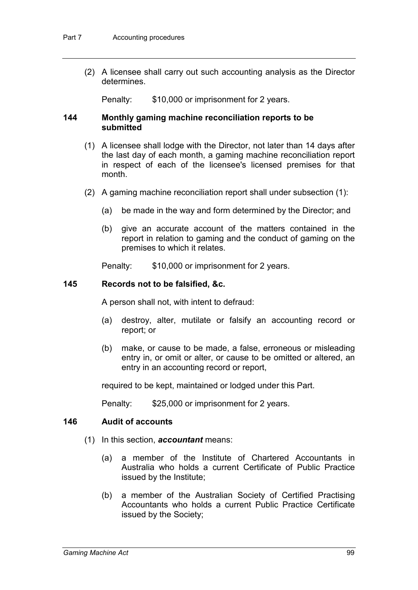(2) A licensee shall carry out such accounting analysis as the Director determines.

Penalty: \$10,000 or imprisonment for 2 years.

### **144 Monthly gaming machine reconciliation reports to be submitted**

- (1) A licensee shall lodge with the Director, not later than 14 days after the last day of each month, a gaming machine reconciliation report in respect of each of the licensee's licensed premises for that month.
- (2) A gaming machine reconciliation report shall under subsection (1):
	- (a) be made in the way and form determined by the Director; and
	- (b) give an accurate account of the matters contained in the report in relation to gaming and the conduct of gaming on the premises to which it relates.

Penalty: \$10,000 or imprisonment for 2 years.

### **145 Records not to be falsified, &c.**

A person shall not, with intent to defraud:

- (a) destroy, alter, mutilate or falsify an accounting record or report; or
- (b) make, or cause to be made, a false, erroneous or misleading entry in, or omit or alter, or cause to be omitted or altered, an entry in an accounting record or report,

required to be kept, maintained or lodged under this Part.

Penalty: \$25,000 or imprisonment for 2 years.

# **146 Audit of accounts**

- (1) In this section, *accountant* means:
	- (a) a member of the Institute of Chartered Accountants in Australia who holds a current Certificate of Public Practice issued by the Institute;
	- (b) a member of the Australian Society of Certified Practising Accountants who holds a current Public Practice Certificate issued by the Society;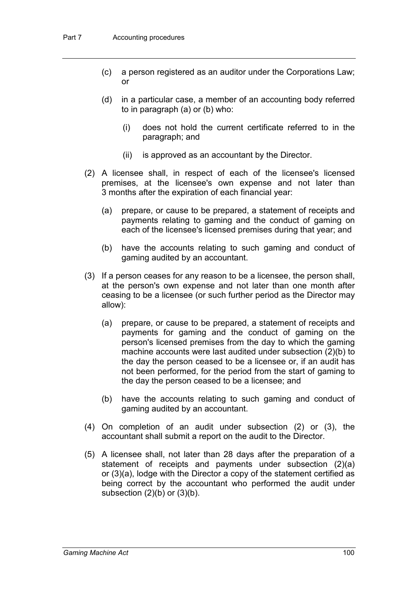- (c) a person registered as an auditor under the Corporations Law; or
- (d) in a particular case, a member of an accounting body referred to in paragraph (a) or (b) who:
	- (i) does not hold the current certificate referred to in the paragraph; and
	- (ii) is approved as an accountant by the Director.
- (2) A licensee shall, in respect of each of the licensee's licensed premises, at the licensee's own expense and not later than 3 months after the expiration of each financial year:
	- (a) prepare, or cause to be prepared, a statement of receipts and payments relating to gaming and the conduct of gaming on each of the licensee's licensed premises during that year; and
	- (b) have the accounts relating to such gaming and conduct of gaming audited by an accountant.
- (3) If a person ceases for any reason to be a licensee, the person shall, at the person's own expense and not later than one month after ceasing to be a licensee (or such further period as the Director may allow):
	- (a) prepare, or cause to be prepared, a statement of receipts and payments for gaming and the conduct of gaming on the person's licensed premises from the day to which the gaming machine accounts were last audited under subsection (2)(b) to the day the person ceased to be a licensee or, if an audit has not been performed, for the period from the start of gaming to the day the person ceased to be a licensee; and
	- (b) have the accounts relating to such gaming and conduct of gaming audited by an accountant.
- (4) On completion of an audit under subsection (2) or (3), the accountant shall submit a report on the audit to the Director.
- (5) A licensee shall, not later than 28 days after the preparation of a statement of receipts and payments under subsection (2)(a) or (3)(a), lodge with the Director a copy of the statement certified as being correct by the accountant who performed the audit under subsection  $(2)(b)$  or  $(3)(b)$ .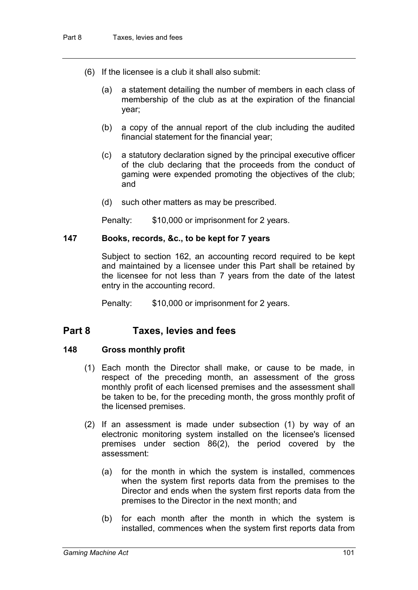- (6) If the licensee is a club it shall also submit:
	- (a) a statement detailing the number of members in each class of membership of the club as at the expiration of the financial year;
	- (b) a copy of the annual report of the club including the audited financial statement for the financial year;
	- (c) a statutory declaration signed by the principal executive officer of the club declaring that the proceeds from the conduct of gaming were expended promoting the objectives of the club; and
	- (d) such other matters as may be prescribed.

Penalty: \$10,000 or imprisonment for 2 years.

### **147 Books, records, &c., to be kept for 7 years**

Subject to section 162, an accounting record required to be kept and maintained by a licensee under this Part shall be retained by the licensee for not less than 7 years from the date of the latest entry in the accounting record.

Penalty: \$10,000 or imprisonment for 2 years.

# **Part 8 Taxes, levies and fees**

# **148 Gross monthly profit**

- (1) Each month the Director shall make, or cause to be made, in respect of the preceding month, an assessment of the gross monthly profit of each licensed premises and the assessment shall be taken to be, for the preceding month, the gross monthly profit of the licensed premises.
- (2) If an assessment is made under subsection (1) by way of an electronic monitoring system installed on the licensee's licensed premises under section 86(2), the period covered by the assessment:
	- (a) for the month in which the system is installed, commences when the system first reports data from the premises to the Director and ends when the system first reports data from the premises to the Director in the next month; and
	- (b) for each month after the month in which the system is installed, commences when the system first reports data from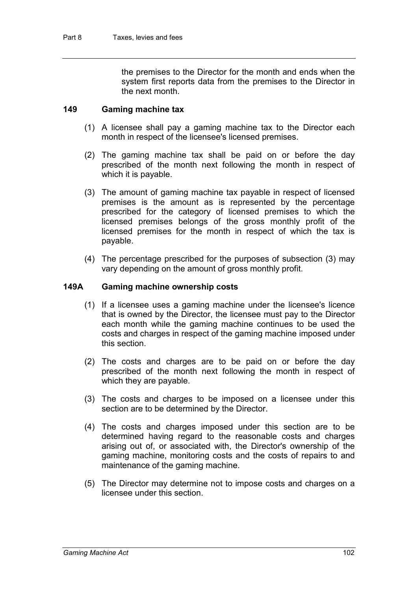the premises to the Director for the month and ends when the system first reports data from the premises to the Director in the next month.

### **149 Gaming machine tax**

- (1) A licensee shall pay a gaming machine tax to the Director each month in respect of the licensee's licensed premises.
- (2) The gaming machine tax shall be paid on or before the day prescribed of the month next following the month in respect of which it is payable.
- (3) The amount of gaming machine tax payable in respect of licensed premises is the amount as is represented by the percentage prescribed for the category of licensed premises to which the licensed premises belongs of the gross monthly profit of the licensed premises for the month in respect of which the tax is payable.
- (4) The percentage prescribed for the purposes of subsection (3) may vary depending on the amount of gross monthly profit.

### **149A Gaming machine ownership costs**

- (1) If a licensee uses a gaming machine under the licensee's licence that is owned by the Director, the licensee must pay to the Director each month while the gaming machine continues to be used the costs and charges in respect of the gaming machine imposed under this section.
- (2) The costs and charges are to be paid on or before the day prescribed of the month next following the month in respect of which they are payable.
- (3) The costs and charges to be imposed on a licensee under this section are to be determined by the Director.
- (4) The costs and charges imposed under this section are to be determined having regard to the reasonable costs and charges arising out of, or associated with, the Director's ownership of the gaming machine, monitoring costs and the costs of repairs to and maintenance of the gaming machine.
- (5) The Director may determine not to impose costs and charges on a licensee under this section.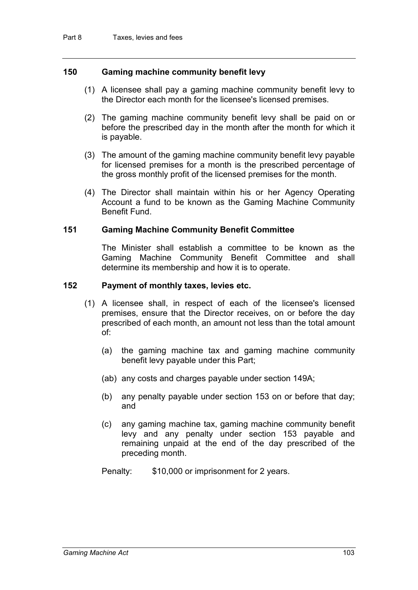# **150 Gaming machine community benefit levy**

- (1) A licensee shall pay a gaming machine community benefit levy to the Director each month for the licensee's licensed premises.
- (2) The gaming machine community benefit levy shall be paid on or before the prescribed day in the month after the month for which it is payable.
- (3) The amount of the gaming machine community benefit levy payable for licensed premises for a month is the prescribed percentage of the gross monthly profit of the licensed premises for the month.
- (4) The Director shall maintain within his or her Agency Operating Account a fund to be known as the Gaming Machine Community Benefit Fund.

#### **151 Gaming Machine Community Benefit Committee**

The Minister shall establish a committee to be known as the Gaming Machine Community Benefit Committee and shall determine its membership and how it is to operate.

#### **152 Payment of monthly taxes, levies etc.**

- (1) A licensee shall, in respect of each of the licensee's licensed premises, ensure that the Director receives, on or before the day prescribed of each month, an amount not less than the total amount of:
	- (a) the gaming machine tax and gaming machine community benefit levy payable under this Part;
	- (ab) any costs and charges payable under section 149A;
	- (b) any penalty payable under section 153 on or before that day; and
	- (c) any gaming machine tax, gaming machine community benefit levy and any penalty under section 153 payable and remaining unpaid at the end of the day prescribed of the preceding month.
	- Penalty: \$10,000 or imprisonment for 2 years.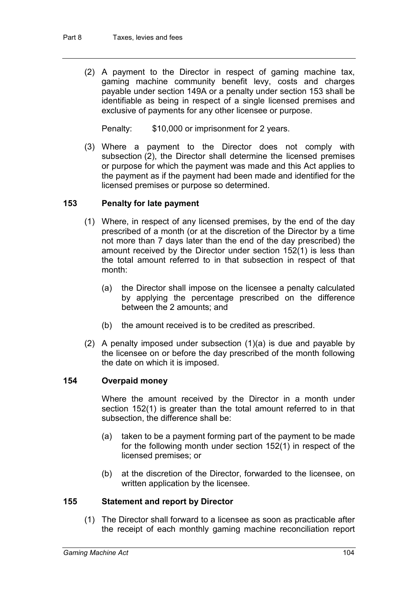(2) A payment to the Director in respect of gaming machine tax, gaming machine community benefit levy, costs and charges payable under section 149A or a penalty under section 153 shall be identifiable as being in respect of a single licensed premises and exclusive of payments for any other licensee or purpose.

Penalty: \$10,000 or imprisonment for 2 years.

(3) Where a payment to the Director does not comply with subsection (2), the Director shall determine the licensed premises or purpose for which the payment was made and this Act applies to the payment as if the payment had been made and identified for the licensed premises or purpose so determined.

# **153 Penalty for late payment**

- (1) Where, in respect of any licensed premises, by the end of the day prescribed of a month (or at the discretion of the Director by a time not more than 7 days later than the end of the day prescribed) the amount received by the Director under section 152(1) is less than the total amount referred to in that subsection in respect of that month:
	- (a) the Director shall impose on the licensee a penalty calculated by applying the percentage prescribed on the difference between the 2 amounts; and
	- (b) the amount received is to be credited as prescribed.
- (2) A penalty imposed under subsection (1)(a) is due and payable by the licensee on or before the day prescribed of the month following the date on which it is imposed.

# **154 Overpaid money**

Where the amount received by the Director in a month under section 152(1) is greater than the total amount referred to in that subsection, the difference shall be:

- (a) taken to be a payment forming part of the payment to be made for the following month under section 152(1) in respect of the licensed premises; or
- (b) at the discretion of the Director, forwarded to the licensee, on written application by the licensee.

# **155 Statement and report by Director**

(1) The Director shall forward to a licensee as soon as practicable after the receipt of each monthly gaming machine reconciliation report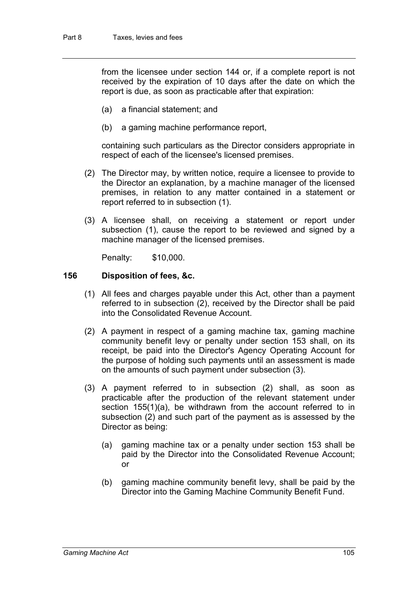from the licensee under section 144 or, if a complete report is not received by the expiration of 10 days after the date on which the report is due, as soon as practicable after that expiration:

- (a) a financial statement; and
- (b) a gaming machine performance report,

containing such particulars as the Director considers appropriate in respect of each of the licensee's licensed premises.

- (2) The Director may, by written notice, require a licensee to provide to the Director an explanation, by a machine manager of the licensed premises, in relation to any matter contained in a statement or report referred to in subsection (1).
- (3) A licensee shall, on receiving a statement or report under subsection (1), cause the report to be reviewed and signed by a machine manager of the licensed premises.

Penalty: \$10,000.

#### **156 Disposition of fees, &c.**

- (1) All fees and charges payable under this Act, other than a payment referred to in subsection (2), received by the Director shall be paid into the Consolidated Revenue Account.
- (2) A payment in respect of a gaming machine tax, gaming machine community benefit levy or penalty under section 153 shall, on its receipt, be paid into the Director's Agency Operating Account for the purpose of holding such payments until an assessment is made on the amounts of such payment under subsection (3).
- (3) A payment referred to in subsection (2) shall, as soon as practicable after the production of the relevant statement under section 155(1)(a), be withdrawn from the account referred to in subsection (2) and such part of the payment as is assessed by the Director as being:
	- (a) gaming machine tax or a penalty under section 153 shall be paid by the Director into the Consolidated Revenue Account; or
	- (b) gaming machine community benefit levy, shall be paid by the Director into the Gaming Machine Community Benefit Fund.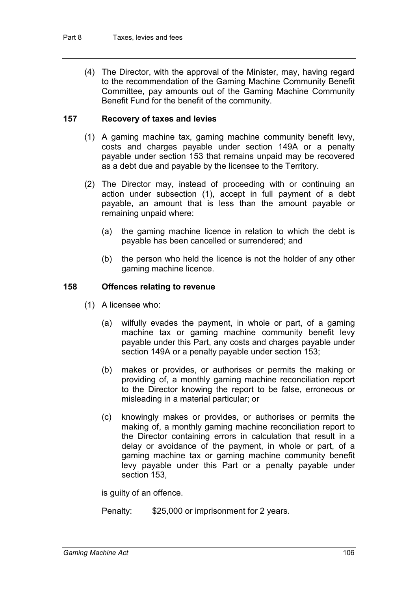(4) The Director, with the approval of the Minister, may, having regard to the recommendation of the Gaming Machine Community Benefit Committee, pay amounts out of the Gaming Machine Community Benefit Fund for the benefit of the community.

# **157 Recovery of taxes and levies**

- (1) A gaming machine tax, gaming machine community benefit levy, costs and charges payable under section 149A or a penalty payable under section 153 that remains unpaid may be recovered as a debt due and payable by the licensee to the Territory.
- (2) The Director may, instead of proceeding with or continuing an action under subsection (1), accept in full payment of a debt payable, an amount that is less than the amount payable or remaining unpaid where:
	- (a) the gaming machine licence in relation to which the debt is payable has been cancelled or surrendered; and
	- (b) the person who held the licence is not the holder of any other gaming machine licence.

### **158 Offences relating to revenue**

- (1) A licensee who:
	- (a) wilfully evades the payment, in whole or part, of a gaming machine tax or gaming machine community benefit levy payable under this Part, any costs and charges payable under section 149A or a penalty payable under section 153;
	- (b) makes or provides, or authorises or permits the making or providing of, a monthly gaming machine reconciliation report to the Director knowing the report to be false, erroneous or misleading in a material particular; or
	- (c) knowingly makes or provides, or authorises or permits the making of, a monthly gaming machine reconciliation report to the Director containing errors in calculation that result in a delay or avoidance of the payment, in whole or part, of a gaming machine tax or gaming machine community benefit levy payable under this Part or a penalty payable under section 153,

is guilty of an offence.

Penalty: \$25,000 or imprisonment for 2 years.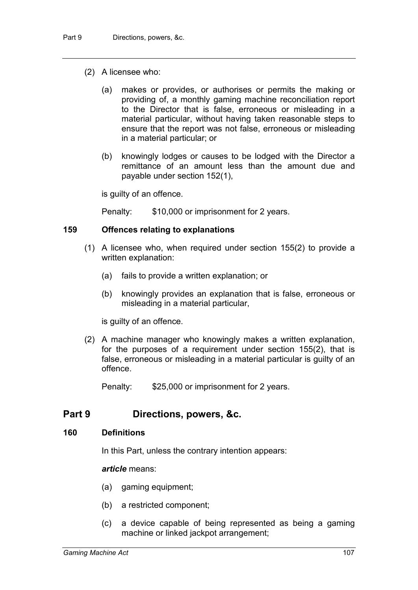- (2) A licensee who:
	- (a) makes or provides, or authorises or permits the making or providing of, a monthly gaming machine reconciliation report to the Director that is false, erroneous or misleading in a material particular, without having taken reasonable steps to ensure that the report was not false, erroneous or misleading in a material particular; or
	- (b) knowingly lodges or causes to be lodged with the Director a remittance of an amount less than the amount due and payable under section 152(1),

is guilty of an offence.

Penalty: \$10,000 or imprisonment for 2 years.

# **159 Offences relating to explanations**

- (1) A licensee who, when required under section 155(2) to provide a written explanation:
	- (a) fails to provide a written explanation; or
	- (b) knowingly provides an explanation that is false, erroneous or misleading in a material particular,

is guilty of an offence.

(2) A machine manager who knowingly makes a written explanation, for the purposes of a requirement under section 155(2), that is false, erroneous or misleading in a material particular is guilty of an offence.

Penalty: \$25,000 or imprisonment for 2 years.

# **Part 9 Directions, powers, &c.**

#### **160 Definitions**

In this Part, unless the contrary intention appears:

#### *article* means:

- (a) gaming equipment;
- (b) a restricted component;
- (c) a device capable of being represented as being a gaming machine or linked jackpot arrangement;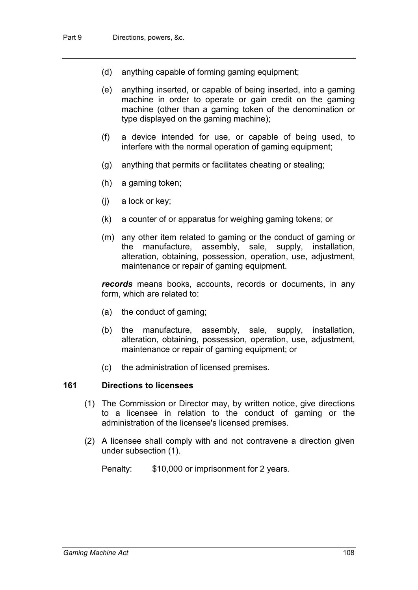- (d) anything capable of forming gaming equipment;
- (e) anything inserted, or capable of being inserted, into a gaming machine in order to operate or gain credit on the gaming machine (other than a gaming token of the denomination or type displayed on the gaming machine);
- (f) a device intended for use, or capable of being used, to interfere with the normal operation of gaming equipment;
- (g) anything that permits or facilitates cheating or stealing;
- (h) a gaming token;
- (j) a lock or key;
- (k) a counter of or apparatus for weighing gaming tokens; or
- (m) any other item related to gaming or the conduct of gaming or the manufacture, assembly, sale, supply, installation, alteration, obtaining, possession, operation, use, adjustment, maintenance or repair of gaming equipment.

*records* means books, accounts, records or documents, in any form, which are related to:

- (a) the conduct of gaming;
- (b) the manufacture, assembly, sale, supply, installation, alteration, obtaining, possession, operation, use, adjustment, maintenance or repair of gaming equipment; or
- (c) the administration of licensed premises.

# **161 Directions to licensees**

- (1) The Commission or Director may, by written notice, give directions to a licensee in relation to the conduct of gaming or the administration of the licensee's licensed premises.
- (2) A licensee shall comply with and not contravene a direction given under subsection (1).

Penalty: \$10,000 or imprisonment for 2 years.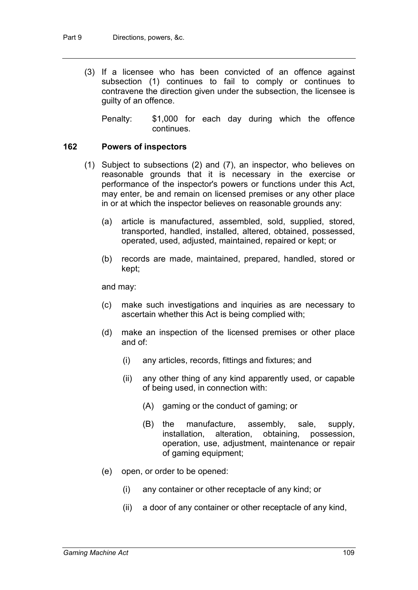(3) If a licensee who has been convicted of an offence against subsection (1) continues to fail to comply or continues to contravene the direction given under the subsection, the licensee is guilty of an offence.

Penalty: \$1,000 for each day during which the offence continues.

# **162 Powers of inspectors**

- (1) Subject to subsections (2) and (7), an inspector, who believes on reasonable grounds that it is necessary in the exercise or performance of the inspector's powers or functions under this Act, may enter, be and remain on licensed premises or any other place in or at which the inspector believes on reasonable grounds any:
	- (a) article is manufactured, assembled, sold, supplied, stored, transported, handled, installed, altered, obtained, possessed, operated, used, adjusted, maintained, repaired or kept; or
	- (b) records are made, maintained, prepared, handled, stored or kept;

and may:

- (c) make such investigations and inquiries as are necessary to ascertain whether this Act is being complied with;
- (d) make an inspection of the licensed premises or other place and of:
	- (i) any articles, records, fittings and fixtures; and
	- (ii) any other thing of any kind apparently used, or capable of being used, in connection with:
		- (A) gaming or the conduct of gaming; or
		- (B) the manufacture, assembly, sale, supply, installation, alteration, obtaining, possession, operation, use, adjustment, maintenance or repair of gaming equipment;
- (e) open, or order to be opened:
	- (i) any container or other receptacle of any kind; or
	- (ii) a door of any container or other receptacle of any kind,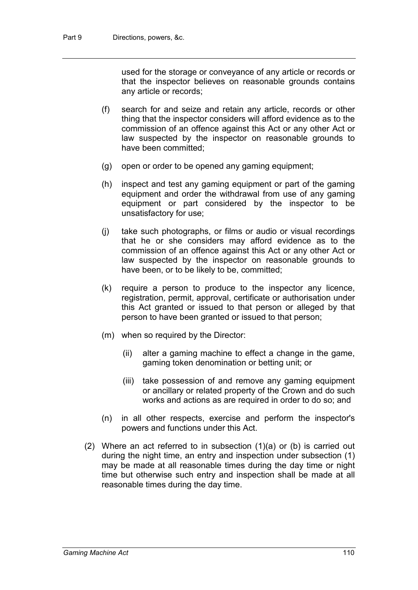used for the storage or conveyance of any article or records or that the inspector believes on reasonable grounds contains any article or records;

- (f) search for and seize and retain any article, records or other thing that the inspector considers will afford evidence as to the commission of an offence against this Act or any other Act or law suspected by the inspector on reasonable grounds to have been committed;
- (g) open or order to be opened any gaming equipment;
- (h) inspect and test any gaming equipment or part of the gaming equipment and order the withdrawal from use of any gaming equipment or part considered by the inspector to be unsatisfactory for use;
- (j) take such photographs, or films or audio or visual recordings that he or she considers may afford evidence as to the commission of an offence against this Act or any other Act or law suspected by the inspector on reasonable grounds to have been, or to be likely to be, committed;
- (k) require a person to produce to the inspector any licence, registration, permit, approval, certificate or authorisation under this Act granted or issued to that person or alleged by that person to have been granted or issued to that person;
- (m) when so required by the Director:
	- (ii) alter a gaming machine to effect a change in the game, gaming token denomination or betting unit; or
	- (iii) take possession of and remove any gaming equipment or ancillary or related property of the Crown and do such works and actions as are required in order to do so; and
- (n) in all other respects, exercise and perform the inspector's powers and functions under this Act.
- (2) Where an act referred to in subsection (1)(a) or (b) is carried out during the night time, an entry and inspection under subsection (1) may be made at all reasonable times during the day time or night time but otherwise such entry and inspection shall be made at all reasonable times during the day time.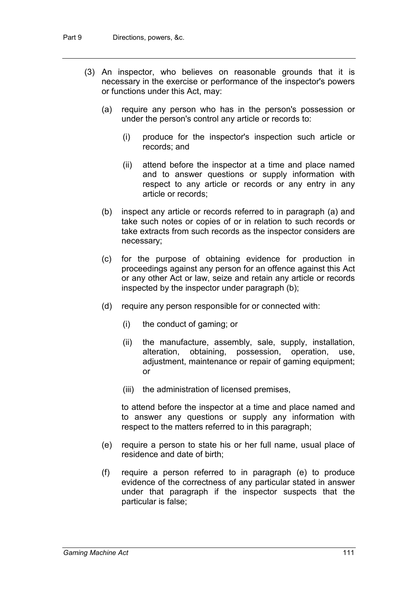- (3) An inspector, who believes on reasonable grounds that it is necessary in the exercise or performance of the inspector's powers or functions under this Act, may:
	- (a) require any person who has in the person's possession or under the person's control any article or records to:
		- (i) produce for the inspector's inspection such article or records; and
		- (ii) attend before the inspector at a time and place named and to answer questions or supply information with respect to any article or records or any entry in any article or records;
	- (b) inspect any article or records referred to in paragraph (a) and take such notes or copies of or in relation to such records or take extracts from such records as the inspector considers are necessary;
	- (c) for the purpose of obtaining evidence for production in proceedings against any person for an offence against this Act or any other Act or law, seize and retain any article or records inspected by the inspector under paragraph (b);
	- (d) require any person responsible for or connected with:
		- (i) the conduct of gaming; or
		- (ii) the manufacture, assembly, sale, supply, installation, alteration, obtaining, possession, operation, use, adjustment, maintenance or repair of gaming equipment; or
		- (iii) the administration of licensed premises,

to attend before the inspector at a time and place named and to answer any questions or supply any information with respect to the matters referred to in this paragraph;

- (e) require a person to state his or her full name, usual place of residence and date of birth;
- (f) require a person referred to in paragraph (e) to produce evidence of the correctness of any particular stated in answer under that paragraph if the inspector suspects that the particular is false;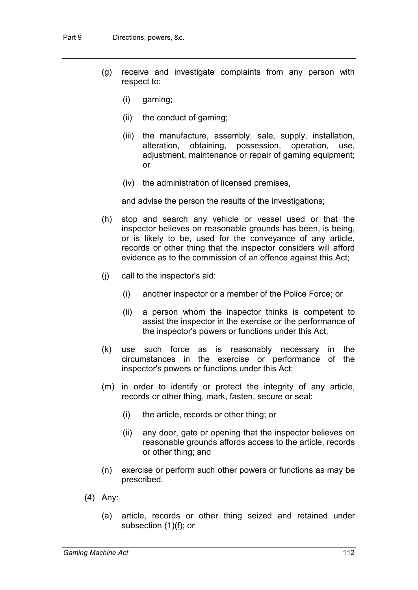- (g) receive and investigate complaints from any person with respect to:
	- (i) gaming;
	- (ii) the conduct of gaming;
	- (iii) the manufacture, assembly, sale, supply, installation, alteration, obtaining, possession, operation, use, adjustment, maintenance or repair of gaming equipment; or
	- (iv) the administration of licensed premises,

and advise the person the results of the investigations;

- (h) stop and search any vehicle or vessel used or that the inspector believes on reasonable grounds has been, is being, or is likely to be, used for the conveyance of any article, records or other thing that the inspector considers will afford evidence as to the commission of an offence against this Act;
- (j) call to the inspector's aid:
	- (i) another inspector or a member of the Police Force; or
	- (ii) a person whom the inspector thinks is competent to assist the inspector in the exercise or the performance of the inspector's powers or functions under this Act;
- (k) use such force as is reasonably necessary in the circumstances in the exercise or performance of the inspector's powers or functions under this Act;
- (m) in order to identify or protect the integrity of any article, records or other thing, mark, fasten, secure or seal:
	- (i) the article, records or other thing; or
	- (ii) any door, gate or opening that the inspector believes on reasonable grounds affords access to the article, records or other thing; and
- (n) exercise or perform such other powers or functions as may be prescribed.
- (4) Any:
	- (a) article, records or other thing seized and retained under subsection (1)(f); or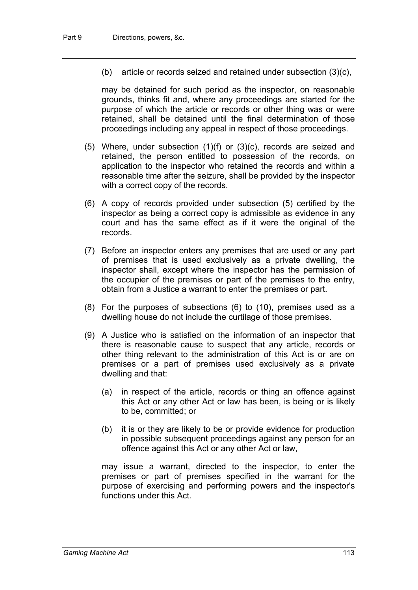(b) article or records seized and retained under subsection (3)(c),

may be detained for such period as the inspector, on reasonable grounds, thinks fit and, where any proceedings are started for the purpose of which the article or records or other thing was or were retained, shall be detained until the final determination of those proceedings including any appeal in respect of those proceedings.

- (5) Where, under subsection (1)(f) or (3)(c), records are seized and retained, the person entitled to possession of the records, on application to the inspector who retained the records and within a reasonable time after the seizure, shall be provided by the inspector with a correct copy of the records.
- (6) A copy of records provided under subsection (5) certified by the inspector as being a correct copy is admissible as evidence in any court and has the same effect as if it were the original of the records.
- (7) Before an inspector enters any premises that are used or any part of premises that is used exclusively as a private dwelling, the inspector shall, except where the inspector has the permission of the occupier of the premises or part of the premises to the entry, obtain from a Justice a warrant to enter the premises or part.
- (8) For the purposes of subsections (6) to (10), premises used as a dwelling house do not include the curtilage of those premises.
- (9) A Justice who is satisfied on the information of an inspector that there is reasonable cause to suspect that any article, records or other thing relevant to the administration of this Act is or are on premises or a part of premises used exclusively as a private dwelling and that:
	- (a) in respect of the article, records or thing an offence against this Act or any other Act or law has been, is being or is likely to be, committed; or
	- (b) it is or they are likely to be or provide evidence for production in possible subsequent proceedings against any person for an offence against this Act or any other Act or law,

may issue a warrant, directed to the inspector, to enter the premises or part of premises specified in the warrant for the purpose of exercising and performing powers and the inspector's functions under this Act.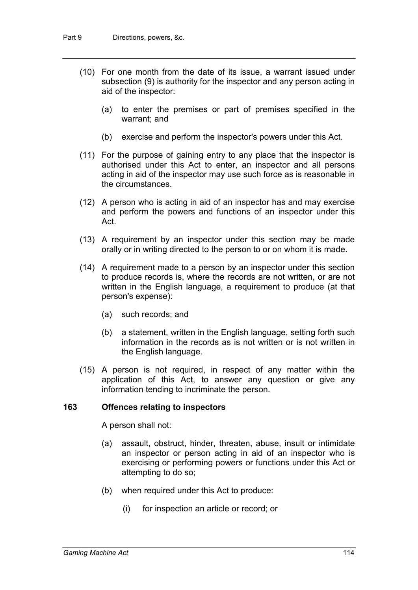- (10) For one month from the date of its issue, a warrant issued under subsection (9) is authority for the inspector and any person acting in aid of the inspector:
	- (a) to enter the premises or part of premises specified in the warrant; and
	- (b) exercise and perform the inspector's powers under this Act.
- (11) For the purpose of gaining entry to any place that the inspector is authorised under this Act to enter, an inspector and all persons acting in aid of the inspector may use such force as is reasonable in the circumstances.
- (12) A person who is acting in aid of an inspector has and may exercise and perform the powers and functions of an inspector under this Act.
- (13) A requirement by an inspector under this section may be made orally or in writing directed to the person to or on whom it is made.
- (14) A requirement made to a person by an inspector under this section to produce records is, where the records are not written, or are not written in the English language, a requirement to produce (at that person's expense):
	- (a) such records; and
	- (b) a statement, written in the English language, setting forth such information in the records as is not written or is not written in the English language.
- (15) A person is not required, in respect of any matter within the application of this Act, to answer any question or give any information tending to incriminate the person.

#### **163 Offences relating to inspectors**

A person shall not:

- (a) assault, obstruct, hinder, threaten, abuse, insult or intimidate an inspector or person acting in aid of an inspector who is exercising or performing powers or functions under this Act or attempting to do so;
- (b) when required under this Act to produce:
	- (i) for inspection an article or record; or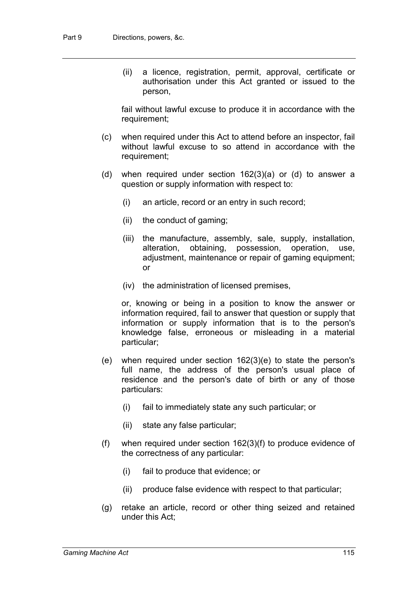(ii) a licence, registration, permit, approval, certificate or authorisation under this Act granted or issued to the person,

fail without lawful excuse to produce it in accordance with the requirement;

- (c) when required under this Act to attend before an inspector, fail without lawful excuse to so attend in accordance with the requirement;
- (d) when required under section 162(3)(a) or (d) to answer a question or supply information with respect to:
	- (i) an article, record or an entry in such record;
	- (ii) the conduct of gaming;
	- (iii) the manufacture, assembly, sale, supply, installation, alteration, obtaining, possession, operation, use, adjustment, maintenance or repair of gaming equipment; or
	- (iv) the administration of licensed premises,

or, knowing or being in a position to know the answer or information required, fail to answer that question or supply that information or supply information that is to the person's knowledge false, erroneous or misleading in a material particular;

- (e) when required under section 162(3)(e) to state the person's full name, the address of the person's usual place of residence and the person's date of birth or any of those particulars:
	- (i) fail to immediately state any such particular; or
	- (ii) state any false particular;
- (f) when required under section 162(3)(f) to produce evidence of the correctness of any particular:
	- (i) fail to produce that evidence; or
	- (ii) produce false evidence with respect to that particular;
- (g) retake an article, record or other thing seized and retained under this Act;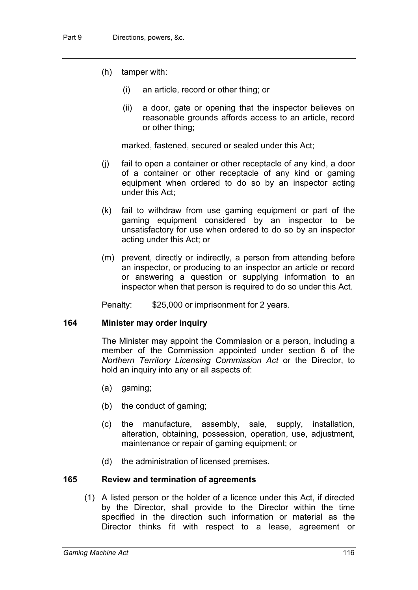- (h) tamper with:
	- (i) an article, record or other thing; or
	- (ii) a door, gate or opening that the inspector believes on reasonable grounds affords access to an article, record or other thing;

marked, fastened, secured or sealed under this Act;

- (j) fail to open a container or other receptacle of any kind, a door of a container or other receptacle of any kind or gaming equipment when ordered to do so by an inspector acting under this Act;
- (k) fail to withdraw from use gaming equipment or part of the gaming equipment considered by an inspector to be unsatisfactory for use when ordered to do so by an inspector acting under this Act; or
- (m) prevent, directly or indirectly, a person from attending before an inspector, or producing to an inspector an article or record or answering a question or supplying information to an inspector when that person is required to do so under this Act.

Penalty: \$25,000 or imprisonment for 2 years.

# **164 Minister may order inquiry**

The Minister may appoint the Commission or a person, including a member of the Commission appointed under section 6 of the *Northern Territory Licensing Commission Act* or the Director, to hold an inquiry into any or all aspects of:

- (a) gaming;
- (b) the conduct of gaming;
- (c) the manufacture, assembly, sale, supply, installation, alteration, obtaining, possession, operation, use, adjustment, maintenance or repair of gaming equipment; or
- (d) the administration of licensed premises.

# **165 Review and termination of agreements**

(1) A listed person or the holder of a licence under this Act, if directed by the Director, shall provide to the Director within the time specified in the direction such information or material as the Director thinks fit with respect to a lease, agreement or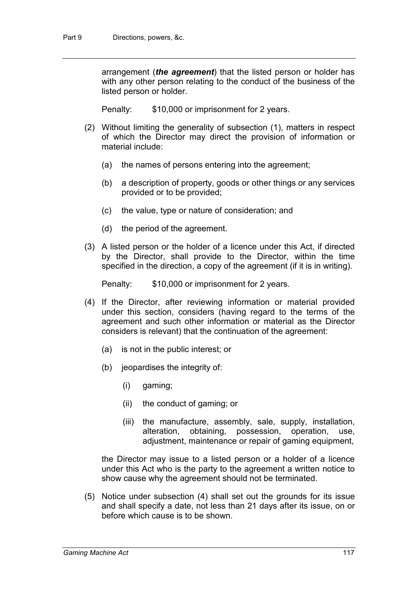arrangement (*the agreement*) that the listed person or holder has with any other person relating to the conduct of the business of the listed person or holder.

Penalty: \$10,000 or imprisonment for 2 years.

- (2) Without limiting the generality of subsection (1), matters in respect of which the Director may direct the provision of information or material include:
	- (a) the names of persons entering into the agreement;
	- (b) a description of property, goods or other things or any services provided or to be provided;
	- (c) the value, type or nature of consideration; and
	- (d) the period of the agreement.
- (3) A listed person or the holder of a licence under this Act, if directed by the Director, shall provide to the Director, within the time specified in the direction, a copy of the agreement (if it is in writing).

Penalty: \$10,000 or imprisonment for 2 years.

- (4) If the Director, after reviewing information or material provided under this section, considers (having regard to the terms of the agreement and such other information or material as the Director considers is relevant) that the continuation of the agreement:
	- (a) is not in the public interest; or
	- (b) jeopardises the integrity of:
		- (i) gaming;
		- (ii) the conduct of gaming; or
		- (iii) the manufacture, assembly, sale, supply, installation, alteration, obtaining, possession, operation, use, adjustment, maintenance or repair of gaming equipment,

the Director may issue to a listed person or a holder of a licence under this Act who is the party to the agreement a written notice to show cause why the agreement should not be terminated.

(5) Notice under subsection (4) shall set out the grounds for its issue and shall specify a date, not less than 21 days after its issue, on or before which cause is to be shown.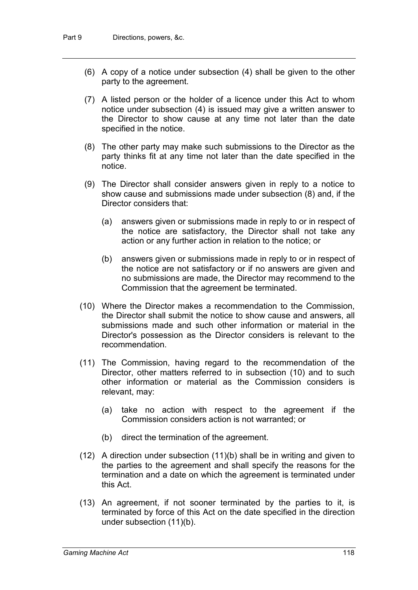- (6) A copy of a notice under subsection (4) shall be given to the other party to the agreement.
- (7) A listed person or the holder of a licence under this Act to whom notice under subsection (4) is issued may give a written answer to the Director to show cause at any time not later than the date specified in the notice.
- (8) The other party may make such submissions to the Director as the party thinks fit at any time not later than the date specified in the notice.
- (9) The Director shall consider answers given in reply to a notice to show cause and submissions made under subsection (8) and, if the Director considers that:
	- (a) answers given or submissions made in reply to or in respect of the notice are satisfactory, the Director shall not take any action or any further action in relation to the notice; or
	- (b) answers given or submissions made in reply to or in respect of the notice are not satisfactory or if no answers are given and no submissions are made, the Director may recommend to the Commission that the agreement be terminated.
- (10) Where the Director makes a recommendation to the Commission, the Director shall submit the notice to show cause and answers, all submissions made and such other information or material in the Director's possession as the Director considers is relevant to the recommendation.
- (11) The Commission, having regard to the recommendation of the Director, other matters referred to in subsection (10) and to such other information or material as the Commission considers is relevant, may:
	- (a) take no action with respect to the agreement if the Commission considers action is not warranted; or
	- (b) direct the termination of the agreement.
- (12) A direction under subsection (11)(b) shall be in writing and given to the parties to the agreement and shall specify the reasons for the termination and a date on which the agreement is terminated under this Act.
- (13) An agreement, if not sooner terminated by the parties to it, is terminated by force of this Act on the date specified in the direction under subsection (11)(b).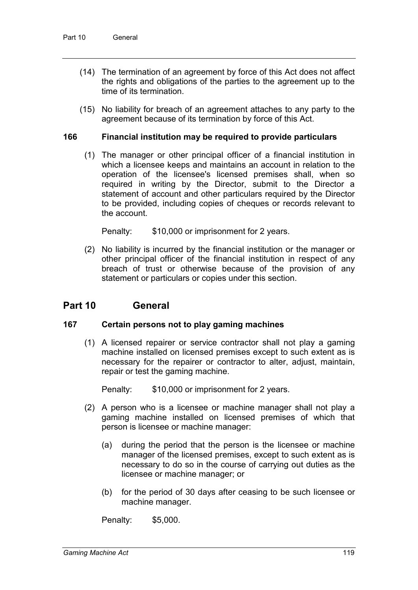- (14) The termination of an agreement by force of this Act does not affect the rights and obligations of the parties to the agreement up to the time of its termination.
- (15) No liability for breach of an agreement attaches to any party to the agreement because of its termination by force of this Act.

# **166 Financial institution may be required to provide particulars**

(1) The manager or other principal officer of a financial institution in which a licensee keeps and maintains an account in relation to the operation of the licensee's licensed premises shall, when so required in writing by the Director, submit to the Director a statement of account and other particulars required by the Director to be provided, including copies of cheques or records relevant to the account.

Penalty: \$10,000 or imprisonment for 2 years.

(2) No liability is incurred by the financial institution or the manager or other principal officer of the financial institution in respect of any breach of trust or otherwise because of the provision of any statement or particulars or copies under this section.

# **Part 10 General**

#### **167 Certain persons not to play gaming machines**

(1) A licensed repairer or service contractor shall not play a gaming machine installed on licensed premises except to such extent as is necessary for the repairer or contractor to alter, adjust, maintain, repair or test the gaming machine.

Penalty: \$10,000 or imprisonment for 2 years.

- (2) A person who is a licensee or machine manager shall not play a gaming machine installed on licensed premises of which that person is licensee or machine manager:
	- (a) during the period that the person is the licensee or machine manager of the licensed premises, except to such extent as is necessary to do so in the course of carrying out duties as the licensee or machine manager; or
	- (b) for the period of 30 days after ceasing to be such licensee or machine manager.

Penalty: \$5,000.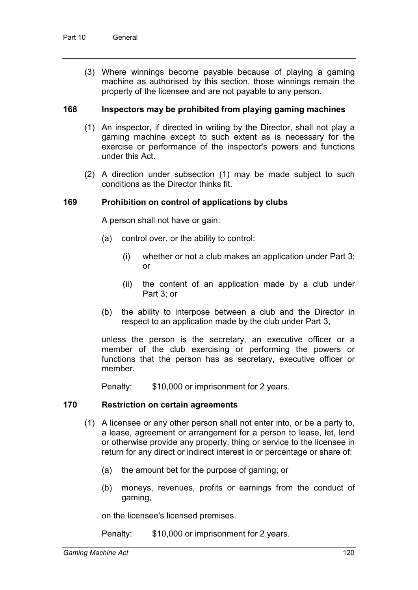(3) Where winnings become payable because of playing a gaming machine as authorised by this section, those winnings remain the property of the licensee and are not payable to any person.

### **168 Inspectors may be prohibited from playing gaming machines**

- (1) An inspector, if directed in writing by the Director, shall not play a gaming machine except to such extent as is necessary for the exercise or performance of the inspector's powers and functions under this Act.
- (2) A direction under subsection (1) may be made subject to such conditions as the Director thinks fit.

### **169 Prohibition on control of applications by clubs**

A person shall not have or gain:

- (a) control over, or the ability to control:
	- (i) whether or not a club makes an application under Part 3; or
	- (ii) the content of an application made by a club under Part 3; or
- (b) the ability to interpose between a club and the Director in respect to an application made by the club under Part 3,

unless the person is the secretary, an executive officer or a member of the club exercising or performing the powers or functions that the person has as secretary, executive officer or member.

Penalty: \$10,000 or imprisonment for 2 years.

## **170 Restriction on certain agreements**

- (1) A licensee or any other person shall not enter into, or be a party to, a lease, agreement or arrangement for a person to lease, let, lend or otherwise provide any property, thing or service to the licensee in return for any direct or indirect interest in or percentage or share of:
	- (a) the amount bet for the purpose of gaming; or
	- (b) moneys, revenues, profits or earnings from the conduct of gaming,

on the licensee's licensed premises.

Penalty: \$10,000 or imprisonment for 2 years.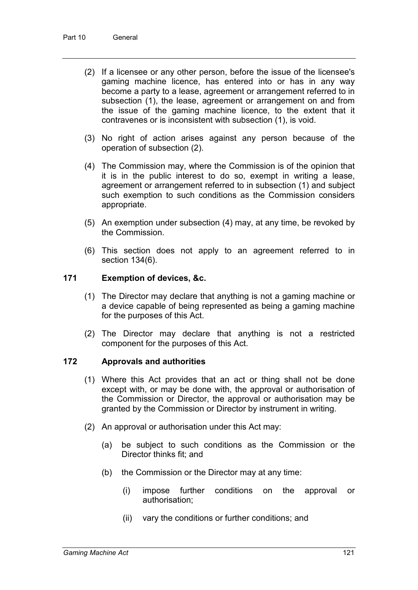- (2) If a licensee or any other person, before the issue of the licensee's gaming machine licence, has entered into or has in any way become a party to a lease, agreement or arrangement referred to in subsection (1), the lease, agreement or arrangement on and from the issue of the gaming machine licence, to the extent that it contravenes or is inconsistent with subsection (1), is void.
- (3) No right of action arises against any person because of the operation of subsection (2).
- (4) The Commission may, where the Commission is of the opinion that it is in the public interest to do so, exempt in writing a lease, agreement or arrangement referred to in subsection (1) and subject such exemption to such conditions as the Commission considers appropriate.
- (5) An exemption under subsection (4) may, at any time, be revoked by the Commission.
- (6) This section does not apply to an agreement referred to in section 134(6).

# **171 Exemption of devices, &c.**

- (1) The Director may declare that anything is not a gaming machine or a device capable of being represented as being a gaming machine for the purposes of this Act.
- (2) The Director may declare that anything is not a restricted component for the purposes of this Act.

# **172 Approvals and authorities**

- (1) Where this Act provides that an act or thing shall not be done except with, or may be done with, the approval or authorisation of the Commission or Director, the approval or authorisation may be granted by the Commission or Director by instrument in writing.
- (2) An approval or authorisation under this Act may:
	- (a) be subject to such conditions as the Commission or the Director thinks fit; and
	- (b) the Commission or the Director may at any time:
		- (i) impose further conditions on the approval or authorisation;
		- (ii) vary the conditions or further conditions; and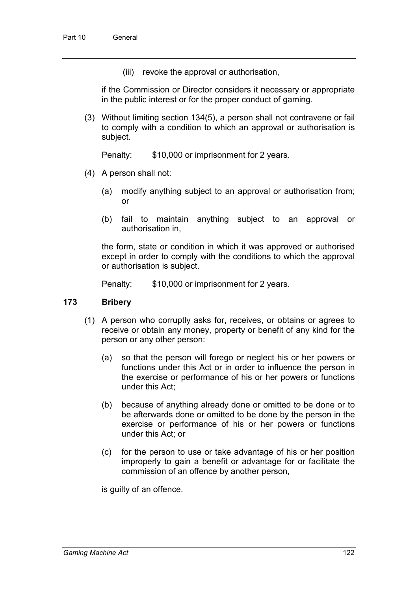(iii) revoke the approval or authorisation,

if the Commission or Director considers it necessary or appropriate in the public interest or for the proper conduct of gaming.

(3) Without limiting section 134(5), a person shall not contravene or fail to comply with a condition to which an approval or authorisation is subject.

Penalty: \$10,000 or imprisonment for 2 years.

- (4) A person shall not:
	- (a) modify anything subject to an approval or authorisation from; or
	- (b) fail to maintain anything subject to an approval or authorisation in,

the form, state or condition in which it was approved or authorised except in order to comply with the conditions to which the approval or authorisation is subject.

Penalty: \$10,000 or imprisonment for 2 years.

# **173 Bribery**

- (1) A person who corruptly asks for, receives, or obtains or agrees to receive or obtain any money, property or benefit of any kind for the person or any other person:
	- (a) so that the person will forego or neglect his or her powers or functions under this Act or in order to influence the person in the exercise or performance of his or her powers or functions under this Act;
	- (b) because of anything already done or omitted to be done or to be afterwards done or omitted to be done by the person in the exercise or performance of his or her powers or functions under this Act; or
	- (c) for the person to use or take advantage of his or her position improperly to gain a benefit or advantage for or facilitate the commission of an offence by another person,

is guilty of an offence.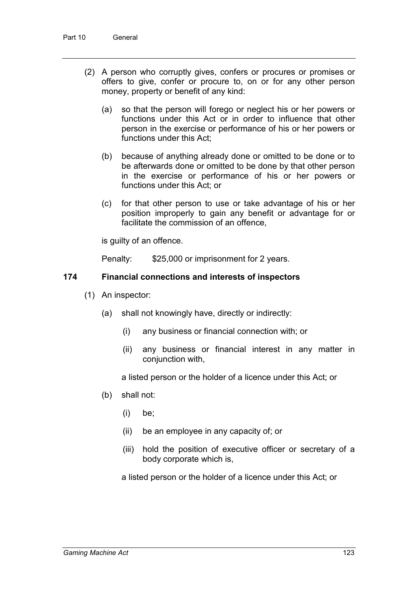- (2) A person who corruptly gives, confers or procures or promises or offers to give, confer or procure to, on or for any other person money, property or benefit of any kind:
	- (a) so that the person will forego or neglect his or her powers or functions under this Act or in order to influence that other person in the exercise or performance of his or her powers or functions under this Act;
	- (b) because of anything already done or omitted to be done or to be afterwards done or omitted to be done by that other person in the exercise or performance of his or her powers or functions under this Act; or
	- (c) for that other person to use or take advantage of his or her position improperly to gain any benefit or advantage for or facilitate the commission of an offence,

is guilty of an offence.

Penalty: \$25,000 or imprisonment for 2 years.

# **174 Financial connections and interests of inspectors**

- (1) An inspector:
	- (a) shall not knowingly have, directly or indirectly:
		- (i) any business or financial connection with; or
		- (ii) any business or financial interest in any matter in conjunction with,

a listed person or the holder of a licence under this Act; or

- (b) shall not:
	- (i) be;
	- (ii) be an employee in any capacity of; or
	- (iii) hold the position of executive officer or secretary of a body corporate which is,

a listed person or the holder of a licence under this Act; or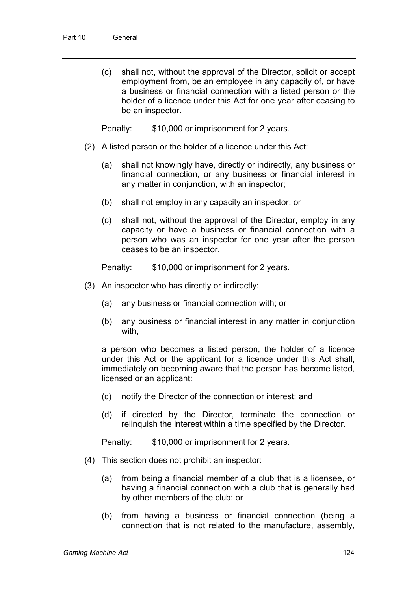(c) shall not, without the approval of the Director, solicit or accept employment from, be an employee in any capacity of, or have a business or financial connection with a listed person or the holder of a licence under this Act for one year after ceasing to be an inspector.

Penalty: \$10,000 or imprisonment for 2 years.

- (2) A listed person or the holder of a licence under this Act:
	- (a) shall not knowingly have, directly or indirectly, any business or financial connection, or any business or financial interest in any matter in conjunction, with an inspector;
	- (b) shall not employ in any capacity an inspector; or
	- (c) shall not, without the approval of the Director, employ in any capacity or have a business or financial connection with a person who was an inspector for one year after the person ceases to be an inspector.

Penalty: \$10,000 or imprisonment for 2 years.

- (3) An inspector who has directly or indirectly:
	- (a) any business or financial connection with; or
	- (b) any business or financial interest in any matter in conjunction with,

a person who becomes a listed person, the holder of a licence under this Act or the applicant for a licence under this Act shall, immediately on becoming aware that the person has become listed, licensed or an applicant:

- (c) notify the Director of the connection or interest; and
- (d) if directed by the Director, terminate the connection or relinquish the interest within a time specified by the Director.

Penalty: \$10,000 or imprisonment for 2 years.

- (4) This section does not prohibit an inspector:
	- (a) from being a financial member of a club that is a licensee, or having a financial connection with a club that is generally had by other members of the club; or
	- (b) from having a business or financial connection (being a connection that is not related to the manufacture, assembly,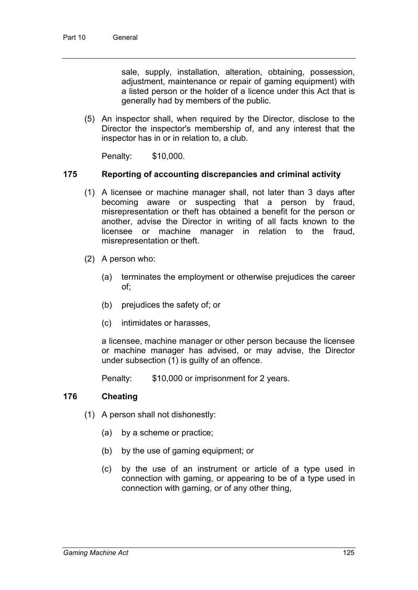sale, supply, installation, alteration, obtaining, possession, adjustment, maintenance or repair of gaming equipment) with a listed person or the holder of a licence under this Act that is generally had by members of the public.

(5) An inspector shall, when required by the Director, disclose to the Director the inspector's membership of, and any interest that the inspector has in or in relation to, a club.

Penalty: \$10,000.

### **175 Reporting of accounting discrepancies and criminal activity**

- (1) A licensee or machine manager shall, not later than 3 days after becoming aware or suspecting that a person by fraud, misrepresentation or theft has obtained a benefit for the person or another, advise the Director in writing of all facts known to the licensee or machine manager in relation to the fraud, misrepresentation or theft.
- (2) A person who:
	- (a) terminates the employment or otherwise prejudices the career of;
	- (b) prejudices the safety of; or
	- (c) intimidates or harasses,

a licensee, machine manager or other person because the licensee or machine manager has advised, or may advise, the Director under subsection (1) is guilty of an offence.

Penalty: \$10,000 or imprisonment for 2 years.

# **176 Cheating**

- (1) A person shall not dishonestly:
	- (a) by a scheme or practice;
	- (b) by the use of gaming equipment; or
	- (c) by the use of an instrument or article of a type used in connection with gaming, or appearing to be of a type used in connection with gaming, or of any other thing,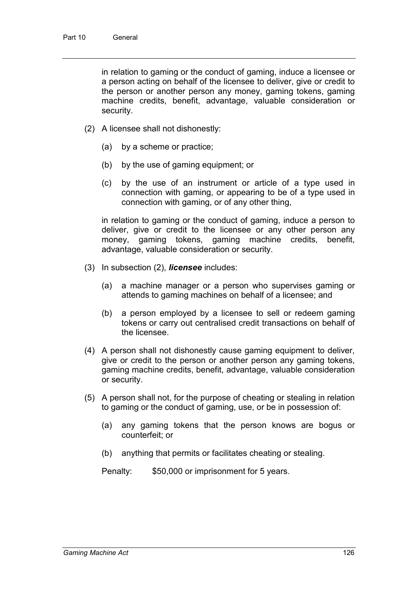in relation to gaming or the conduct of gaming, induce a licensee or a person acting on behalf of the licensee to deliver, give or credit to the person or another person any money, gaming tokens, gaming machine credits, benefit, advantage, valuable consideration or security.

- (2) A licensee shall not dishonestly:
	- (a) by a scheme or practice;
	- (b) by the use of gaming equipment; or
	- (c) by the use of an instrument or article of a type used in connection with gaming, or appearing to be of a type used in connection with gaming, or of any other thing,

in relation to gaming or the conduct of gaming, induce a person to deliver, give or credit to the licensee or any other person any money, gaming tokens, gaming machine credits, benefit, advantage, valuable consideration or security.

- (3) In subsection (2), *licensee* includes:
	- (a) a machine manager or a person who supervises gaming or attends to gaming machines on behalf of a licensee; and
	- (b) a person employed by a licensee to sell or redeem gaming tokens or carry out centralised credit transactions on behalf of the licensee.
- (4) A person shall not dishonestly cause gaming equipment to deliver, give or credit to the person or another person any gaming tokens, gaming machine credits, benefit, advantage, valuable consideration or security.
- (5) A person shall not, for the purpose of cheating or stealing in relation to gaming or the conduct of gaming, use, or be in possession of:
	- (a) any gaming tokens that the person knows are bogus or counterfeit; or
	- (b) anything that permits or facilitates cheating or stealing.

Penalty: \$50,000 or imprisonment for 5 years.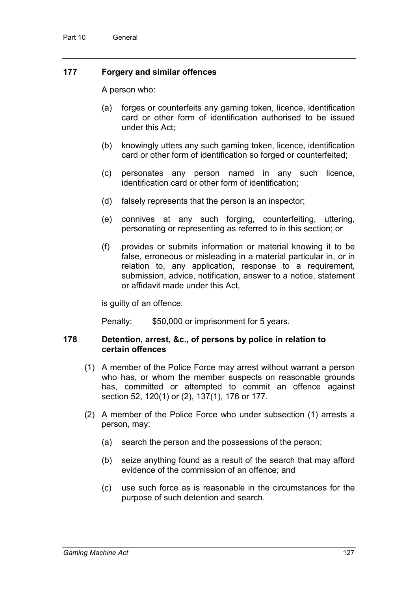# **177 Forgery and similar offences**

A person who:

- (a) forges or counterfeits any gaming token, licence, identification card or other form of identification authorised to be issued under this Act;
- (b) knowingly utters any such gaming token, licence, identification card or other form of identification so forged or counterfeited;
- (c) personates any person named in any such licence, identification card or other form of identification;
- (d) falsely represents that the person is an inspector;
- (e) connives at any such forging, counterfeiting, uttering, personating or representing as referred to in this section; or
- (f) provides or submits information or material knowing it to be false, erroneous or misleading in a material particular in, or in relation to, any application, response to a requirement, submission, advice, notification, answer to a notice, statement or affidavit made under this Act,

is guilty of an offence.

Penalty: \$50,000 or imprisonment for 5 years.

### **178 Detention, arrest, &c., of persons by police in relation to certain offences**

- (1) A member of the Police Force may arrest without warrant a person who has, or whom the member suspects on reasonable grounds has, committed or attempted to commit an offence against section 52, 120(1) or (2), 137(1), 176 or 177.
- (2) A member of the Police Force who under subsection (1) arrests a person, may:
	- (a) search the person and the possessions of the person;
	- (b) seize anything found as a result of the search that may afford evidence of the commission of an offence; and
	- (c) use such force as is reasonable in the circumstances for the purpose of such detention and search.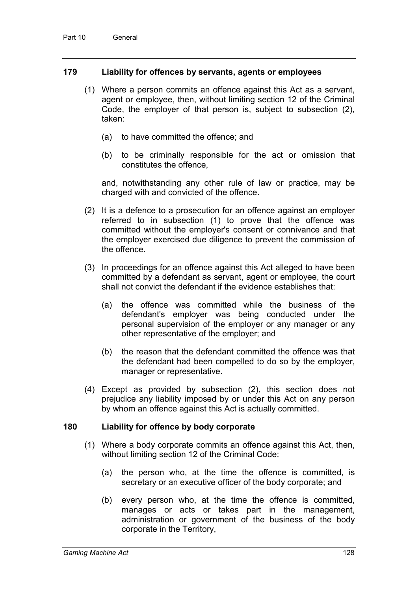## **179 Liability for offences by servants, agents or employees**

- (1) Where a person commits an offence against this Act as a servant, agent or employee, then, without limiting section 12 of the Criminal Code, the employer of that person is, subject to subsection (2), taken:
	- (a) to have committed the offence; and
	- (b) to be criminally responsible for the act or omission that constitutes the offence,

and, notwithstanding any other rule of law or practice, may be charged with and convicted of the offence.

- (2) It is a defence to a prosecution for an offence against an employer referred to in subsection (1) to prove that the offence was committed without the employer's consent or connivance and that the employer exercised due diligence to prevent the commission of the offence.
- (3) In proceedings for an offence against this Act alleged to have been committed by a defendant as servant, agent or employee, the court shall not convict the defendant if the evidence establishes that:
	- (a) the offence was committed while the business of the defendant's employer was being conducted under the personal supervision of the employer or any manager or any other representative of the employer; and
	- (b) the reason that the defendant committed the offence was that the defendant had been compelled to do so by the employer, manager or representative.
- (4) Except as provided by subsection (2), this section does not prejudice any liability imposed by or under this Act on any person by whom an offence against this Act is actually committed.

#### **180 Liability for offence by body corporate**

- (1) Where a body corporate commits an offence against this Act, then, without limiting section 12 of the Criminal Code:
	- (a) the person who, at the time the offence is committed, is secretary or an executive officer of the body corporate; and
	- (b) every person who, at the time the offence is committed, manages or acts or takes part in the management, administration or government of the business of the body corporate in the Territory,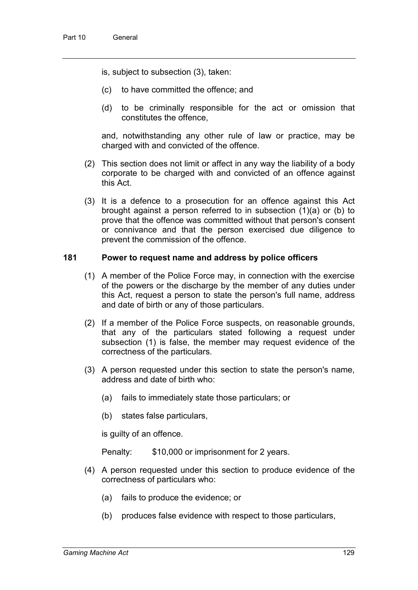is, subject to subsection (3), taken:

- (c) to have committed the offence; and
- (d) to be criminally responsible for the act or omission that constitutes the offence,

and, notwithstanding any other rule of law or practice, may be charged with and convicted of the offence.

- (2) This section does not limit or affect in any way the liability of a body corporate to be charged with and convicted of an offence against this Act.
- (3) It is a defence to a prosecution for an offence against this Act brought against a person referred to in subsection (1)(a) or (b) to prove that the offence was committed without that person's consent or connivance and that the person exercised due diligence to prevent the commission of the offence.

## **181 Power to request name and address by police officers**

- (1) A member of the Police Force may, in connection with the exercise of the powers or the discharge by the member of any duties under this Act, request a person to state the person's full name, address and date of birth or any of those particulars.
- (2) If a member of the Police Force suspects, on reasonable grounds, that any of the particulars stated following a request under subsection (1) is false, the member may request evidence of the correctness of the particulars.
- (3) A person requested under this section to state the person's name, address and date of birth who:
	- (a) fails to immediately state those particulars; or
	- (b) states false particulars,

is guilty of an offence.

Penalty: \$10,000 or imprisonment for 2 years.

- (4) A person requested under this section to produce evidence of the correctness of particulars who:
	- (a) fails to produce the evidence; or
	- (b) produces false evidence with respect to those particulars,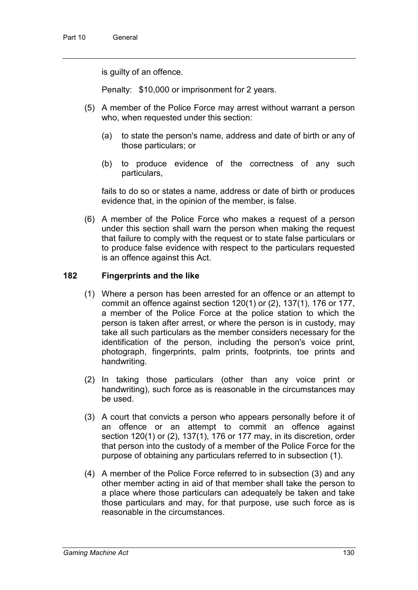is guilty of an offence.

Penalty: \$10,000 or imprisonment for 2 years.

- (5) A member of the Police Force may arrest without warrant a person who, when requested under this section:
	- (a) to state the person's name, address and date of birth or any of those particulars; or
	- (b) to produce evidence of the correctness of any such particulars,

fails to do so or states a name, address or date of birth or produces evidence that, in the opinion of the member, is false.

(6) A member of the Police Force who makes a request of a person under this section shall warn the person when making the request that failure to comply with the request or to state false particulars or to produce false evidence with respect to the particulars requested is an offence against this Act.

# **182 Fingerprints and the like**

- (1) Where a person has been arrested for an offence or an attempt to commit an offence against section 120(1) or (2), 137(1), 176 or 177, a member of the Police Force at the police station to which the person is taken after arrest, or where the person is in custody, may take all such particulars as the member considers necessary for the identification of the person, including the person's voice print, photograph, fingerprints, palm prints, footprints, toe prints and handwriting.
- (2) In taking those particulars (other than any voice print or handwriting), such force as is reasonable in the circumstances may be used.
- (3) A court that convicts a person who appears personally before it of an offence or an attempt to commit an offence against section 120(1) or (2), 137(1), 176 or 177 may, in its discretion, order that person into the custody of a member of the Police Force for the purpose of obtaining any particulars referred to in subsection (1).
- (4) A member of the Police Force referred to in subsection (3) and any other member acting in aid of that member shall take the person to a place where those particulars can adequately be taken and take those particulars and may, for that purpose, use such force as is reasonable in the circumstances.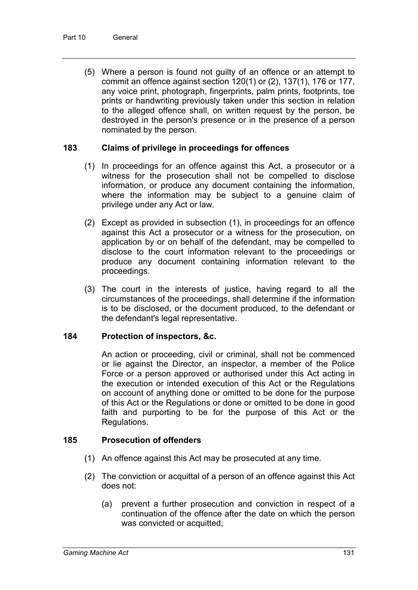(5) Where a person is found not guilty of an offence or an attempt to commit an offence against section 120(1) or (2), 137(1), 176 or 177, any voice print, photograph, fingerprints, palm prints, footprints, toe prints or handwriting previously taken under this section in relation to the alleged offence shall, on written request by the person, be destroyed in the person's presence or in the presence of a person nominated by the person.

# **183 Claims of privilege in proceedings for offences**

- (1) In proceedings for an offence against this Act, a prosecutor or a witness for the prosecution shall not be compelled to disclose information, or produce any document containing the information, where the information may be subject to a genuine claim of privilege under any Act or law.
- (2) Except as provided in subsection (1), in proceedings for an offence against this Act a prosecutor or a witness for the prosecution, on application by or on behalf of the defendant, may be compelled to disclose to the court information relevant to the proceedings or produce any document containing information relevant to the proceedings.
- (3) The court in the interests of justice, having regard to all the circumstances of the proceedings, shall determine if the information is to be disclosed, or the document produced, to the defendant or the defendant's legal representative.

# **184 Protection of inspectors, &c.**

An action or proceeding, civil or criminal, shall not be commenced or lie against the Director, an inspector, a member of the Police Force or a person approved or authorised under this Act acting in the execution or intended execution of this Act or the Regulations on account of anything done or omitted to be done for the purpose of this Act or the Regulations or done or omitted to be done in good faith and purporting to be for the purpose of this Act or the Regulations.

# **185 Prosecution of offenders**

- (1) An offence against this Act may be prosecuted at any time.
- (2) The conviction or acquittal of a person of an offence against this Act does not:
	- (a) prevent a further prosecution and conviction in respect of a continuation of the offence after the date on which the person was convicted or acquitted;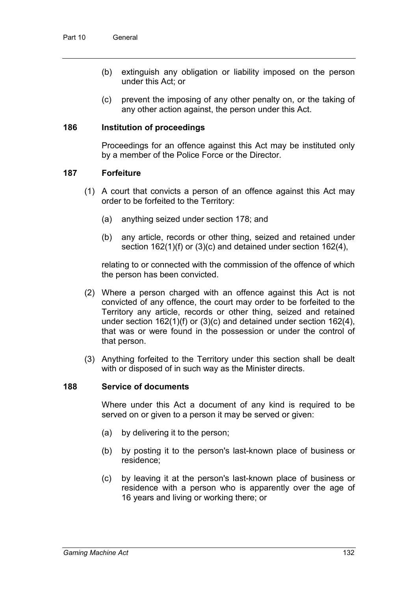- (b) extinguish any obligation or liability imposed on the person under this Act; or
- (c) prevent the imposing of any other penalty on, or the taking of any other action against, the person under this Act.

## **186 Institution of proceedings**

Proceedings for an offence against this Act may be instituted only by a member of the Police Force or the Director.

### **187 Forfeiture**

- (1) A court that convicts a person of an offence against this Act may order to be forfeited to the Territory:
	- (a) anything seized under section 178; and
	- (b) any article, records or other thing, seized and retained under section 162(1)(f) or (3)(c) and detained under section 162(4),

relating to or connected with the commission of the offence of which the person has been convicted.

- (2) Where a person charged with an offence against this Act is not convicted of any offence, the court may order to be forfeited to the Territory any article, records or other thing, seized and retained under section 162(1)(f) or (3)(c) and detained under section 162(4), that was or were found in the possession or under the control of that person.
- (3) Anything forfeited to the Territory under this section shall be dealt with or disposed of in such way as the Minister directs.

#### **188 Service of documents**

Where under this Act a document of any kind is required to be served on or given to a person it may be served or given:

- (a) by delivering it to the person;
- (b) by posting it to the person's last-known place of business or residence;
- (c) by leaving it at the person's last-known place of business or residence with a person who is apparently over the age of 16 years and living or working there; or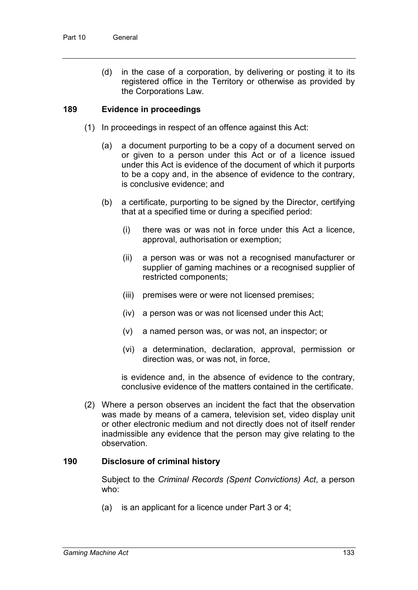(d) in the case of a corporation, by delivering or posting it to its registered office in the Territory or otherwise as provided by the Corporations Law.

# **189 Evidence in proceedings**

- (1) In proceedings in respect of an offence against this Act:
	- (a) a document purporting to be a copy of a document served on or given to a person under this Act or of a licence issued under this Act is evidence of the document of which it purports to be a copy and, in the absence of evidence to the contrary, is conclusive evidence; and
	- (b) a certificate, purporting to be signed by the Director, certifying that at a specified time or during a specified period:
		- (i) there was or was not in force under this Act a licence, approval, authorisation or exemption;
		- (ii) a person was or was not a recognised manufacturer or supplier of gaming machines or a recognised supplier of restricted components;
		- (iii) premises were or were not licensed premises;
		- (iv) a person was or was not licensed under this Act;
		- (v) a named person was, or was not, an inspector; or
		- (vi) a determination, declaration, approval, permission or direction was, or was not, in force,

is evidence and, in the absence of evidence to the contrary, conclusive evidence of the matters contained in the certificate.

(2) Where a person observes an incident the fact that the observation was made by means of a camera, television set, video display unit or other electronic medium and not directly does not of itself render inadmissible any evidence that the person may give relating to the observation.

# **190 Disclosure of criminal history**

Subject to the *Criminal Records (Spent Convictions) Act*, a person who:

(a) is an applicant for a licence under Part 3 or 4;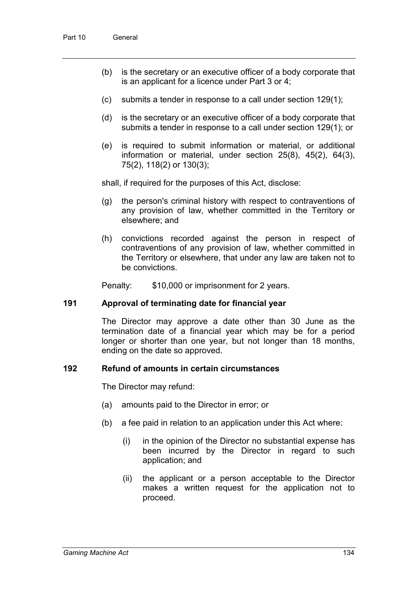- (b) is the secretary or an executive officer of a body corporate that is an applicant for a licence under Part 3 or 4;
- (c) submits a tender in response to a call under section 129(1);
- (d) is the secretary or an executive officer of a body corporate that submits a tender in response to a call under section 129(1); or
- (e) is required to submit information or material, or additional information or material, under section 25(8), 45(2), 64(3), 75(2), 118(2) or 130(3);

shall, if required for the purposes of this Act, disclose:

- (g) the person's criminal history with respect to contraventions of any provision of law, whether committed in the Territory or elsewhere; and
- (h) convictions recorded against the person in respect of contraventions of any provision of law, whether committed in the Territory or elsewhere, that under any law are taken not to be convictions.

Penalty: \$10,000 or imprisonment for 2 years.

# **191 Approval of terminating date for financial year**

The Director may approve a date other than 30 June as the termination date of a financial year which may be for a period longer or shorter than one year, but not longer than 18 months, ending on the date so approved.

#### **192 Refund of amounts in certain circumstances**

The Director may refund:

- (a) amounts paid to the Director in error; or
- (b) a fee paid in relation to an application under this Act where:
	- (i) in the opinion of the Director no substantial expense has been incurred by the Director in regard to such application; and
	- (ii) the applicant or a person acceptable to the Director makes a written request for the application not to proceed.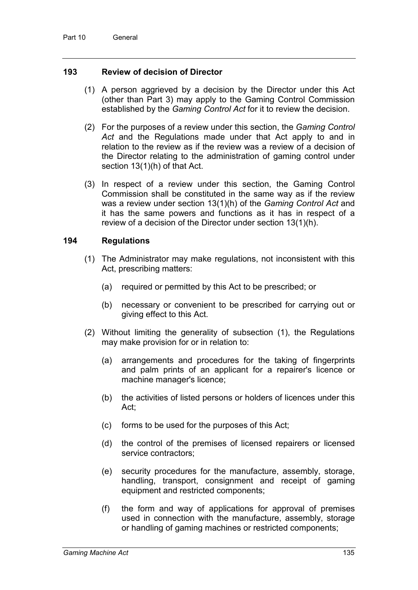# **193 Review of decision of Director**

- (1) A person aggrieved by a decision by the Director under this Act (other than Part 3) may apply to the Gaming Control Commission established by the *Gaming Control Act* for it to review the decision.
- (2) For the purposes of a review under this section, the *Gaming Control Act* and the Regulations made under that Act apply to and in relation to the review as if the review was a review of a decision of the Director relating to the administration of gaming control under section 13(1)(h) of that Act.
- (3) In respect of a review under this section, the Gaming Control Commission shall be constituted in the same way as if the review was a review under section 13(1)(h) of the *Gaming Control Act* and it has the same powers and functions as it has in respect of a review of a decision of the Director under section 13(1)(h).

### **194 Regulations**

- (1) The Administrator may make regulations, not inconsistent with this Act, prescribing matters:
	- (a) required or permitted by this Act to be prescribed; or
	- (b) necessary or convenient to be prescribed for carrying out or giving effect to this Act.
- (2) Without limiting the generality of subsection (1), the Regulations may make provision for or in relation to:
	- (a) arrangements and procedures for the taking of fingerprints and palm prints of an applicant for a repairer's licence or machine manager's licence;
	- (b) the activities of listed persons or holders of licences under this Act;
	- (c) forms to be used for the purposes of this Act;
	- (d) the control of the premises of licensed repairers or licensed service contractors;
	- (e) security procedures for the manufacture, assembly, storage, handling, transport, consignment and receipt of gaming equipment and restricted components;
	- (f) the form and way of applications for approval of premises used in connection with the manufacture, assembly, storage or handling of gaming machines or restricted components;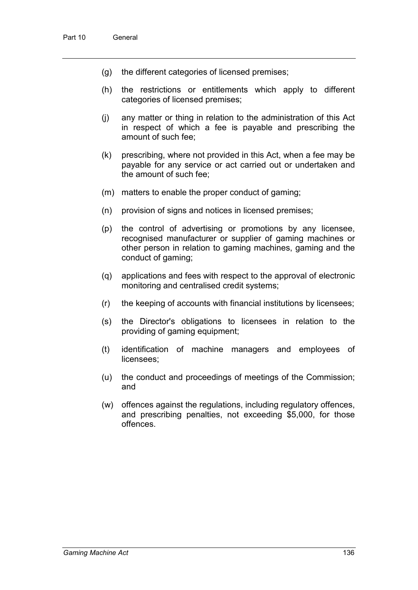- (g) the different categories of licensed premises;
- (h) the restrictions or entitlements which apply to different categories of licensed premises;
- (j) any matter or thing in relation to the administration of this Act in respect of which a fee is payable and prescribing the amount of such fee;
- (k) prescribing, where not provided in this Act, when a fee may be payable for any service or act carried out or undertaken and the amount of such fee;
- (m) matters to enable the proper conduct of gaming;
- (n) provision of signs and notices in licensed premises;
- (p) the control of advertising or promotions by any licensee, recognised manufacturer or supplier of gaming machines or other person in relation to gaming machines, gaming and the conduct of gaming;
- (q) applications and fees with respect to the approval of electronic monitoring and centralised credit systems;
- (r) the keeping of accounts with financial institutions by licensees;
- (s) the Director's obligations to licensees in relation to the providing of gaming equipment;
- (t) identification of machine managers and employees of licensees;
- (u) the conduct and proceedings of meetings of the Commission; and
- (w) offences against the regulations, including regulatory offences, and prescribing penalties, not exceeding \$5,000, for those offences.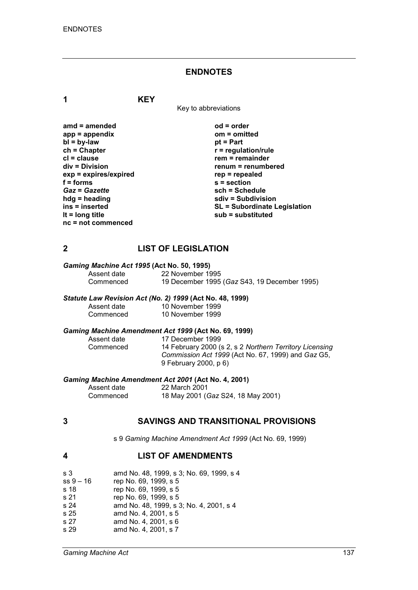#### **ENDNOTES**

**1 KEY**

Key to abbreviations

**amd = amended od = order app = appendix om = omitted bl** = by-law<br>ch = Chapter **ch = Chapter r = regulation/rule cl = clause rem = remainder**  $exp = exp$ **ires/expired**<br>**f** = forms *Gaz* = *Gazette*<br>hdg = heading **hdg = heading sdiv = Subdivision nc = not commenced**

**renum = renumbered**<br>rep = repealed **f = forms s = section ins = inserted SL = Subordinate Legislation lt = long title sub = substituted**

# **2 LIST OF LEGISLATION**

# *Gaming Machine Act 1995* **(Act No. 50, 1995)**

Assent date 22 November 1995<br>Commenced 19 December 1995 19 December 1995 (*Gaz* S43, 19 December 1995)

#### *Statute Law Revision Act (No. 2) 1999* **(Act No. 48, 1999)**

| Assent date | 10 November 1999 |
|-------------|------------------|
| Commenced   | 10 November 1999 |

# *Gaming Machine Amendment Act 1999* **(Act No. 69, 1999)**

Assent date 17 December 1999<br>Commenced 14 February 2000 ( 14 February 2000 (s 2, s 2 *Northern Territory Licensing Commission Act 1999* (Act No. 67, 1999) and *Gaz* G5, 9 February 2000, p 6)

#### *Gaming Machine Amendment Act 2001* **(Act No. 4, 2001)**

| Assent date | 22 March 2001                      |
|-------------|------------------------------------|
| Commenced   | 18 May 2001 (Gaz S24, 18 May 2001) |

# **3 SAVINGS AND TRANSITIONAL PROVISIONS**

s 9 *Gaming Machine Amendment Act 1999* (Act No. 69, 1999)

# **4 LIST OF AMENDMENTS**

| s 3       | amd No. 48, 1999, s 3; No. 69, 1999, s 4 |
|-----------|------------------------------------------|
| ss 9 – 16 | rep No. 69, 1999, s 5                    |
| s 18      | rep No. 69, 1999, s 5                    |
| s 21      | rep No. 69, 1999, s 5                    |
| s 24      | amd No. 48, 1999, s 3; No. 4, 2001, s 4  |
| s 25      | amd No. 4, 2001, s 5                     |
| s 27      | amd No. 4, 2001, s 6                     |
| s 29      | amd No. 4, 2001, s 7                     |